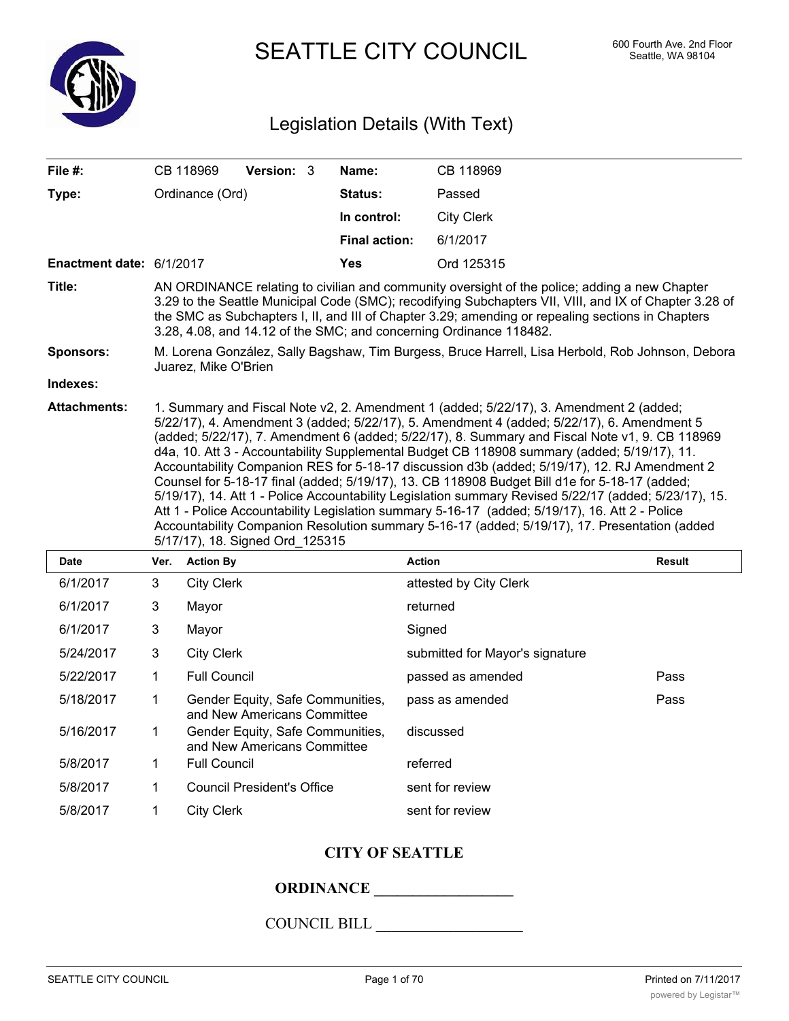

SEATTLE CITY COUNCIL 600 Fourth Ave. 2nd Floor

# Legislation Details (With Text)

| File #:                  |                                                                                                                                                                                                                                                                                                                                                                                                                                                                                                                                                                                                                                                                                                                                                                                                                                                                                                                                       | CB 118969         | Version: 3 |  | Name:                | CB 118969                       |  |  |
|--------------------------|---------------------------------------------------------------------------------------------------------------------------------------------------------------------------------------------------------------------------------------------------------------------------------------------------------------------------------------------------------------------------------------------------------------------------------------------------------------------------------------------------------------------------------------------------------------------------------------------------------------------------------------------------------------------------------------------------------------------------------------------------------------------------------------------------------------------------------------------------------------------------------------------------------------------------------------|-------------------|------------|--|----------------------|---------------------------------|--|--|
| Type:                    | Ordinance (Ord)                                                                                                                                                                                                                                                                                                                                                                                                                                                                                                                                                                                                                                                                                                                                                                                                                                                                                                                       |                   |            |  | Status:              | Passed                          |  |  |
|                          |                                                                                                                                                                                                                                                                                                                                                                                                                                                                                                                                                                                                                                                                                                                                                                                                                                                                                                                                       |                   |            |  | In control:          | <b>City Clerk</b>               |  |  |
|                          |                                                                                                                                                                                                                                                                                                                                                                                                                                                                                                                                                                                                                                                                                                                                                                                                                                                                                                                                       |                   |            |  | <b>Final action:</b> | 6/1/2017                        |  |  |
| Enactment date: 6/1/2017 |                                                                                                                                                                                                                                                                                                                                                                                                                                                                                                                                                                                                                                                                                                                                                                                                                                                                                                                                       |                   |            |  | <b>Yes</b>           | Ord 125315                      |  |  |
| Title:                   | AN ORDINANCE relating to civilian and community oversight of the police; adding a new Chapter<br>3.29 to the Seattle Municipal Code (SMC); recodifying Subchapters VII, VIII, and IX of Chapter 3.28 of<br>the SMC as Subchapters I, II, and III of Chapter 3.29; amending or repealing sections in Chapters<br>3.28, 4.08, and 14.12 of the SMC; and concerning Ordinance 118482.                                                                                                                                                                                                                                                                                                                                                                                                                                                                                                                                                    |                   |            |  |                      |                                 |  |  |
| <b>Sponsors:</b>         | M. Lorena González, Sally Bagshaw, Tim Burgess, Bruce Harrell, Lisa Herbold, Rob Johnson, Debora<br>Juarez, Mike O'Brien                                                                                                                                                                                                                                                                                                                                                                                                                                                                                                                                                                                                                                                                                                                                                                                                              |                   |            |  |                      |                                 |  |  |
| Indexes:                 |                                                                                                                                                                                                                                                                                                                                                                                                                                                                                                                                                                                                                                                                                                                                                                                                                                                                                                                                       |                   |            |  |                      |                                 |  |  |
| <b>Attachments:</b>      | 1. Summary and Fiscal Note v2, 2. Amendment 1 (added; 5/22/17), 3. Amendment 2 (added;<br>5/22/17), 4. Amendment 3 (added; 5/22/17), 5. Amendment 4 (added; 5/22/17), 6. Amendment 5<br>(added; 5/22/17), 7. Amendment 6 (added; 5/22/17), 8. Summary and Fiscal Note v1, 9. CB 118969<br>d4a, 10. Att 3 - Accountability Supplemental Budget CB 118908 summary (added; 5/19/17), 11.<br>Accountability Companion RES for 5-18-17 discussion d3b (added; 5/19/17), 12. RJ Amendment 2<br>Counsel for 5-18-17 final (added; 5/19/17), 13. CB 118908 Budget Bill d1e for 5-18-17 (added;<br>5/19/17), 14. Att 1 - Police Accountability Legislation summary Revised 5/22/17 (added; 5/23/17), 15.<br>Att 1 - Police Accountability Legislation summary 5-16-17 (added; 5/19/17), 16. Att 2 - Police<br>Accountability Companion Resolution summary 5-16-17 (added; 5/19/17), 17. Presentation (added<br>5/17/17), 18. Signed Ord_125315 |                   |            |  |                      |                                 |  |  |
| <b>Date</b>              | Ver.                                                                                                                                                                                                                                                                                                                                                                                                                                                                                                                                                                                                                                                                                                                                                                                                                                                                                                                                  | <b>Action By</b>  |            |  |                      | <b>Action</b><br><b>Result</b>  |  |  |
| 6/1/2017                 | 3                                                                                                                                                                                                                                                                                                                                                                                                                                                                                                                                                                                                                                                                                                                                                                                                                                                                                                                                     | <b>City Clerk</b> |            |  |                      | attested by City Clerk          |  |  |
| 6/1/2017                 | 3                                                                                                                                                                                                                                                                                                                                                                                                                                                                                                                                                                                                                                                                                                                                                                                                                                                                                                                                     | Mayor             |            |  |                      | returned                        |  |  |
| 6/1/2017                 | 3                                                                                                                                                                                                                                                                                                                                                                                                                                                                                                                                                                                                                                                                                                                                                                                                                                                                                                                                     | Mayor             |            |  |                      | Signed                          |  |  |
| 5/24/2017                | 3                                                                                                                                                                                                                                                                                                                                                                                                                                                                                                                                                                                                                                                                                                                                                                                                                                                                                                                                     | <b>City Clerk</b> |            |  |                      | submitted for Mayor's signature |  |  |
|                          |                                                                                                                                                                                                                                                                                                                                                                                                                                                                                                                                                                                                                                                                                                                                                                                                                                                                                                                                       |                   |            |  |                      |                                 |  |  |

# **CITY OF SEATTLE**

5/22/2017 1 Full Council passed as amended Pass 5/18/2017 1 Gender Equity, Safe Communities, pass as amended and the Sass

# **ORDINANCE \_\_\_\_\_\_\_\_\_\_\_\_\_\_\_\_\_\_**

Gender Equity, Safe Communities, discussed

# COUNCIL BILL \_\_\_\_\_\_\_\_\_\_\_\_\_\_\_\_\_\_\_

and New Americans Committee

and New Americans Committee

5/8/2017 1 Council President's Office sent for review 5/8/2017 1 City Clerk sent for review

5/8/2017 1 Full Council referred

5/16/2017 1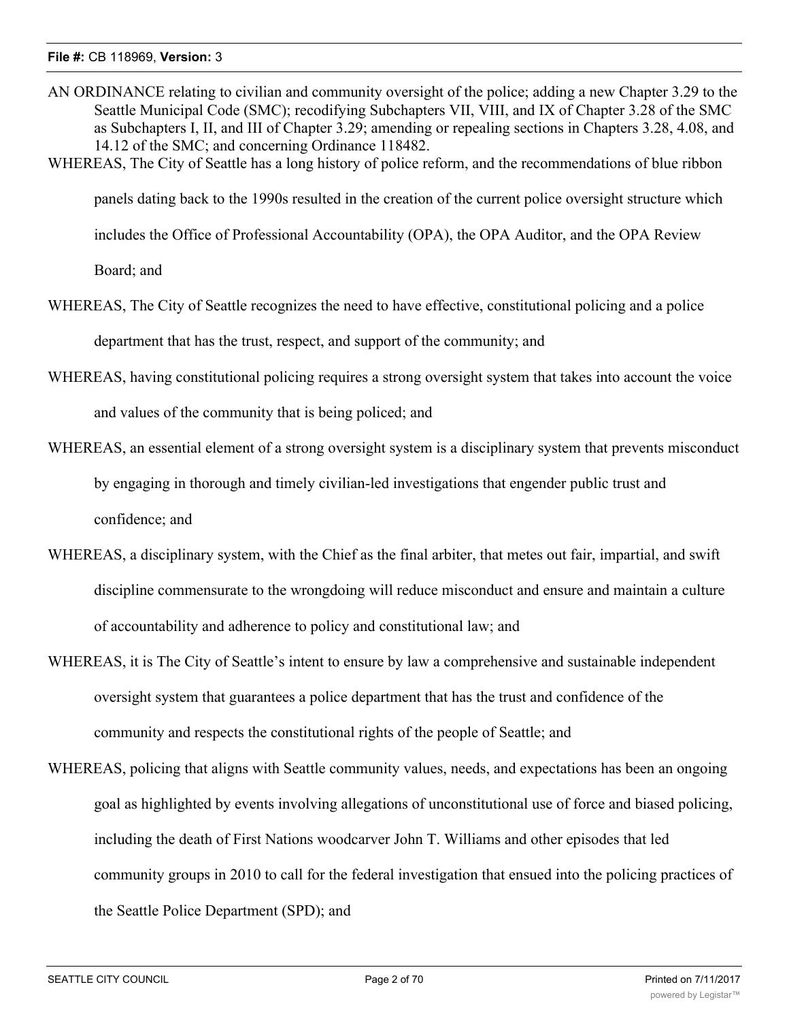- AN ORDINANCE relating to civilian and community oversight of the police; adding a new Chapter 3.29 to the Seattle Municipal Code (SMC); recodifying Subchapters VII, VIII, and IX of Chapter 3.28 of the SMC as Subchapters I, II, and III of Chapter 3.29; amending or repealing sections in Chapters 3.28, 4.08, and 14.12 of the SMC; and concerning Ordinance 118482.
- WHEREAS, The City of Seattle has a long history of police reform, and the recommendations of blue ribbon

panels dating back to the 1990s resulted in the creation of the current police oversight structure which

includes the Office of Professional Accountability (OPA), the OPA Auditor, and the OPA Review

Board; and

WHEREAS, The City of Seattle recognizes the need to have effective, constitutional policing and a police

department that has the trust, respect, and support of the community; and

- WHEREAS, having constitutional policing requires a strong oversight system that takes into account the voice and values of the community that is being policed; and
- WHEREAS, an essential element of a strong oversight system is a disciplinary system that prevents misconduct by engaging in thorough and timely civilian-led investigations that engender public trust and confidence; and
- WHEREAS, a disciplinary system, with the Chief as the final arbiter, that metes out fair, impartial, and swift discipline commensurate to the wrongdoing will reduce misconduct and ensure and maintain a culture of accountability and adherence to policy and constitutional law; and
- WHEREAS, it is The City of Seattle's intent to ensure by law a comprehensive and sustainable independent oversight system that guarantees a police department that has the trust and confidence of the community and respects the constitutional rights of the people of Seattle; and
- WHEREAS, policing that aligns with Seattle community values, needs, and expectations has been an ongoing goal as highlighted by events involving allegations of unconstitutional use of force and biased policing, including the death of First Nations woodcarver John T. Williams and other episodes that led community groups in 2010 to call for the federal investigation that ensued into the policing practices of the Seattle Police Department (SPD); and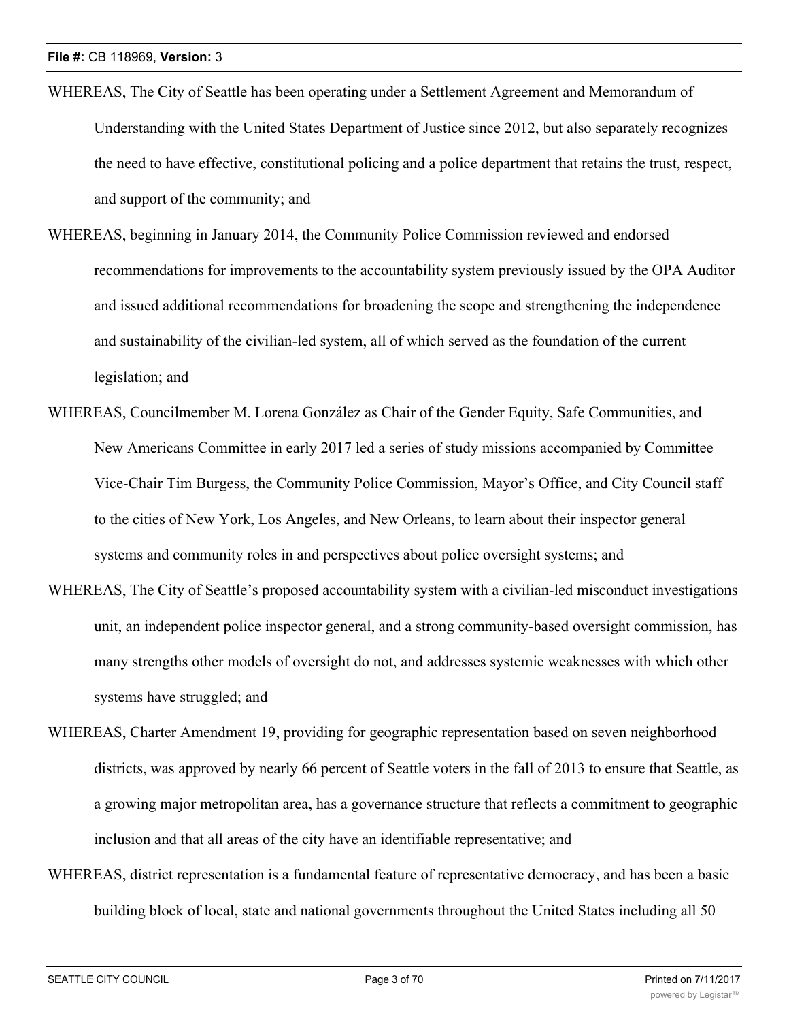- WHEREAS, The City of Seattle has been operating under a Settlement Agreement and Memorandum of Understanding with the United States Department of Justice since 2012, but also separately recognizes the need to have effective, constitutional policing and a police department that retains the trust, respect, and support of the community; and
- WHEREAS, beginning in January 2014, the Community Police Commission reviewed and endorsed recommendations for improvements to the accountability system previously issued by the OPA Auditor and issued additional recommendations for broadening the scope and strengthening the independence and sustainability of the civilian-led system, all of which served as the foundation of the current legislation; and
- WHEREAS, Councilmember M. Lorena González as Chair of the Gender Equity, Safe Communities, and New Americans Committee in early 2017 led a series of study missions accompanied by Committee Vice-Chair Tim Burgess, the Community Police Commission, Mayor's Office, and City Council staff to the cities of New York, Los Angeles, and New Orleans, to learn about their inspector general systems and community roles in and perspectives about police oversight systems; and
- WHEREAS, The City of Seattle's proposed accountability system with a civilian-led misconduct investigations unit, an independent police inspector general, and a strong community-based oversight commission, has many strengths other models of oversight do not, and addresses systemic weaknesses with which other systems have struggled; and
- WHEREAS, Charter Amendment 19, providing for geographic representation based on seven neighborhood districts, was approved by nearly 66 percent of Seattle voters in the fall of 2013 to ensure that Seattle, as a growing major metropolitan area, has a governance structure that reflects a commitment to geographic inclusion and that all areas of the city have an identifiable representative; and
- WHEREAS, district representation is a fundamental feature of representative democracy, and has been a basic building block of local, state and national governments throughout the United States including all 50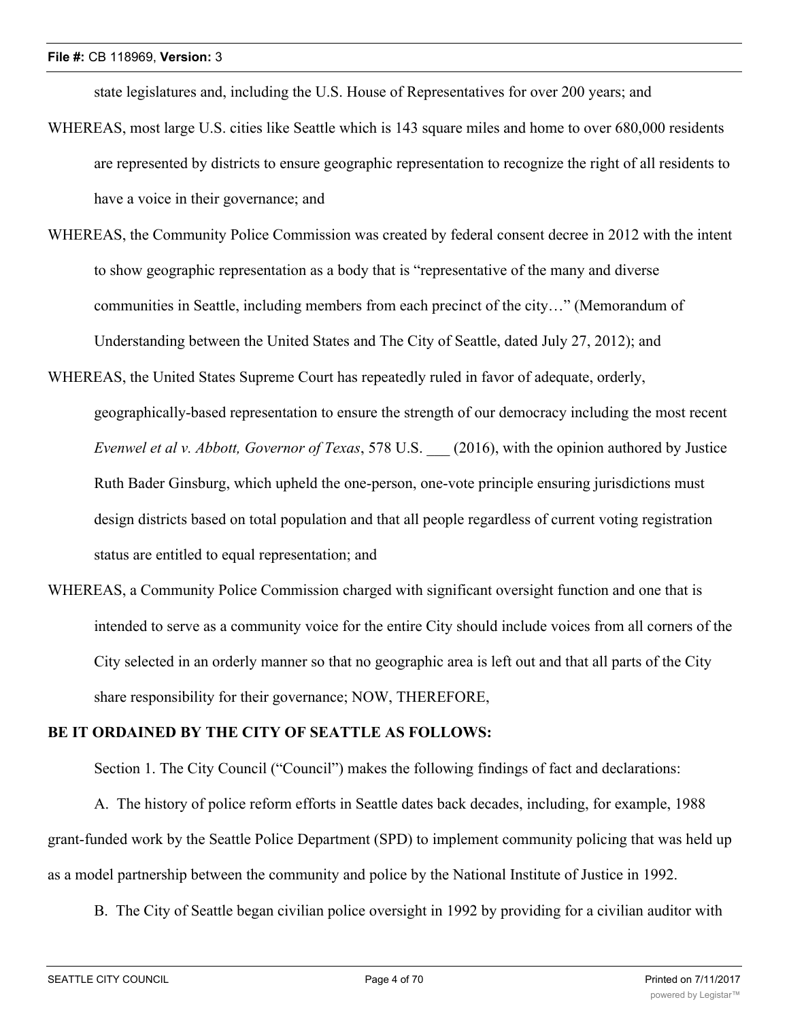state legislatures and, including the U.S. House of Representatives for over 200 years; and

- WHEREAS, most large U.S. cities like Seattle which is 143 square miles and home to over 680,000 residents are represented by districts to ensure geographic representation to recognize the right of all residents to have a voice in their governance; and
- WHEREAS, the Community Police Commission was created by federal consent decree in 2012 with the intent to show geographic representation as a body that is "representative of the many and diverse communities in Seattle, including members from each precinct of the city…" (Memorandum of Understanding between the United States and The City of Seattle, dated July 27, 2012); and
- WHEREAS, the United States Supreme Court has repeatedly ruled in favor of adequate, orderly, geographically-based representation to ensure the strength of our democracy including the most recent *Evenwel et al v. Abbott, Governor of Texas*, 578 U.S. \_\_\_ (2016), with the opinion authored by Justice Ruth Bader Ginsburg, which upheld the one-person, one-vote principle ensuring jurisdictions must design districts based on total population and that all people regardless of current voting registration status are entitled to equal representation; and
- WHEREAS, a Community Police Commission charged with significant oversight function and one that is intended to serve as a community voice for the entire City should include voices from all corners of the City selected in an orderly manner so that no geographic area is left out and that all parts of the City share responsibility for their governance; NOW, THEREFORE,

# **BE IT ORDAINED BY THE CITY OF SEATTLE AS FOLLOWS:**

Section 1. The City Council ("Council") makes the following findings of fact and declarations:

A. The history of police reform efforts in Seattle dates back decades, including, for example, 1988 grant-funded work by the Seattle Police Department (SPD) to implement community policing that was held up as a model partnership between the community and police by the National Institute of Justice in 1992.

B. The City of Seattle began civilian police oversight in 1992 by providing for a civilian auditor with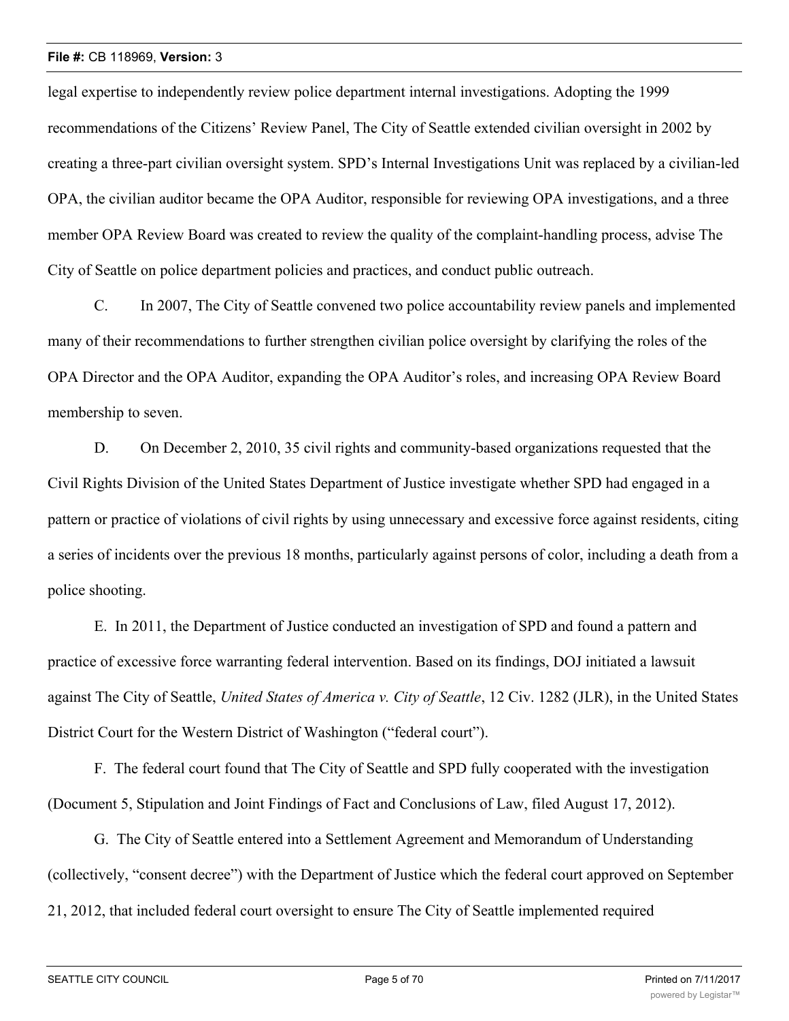legal expertise to independently review police department internal investigations. Adopting the 1999 recommendations of the Citizens' Review Panel, The City of Seattle extended civilian oversight in 2002 by creating a three-part civilian oversight system. SPD's Internal Investigations Unit was replaced by a civilian-led OPA, the civilian auditor became the OPA Auditor, responsible for reviewing OPA investigations, and a three member OPA Review Board was created to review the quality of the complaint-handling process, advise The City of Seattle on police department policies and practices, and conduct public outreach.

C. In 2007, The City of Seattle convened two police accountability review panels and implemented many of their recommendations to further strengthen civilian police oversight by clarifying the roles of the OPA Director and the OPA Auditor, expanding the OPA Auditor's roles, and increasing OPA Review Board membership to seven.

D. On December 2, 2010, 35 civil rights and community-based organizations requested that the Civil Rights Division of the United States Department of Justice investigate whether SPD had engaged in a pattern or practice of violations of civil rights by using unnecessary and excessive force against residents, citing a series of incidents over the previous 18 months, particularly against persons of color, including a death from a police shooting.

E. In 2011, the Department of Justice conducted an investigation of SPD and found a pattern and practice of excessive force warranting federal intervention. Based on its findings, DOJ initiated a lawsuit against The City of Seattle, *United States of America v. City of Seattle*, 12 Civ. 1282 (JLR), in the United States District Court for the Western District of Washington ("federal court").

F. The federal court found that The City of Seattle and SPD fully cooperated with the investigation (Document 5, Stipulation and Joint Findings of Fact and Conclusions of Law, filed August 17, 2012).

G. The City of Seattle entered into a Settlement Agreement and Memorandum of Understanding (collectively, "consent decree") with the Department of Justice which the federal court approved on September 21, 2012, that included federal court oversight to ensure The City of Seattle implemented required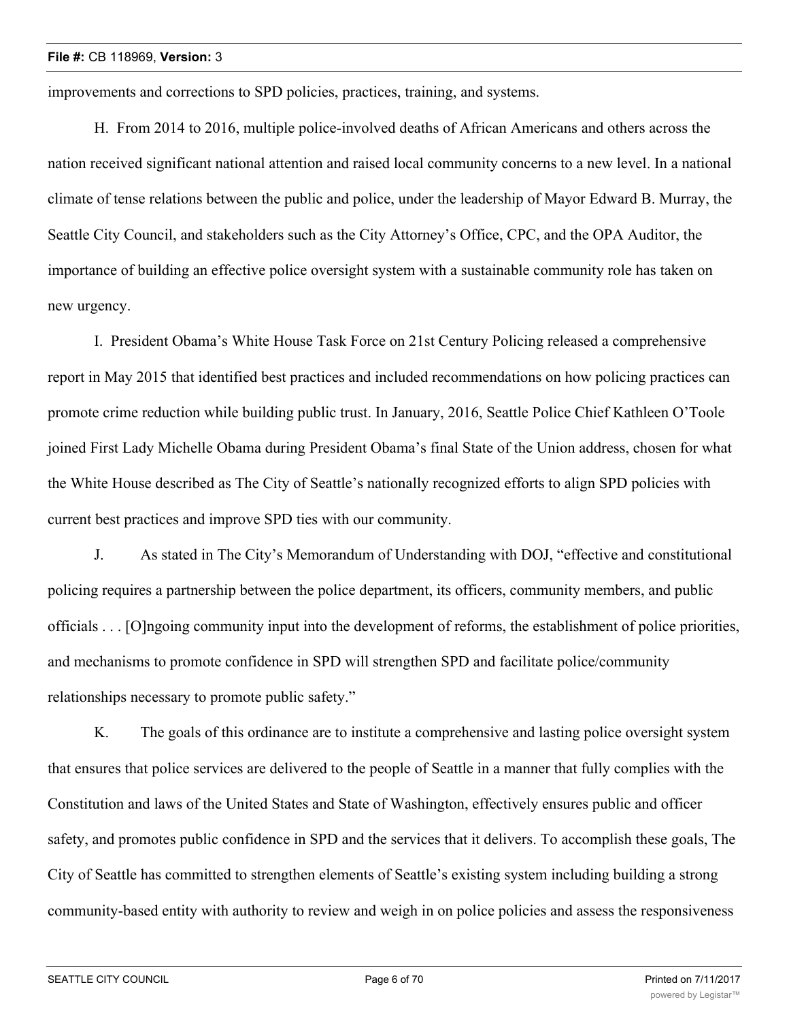improvements and corrections to SPD policies, practices, training, and systems.

H. From 2014 to 2016, multiple police-involved deaths of African Americans and others across the nation received significant national attention and raised local community concerns to a new level. In a national climate of tense relations between the public and police, under the leadership of Mayor Edward B. Murray, the Seattle City Council, and stakeholders such as the City Attorney's Office, CPC, and the OPA Auditor, the importance of building an effective police oversight system with a sustainable community role has taken on new urgency.

I. President Obama's White House Task Force on 21st Century Policing released a comprehensive report in May 2015 that identified best practices and included recommendations on how policing practices can promote crime reduction while building public trust. In January, 2016, Seattle Police Chief Kathleen O'Toole joined First Lady Michelle Obama during President Obama's final State of the Union address, chosen for what the White House described as The City of Seattle's nationally recognized efforts to align SPD policies with current best practices and improve SPD ties with our community.

J. As stated in The City's Memorandum of Understanding with DOJ, "effective and constitutional policing requires a partnership between the police department, its officers, community members, and public officials . . . [O]ngoing community input into the development of reforms, the establishment of police priorities, and mechanisms to promote confidence in SPD will strengthen SPD and facilitate police/community relationships necessary to promote public safety."

K. The goals of this ordinance are to institute a comprehensive and lasting police oversight system that ensures that police services are delivered to the people of Seattle in a manner that fully complies with the Constitution and laws of the United States and State of Washington, effectively ensures public and officer safety, and promotes public confidence in SPD and the services that it delivers. To accomplish these goals, The City of Seattle has committed to strengthen elements of Seattle's existing system including building a strong community-based entity with authority to review and weigh in on police policies and assess the responsiveness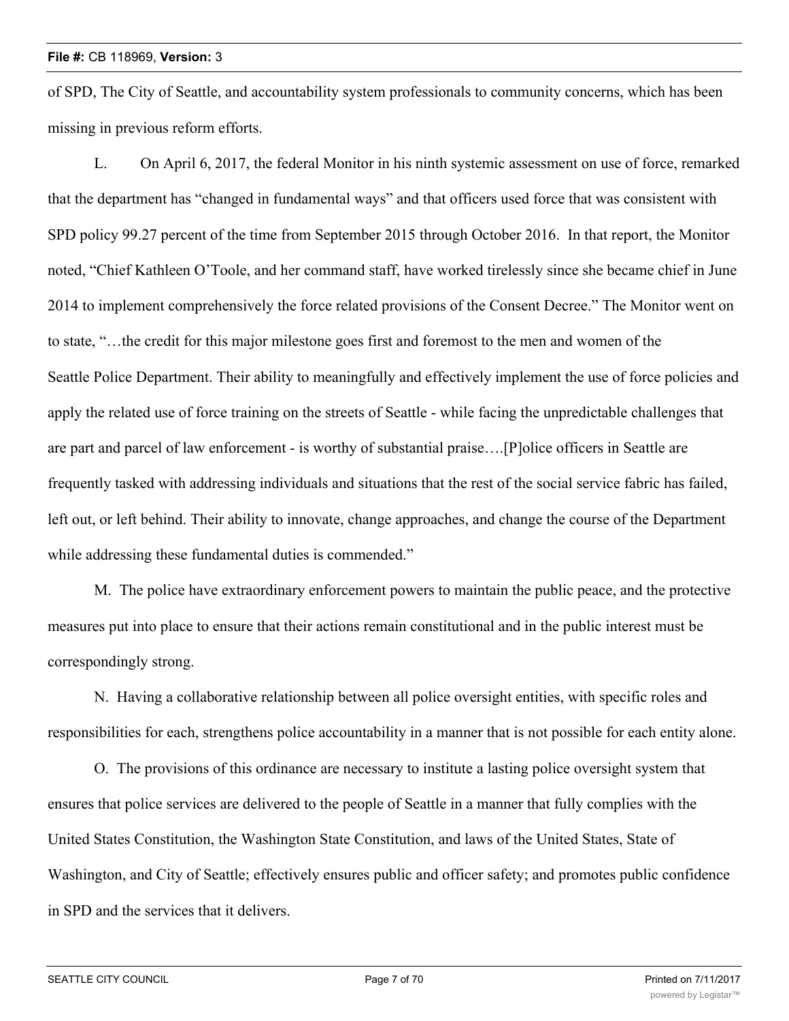of SPD, The City of Seattle, and accountability system professionals to community concerns, which has been missing in previous reform efforts.

L. On April 6, 2017, the federal Monitor in his ninth systemic assessment on use of force, remarked that the department has "changed in fundamental ways" and that officers used force that was consistent with SPD policy 99.27 percent of the time from September 2015 through October 2016. In that report, the Monitor noted, "Chief Kathleen O'Toole, and her command staff, have worked tirelessly since she became chief in June 2014 to implement comprehensively the force related provisions of the Consent Decree." The Monitor went on to state, "…the credit for this major milestone goes first and foremost to the men and women of the Seattle Police Department. Their ability to meaningfully and effectively implement the use of force policies and apply the related use of force training on the streets of Seattle - while facing the unpredictable challenges that are part and parcel of law enforcement - is worthy of substantial praise….[P]olice officers in Seattle are frequently tasked with addressing individuals and situations that the rest of the social service fabric has failed, left out, or left behind. Their ability to innovate, change approaches, and change the course of the Department while addressing these fundamental duties is commended."

M. The police have extraordinary enforcement powers to maintain the public peace, and the protective measures put into place to ensure that their actions remain constitutional and in the public interest must be correspondingly strong.

N. Having a collaborative relationship between all police oversight entities, with specific roles and responsibilities for each, strengthens police accountability in a manner that is not possible for each entity alone.

O. The provisions of this ordinance are necessary to institute a lasting police oversight system that ensures that police services are delivered to the people of Seattle in a manner that fully complies with the United States Constitution, the Washington State Constitution, and laws of the United States, State of Washington, and City of Seattle; effectively ensures public and officer safety; and promotes public confidence in SPD and the services that it delivers.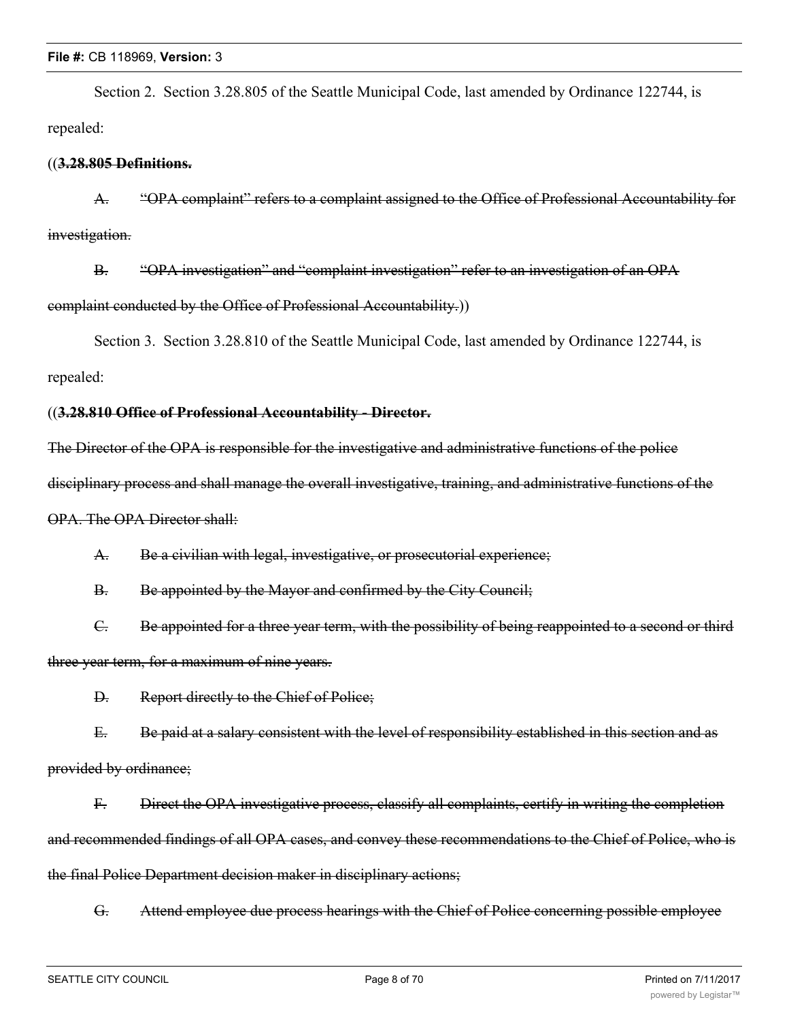Section 2. Section 3.28.805 of the Seattle Municipal Code, last amended by Ordinance 122744, is repealed:

# ((**3.28.805 Definitions.**

A. "OPA complaint" refers to a complaint assigned to the Office of Professional Accountability for investigation.

B. "OPA investigation" and "complaint investigation" refer to an investigation of an OPA complaint conducted by the Office of Professional Accountability.))

Section 3. Section 3.28.810 of the Seattle Municipal Code, last amended by Ordinance 122744, is repealed:

# ((**3.28.810 Office of Professional Accountability - Director.**

The Director of the OPA is responsible for the investigative and administrative functions of the police

disciplinary process and shall manage the overall investigative, training, and administrative functions of the

OPA. The OPA Director shall:

A. Be a civilian with legal, investigative, or prosecutorial experience;

B. Be appointed by the Mayor and confirmed by the City Council;

C. Be appointed for a three year term, with the possibility of being reappointed to a second or third three year term, for a maximum of nine years.

D. Report directly to the Chief of Police;

E. Be paid at a salary consistent with the level of responsibility established in this section and as provided by ordinance;

F. Direct the OPA investigative process, classify all complaints, certify in writing the completion and recommended findings of all OPA cases, and convey these recommendations to the Chief of Police, who is the final Police Department decision maker in disciplinary actions;

G. Attend employee due process hearings with the Chief of Police concerning possible employee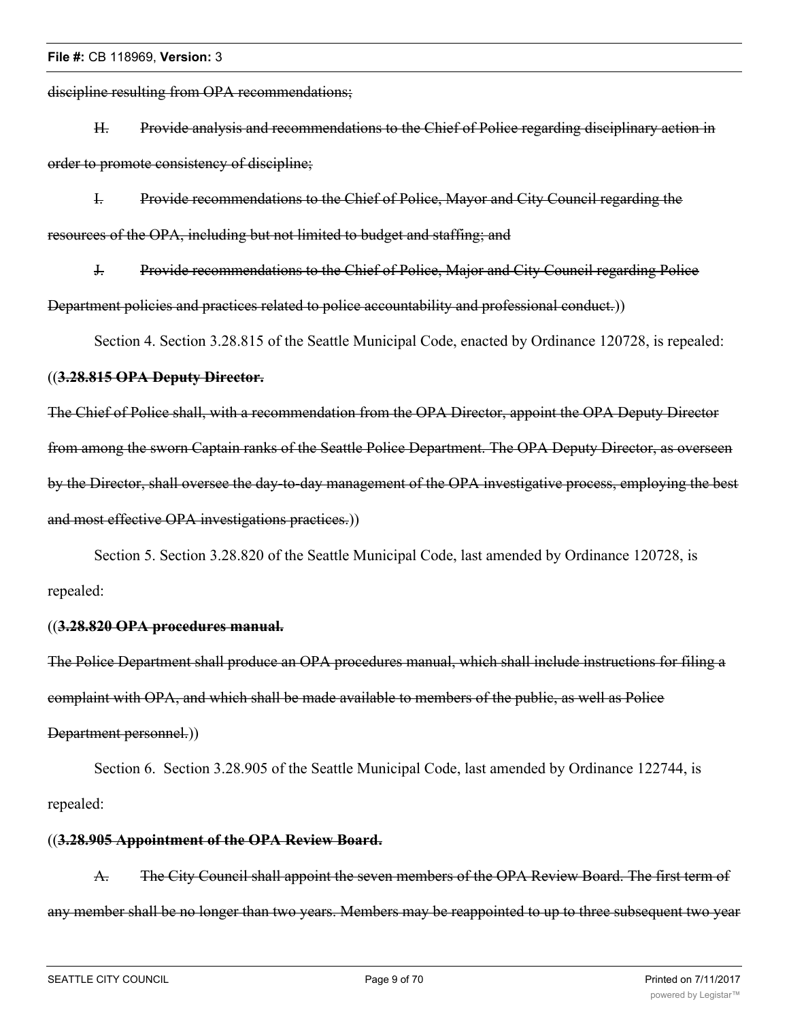discipline resulting from OPA recommendations;

H. Provide analysis and recommendations to the Chief of Police regarding disciplinary action in order to promote consistency of discipline;

I. Provide recommendations to the Chief of Police, Mayor and City Council regarding the resources of the OPA, including but not limited to budget and staffing; and

J. Provide recommendations to the Chief of Police, Major and City Council regarding Police Department policies and practices related to police accountability and professional conduct.))

Section 4. Section 3.28.815 of the Seattle Municipal Code, enacted by Ordinance 120728, is repealed:

# ((**3.28.815 OPA Deputy Director.**

The Chief of Police shall, with a recommendation from the OPA Director, appoint the OPA Deputy Director from among the sworn Captain ranks of the Seattle Police Department. The OPA Deputy Director, as overseen by the Director, shall oversee the day-to-day management of the OPA investigative process, employing the best and most effective OPA investigations practices.))

Section 5. Section 3.28.820 of the Seattle Municipal Code, last amended by Ordinance 120728, is repealed:

# ((**3.28.820 OPA procedures manual.**

The Police Department shall produce an OPA procedures manual, which shall include instructions for filing a complaint with OPA, and which shall be made available to members of the public, as well as Police Department personnel.))

Section 6. Section 3.28.905 of the Seattle Municipal Code, last amended by Ordinance 122744, is repealed:

# ((**3.28.905 Appointment of the OPA Review Board.**

A. The City Council shall appoint the seven members of the OPA Review Board. The first term of any member shall be no longer than two years. Members may be reappointed to up to three subsequent two year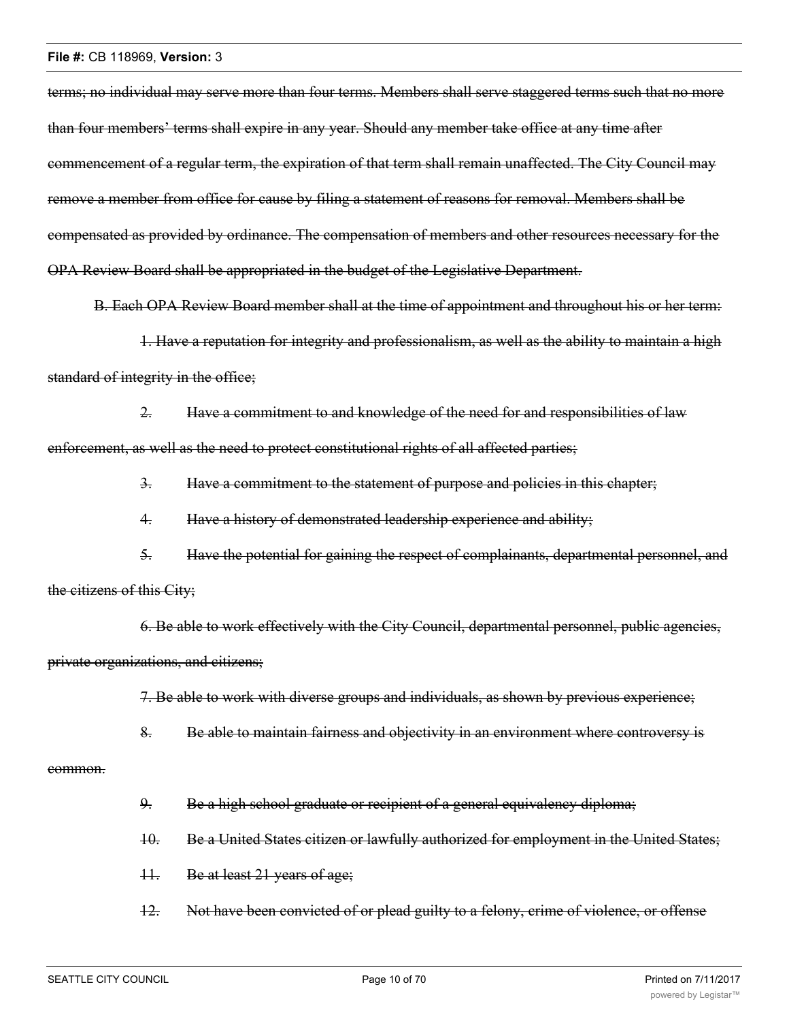terms; no individual may serve more than four terms. Members shall serve staggered terms such that no more than four members' terms shall expire in any year. Should any member take office at any time after commencement of a regular term, the expiration of that term shall remain unaffected. The City Council may remove a member from office for cause by filing a statement of reasons for removal. Members shall be compensated as provided by ordinance. The compensation of members and other resources necessary for the OPA Review Board shall be appropriated in the budget of the Legislative Department.

B. Each OPA Review Board member shall at the time of appointment and throughout his or her term:

1. Have a reputation for integrity and professionalism, as well as the ability to maintain a high standard of integrity in the office;

2. Have a commitment to and knowledge of the need for and responsibilities of law enforcement, as well as the need to protect constitutional rights of all affected parties;

3. Have a commitment to the statement of purpose and policies in this chapter;

4. Have a history of demonstrated leadership experience and ability;

5. Have the potential for gaining the respect of complainants, departmental personnel, and the citizens of this City;

6. Be able to work effectively with the City Council, departmental personnel, public agencies, private organizations, and citizens;

7. Be able to work with diverse groups and individuals, as shown by previous experience;

8. Be able to maintain fairness and objectivity in an environment where controversy is

### common.

- 9. Be a high school graduate or recipient of a general equivalency diploma;
- 10. Be a United States citizen or lawfully authorized for employment in the United States;
- 11. Be at least 21 years of age;
- 12. Not have been convicted of or plead guilty to a felony, crime of violence, or offense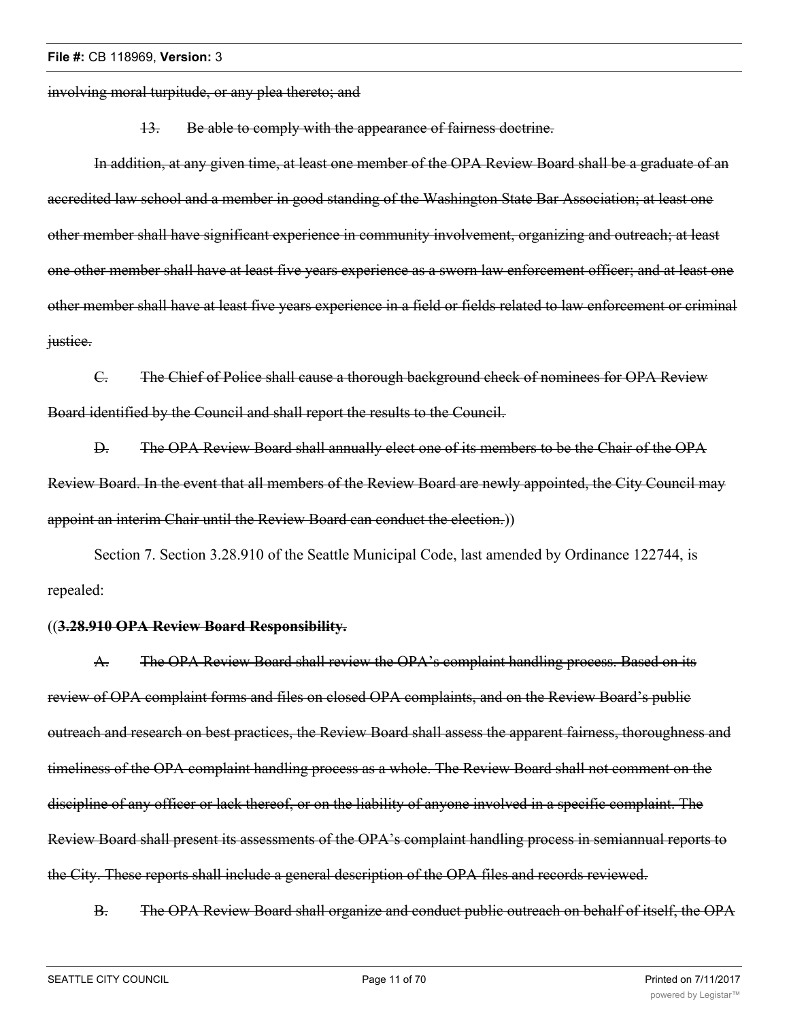involving moral turpitude, or any plea thereto; and

13. Be able to comply with the appearance of fairness doctrine.

In addition, at any given time, at least one member of the OPA Review Board shall be a graduate of an accredited law school and a member in good standing of the Washington State Bar Association; at least one other member shall have significant experience in community involvement, organizing and outreach; at least one other member shall have at least five years experience as a sworn law enforcement officer; and at least one other member shall have at least five years experience in a field or fields related to law enforcement or criminal justice.

C. The Chief of Police shall cause a thorough background check of nominees for OPA Review Board identified by the Council and shall report the results to the Council.

D. The OPA Review Board shall annually elect one of its members to be the Chair of the OPA Review Board. In the event that all members of the Review Board are newly appointed, the City Council may appoint an interim Chair until the Review Board can conduct the election.))

Section 7. Section 3.28.910 of the Seattle Municipal Code, last amended by Ordinance 122744, is repealed:

# ((**3.28.910 OPA Review Board Responsibility.**

A. The OPA Review Board shall review the OPA's complaint handling process. Based on its review of OPA complaint forms and files on closed OPA complaints, and on the Review Board's public outreach and research on best practices, the Review Board shall assess the apparent fairness, thoroughness and timeliness of the OPA complaint handling process as a whole. The Review Board shall not comment on the discipline of any officer or lack thereof, or on the liability of anyone involved in a specific complaint. The Review Board shall present its assessments of the OPA's complaint handling process in semiannual reports to the City. These reports shall include a general description of the OPA files and records reviewed.

B. The OPA Review Board shall organize and conduct public outreach on behalf of itself, the OPA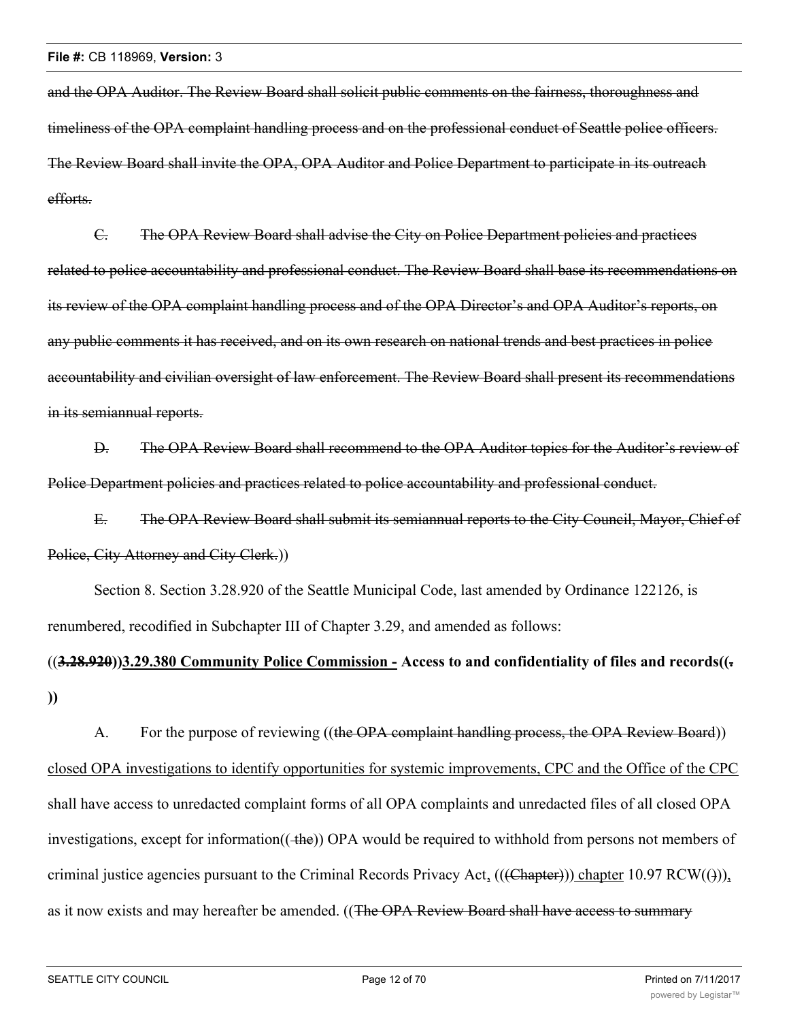and the OPA Auditor. The Review Board shall solicit public comments on the fairness, thoroughness and timeliness of the OPA complaint handling process and on the professional conduct of Seattle police officers. The Review Board shall invite the OPA, OPA Auditor and Police Department to participate in its outreach efforts.

C. The OPA Review Board shall advise the City on Police Department policies and practices related to police accountability and professional conduct. The Review Board shall base its recommendations on its review of the OPA complaint handling process and of the OPA Director's and OPA Auditor's reports, on any public comments it has received, and on its own research on national trends and best practices in police accountability and civilian oversight of law enforcement. The Review Board shall present its recommendations in its semiannual reports.

D. The OPA Review Board shall recommend to the OPA Auditor topics for the Auditor's review of Police Department policies and practices related to police accountability and professional conduct.

E. The OPA Review Board shall submit its semiannual reports to the City Council, Mayor, Chief of Police, City Attorney and City Clerk.))

Section 8. Section 3.28.920 of the Seattle Municipal Code, last amended by Ordinance 122126, is renumbered, recodified in Subchapter III of Chapter 3.29, and amended as follows:

# ((**3.28.920))3.29.380 Community Police Commission - Access to and confidentiality of files and records((. ))**

A. For the purpose of reviewing ((the OPA complaint handling process, the OPA Review Board)) closed OPA investigations to identify opportunities for systemic improvements, CPC and the Office of the CPC shall have access to unredacted complaint forms of all OPA complaints and unredacted files of all closed OPA investigations, except for information(( $\pm$ he)) OPA would be required to withhold from persons not members of criminal justice agencies pursuant to the Criminal Records Privacy Act,  $((\text{Chapter}))$  chapter 10.97 RCW $((\cdot))$ , as it now exists and may hereafter be amended. ((The OPA Review Board shall have access to summary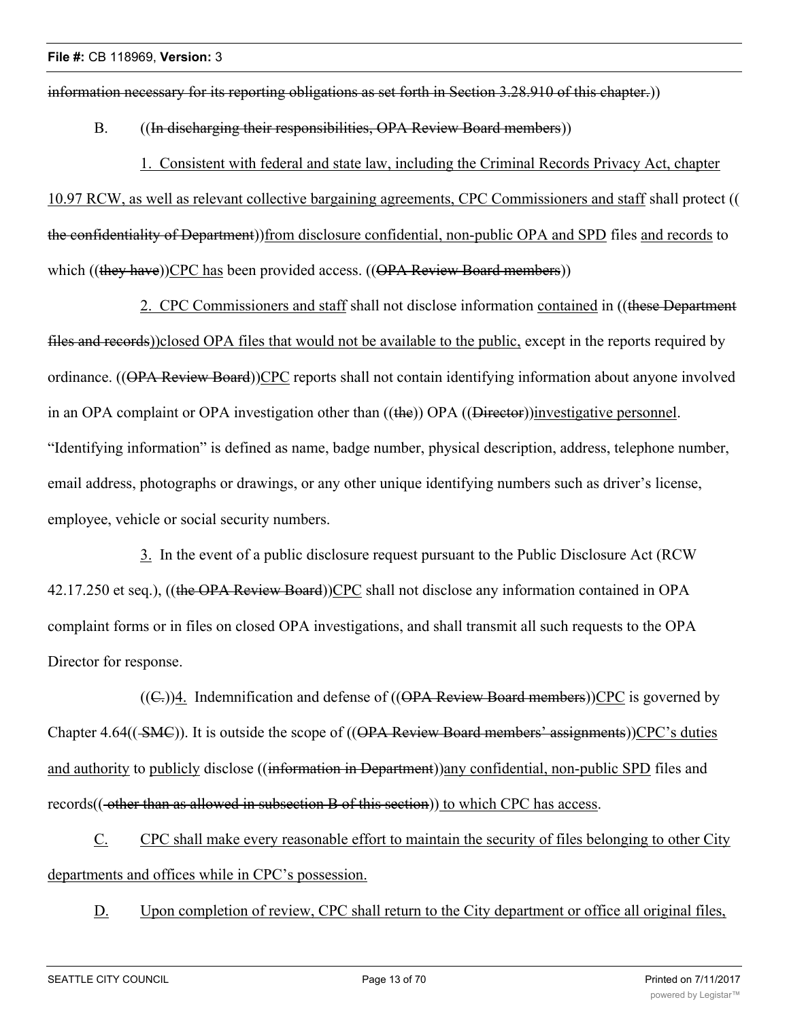information necessary for its reporting obligations as set forth in Section 3.28.910 of this chapter.))

# B. ((In discharging their responsibilities, OPA Review Board members))

1. Consistent with federal and state law, including the Criminal Records Privacy Act, chapter 10.97 RCW, as well as relevant collective bargaining agreements, CPC Commissioners and staff shall protect (( the confidentiality of Department))from disclosure confidential, non-public OPA and SPD files and records to which ((they have))CPC has been provided access. ((OPA Review Board members))

2. CPC Commissioners and staff shall not disclose information contained in ((these Department files and records))closed OPA files that would not be available to the public, except in the reports required by ordinance. ((OPA Review Board))CPC reports shall not contain identifying information about anyone involved in an OPA complaint or OPA investigation other than ((the)) OPA ((Director))investigative personnel. "Identifying information" is defined as name, badge number, physical description, address, telephone number, email address, photographs or drawings, or any other unique identifying numbers such as driver's license, employee, vehicle or social security numbers.

3. In the event of a public disclosure request pursuant to the Public Disclosure Act (RCW 42.17.250 et seq.), ((the OPA Review Board))CPC shall not disclose any information contained in OPA complaint forms or in files on closed OPA investigations, and shall transmit all such requests to the OPA Director for response.

 $((C<sub>z</sub>))$ 4. Indemnification and defense of  $((OPA$  Review Board members))CPC is governed by Chapter 4.64(( $\leq$ MC)). It is outside the scope of ((OPA Review Board members' assignments))CPC's duties and authority to publicly disclose ((information in Department)) any confidential, non-public SPD files and records((-other than as allowed in subsection B of this section)) to which CPC has access.

C. CPC shall make every reasonable effort to maintain the security of files belonging to other City departments and offices while in CPC's possession.

D. Upon completion of review, CPC shall return to the City department or office all original files,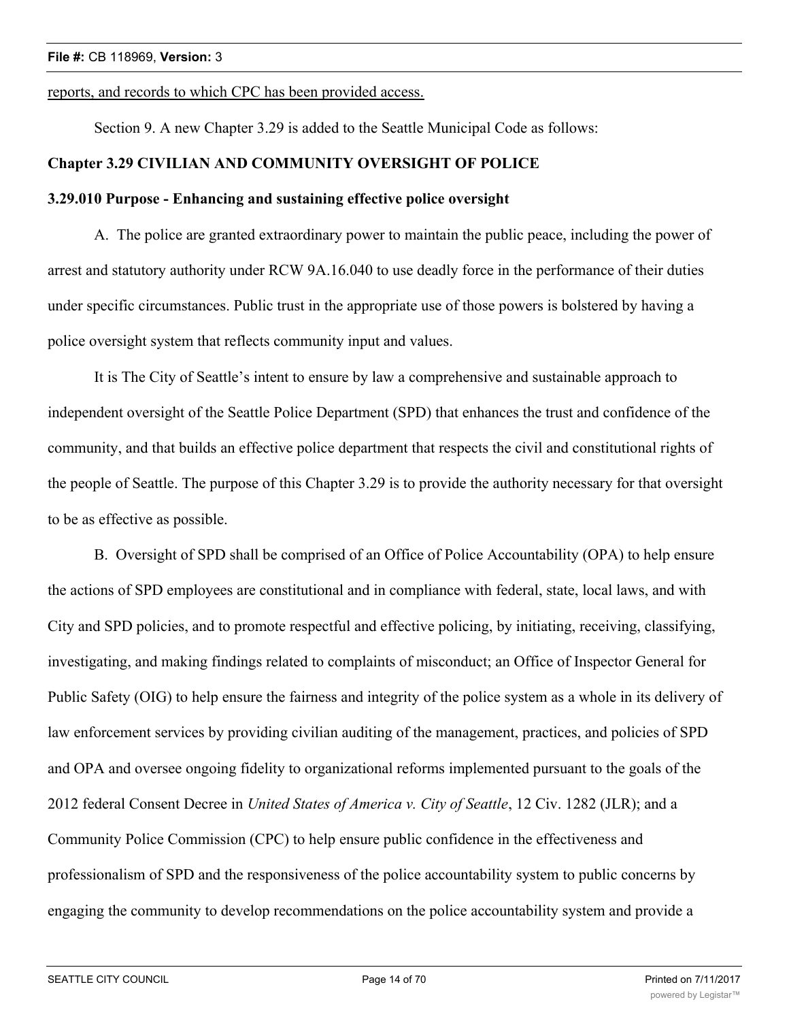# reports, and records to which CPC has been provided access.

Section 9. A new Chapter 3.29 is added to the Seattle Municipal Code as follows:

# **Chapter 3.29 CIVILIAN AND COMMUNITY OVERSIGHT OF POLICE**

# **3.29.010 Purpose - Enhancing and sustaining effective police oversight**

A. The police are granted extraordinary power to maintain the public peace, including the power of arrest and statutory authority under RCW 9A.16.040 to use deadly force in the performance of their duties under specific circumstances. Public trust in the appropriate use of those powers is bolstered by having a police oversight system that reflects community input and values.

It is The City of Seattle's intent to ensure by law a comprehensive and sustainable approach to independent oversight of the Seattle Police Department (SPD) that enhances the trust and confidence of the community, and that builds an effective police department that respects the civil and constitutional rights of the people of Seattle. The purpose of this Chapter 3.29 is to provide the authority necessary for that oversight to be as effective as possible.

B. Oversight of SPD shall be comprised of an Office of Police Accountability (OPA) to help ensure the actions of SPD employees are constitutional and in compliance with federal, state, local laws, and with City and SPD policies, and to promote respectful and effective policing, by initiating, receiving, classifying, investigating, and making findings related to complaints of misconduct; an Office of Inspector General for Public Safety (OIG) to help ensure the fairness and integrity of the police system as a whole in its delivery of law enforcement services by providing civilian auditing of the management, practices, and policies of SPD and OPA and oversee ongoing fidelity to organizational reforms implemented pursuant to the goals of the 2012 federal Consent Decree in *United States of America v. City of Seattle*, 12 Civ. 1282 (JLR); and a Community Police Commission (CPC) to help ensure public confidence in the effectiveness and professionalism of SPD and the responsiveness of the police accountability system to public concerns by engaging the community to develop recommendations on the police accountability system and provide a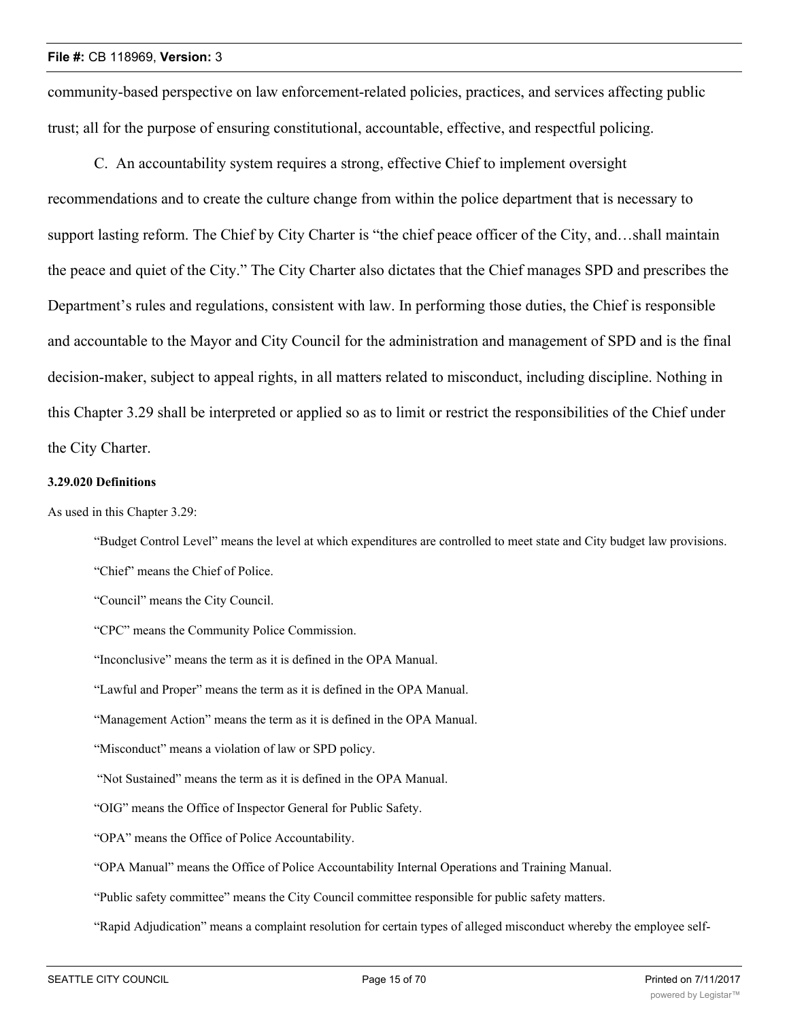community-based perspective on law enforcement-related policies, practices, and services affecting public trust; all for the purpose of ensuring constitutional, accountable, effective, and respectful policing.

C. An accountability system requires a strong, effective Chief to implement oversight recommendations and to create the culture change from within the police department that is necessary to support lasting reform. The Chief by City Charter is "the chief peace officer of the City, and…shall maintain the peace and quiet of the City." The City Charter also dictates that the Chief manages SPD and prescribes the Department's rules and regulations, consistent with law. In performing those duties, the Chief is responsible and accountable to the Mayor and City Council for the administration and management of SPD and is the final decision-maker, subject to appeal rights, in all matters related to misconduct, including discipline. Nothing in this Chapter 3.29 shall be interpreted or applied so as to limit or restrict the responsibilities of the Chief under the City Charter.

# **3.29.020 Definitions**

As used in this Chapter 3.29:

"Budget Control Level" means the level at which expenditures are controlled to meet state and City budget law provisions.

"Chief" means the Chief of Police.

"Council" means the City Council.

"CPC" means the Community Police Commission.

"Inconclusive" means the term as it is defined in the OPA Manual.

"Lawful and Proper" means the term as it is defined in the OPA Manual.

"Management Action" means the term as it is defined in the OPA Manual.

"Misconduct" means a violation of law or SPD policy.

"Not Sustained" means the term as it is defined in the OPA Manual.

"OIG" means the Office of Inspector General for Public Safety.

"OPA" means the Office of Police Accountability.

"OPA Manual" means the Office of Police Accountability Internal Operations and Training Manual.

"Public safety committee" means the City Council committee responsible for public safety matters.

"Rapid Adjudication" means a complaint resolution for certain types of alleged misconduct whereby the employee self-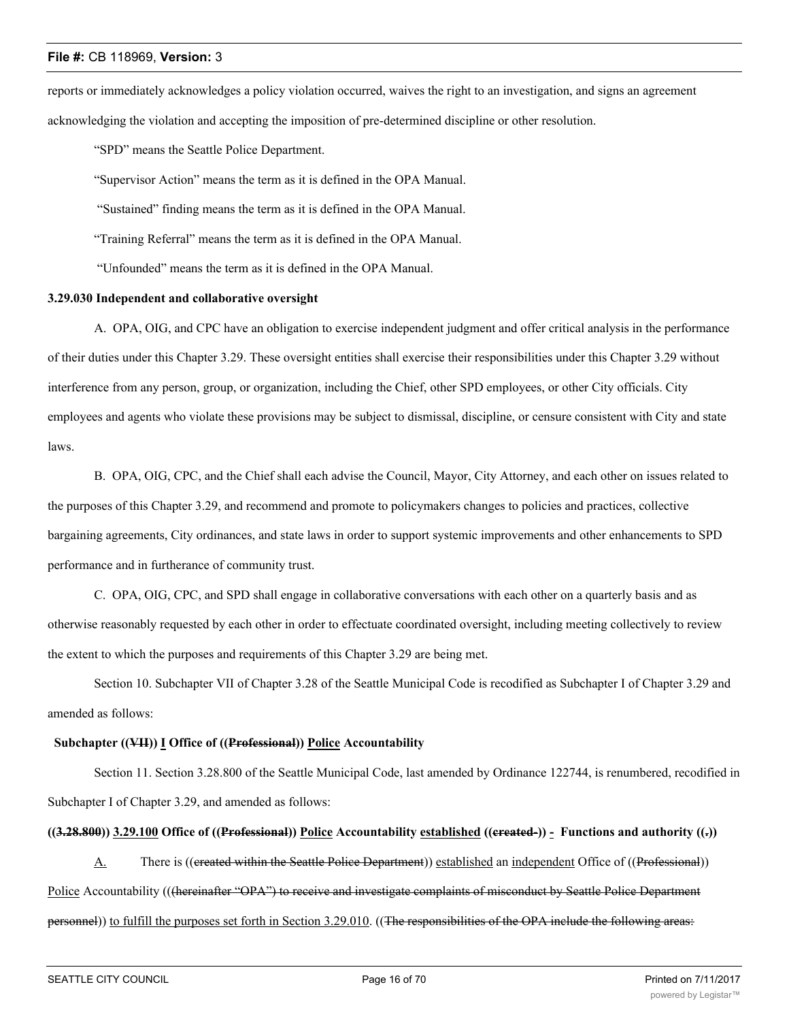reports or immediately acknowledges a policy violation occurred, waives the right to an investigation, and signs an agreement acknowledging the violation and accepting the imposition of pre-determined discipline or other resolution.

"SPD" means the Seattle Police Department.

"Supervisor Action" means the term as it is defined in the OPA Manual.

"Sustained" finding means the term as it is defined in the OPA Manual.

"Training Referral" means the term as it is defined in the OPA Manual.

"Unfounded" means the term as it is defined in the OPA Manual.

# **3.29.030 Independent and collaborative oversight**

A. OPA, OIG, and CPC have an obligation to exercise independent judgment and offer critical analysis in the performance of their duties under this Chapter 3.29. These oversight entities shall exercise their responsibilities under this Chapter 3.29 without interference from any person, group, or organization, including the Chief, other SPD employees, or other City officials. City employees and agents who violate these provisions may be subject to dismissal, discipline, or censure consistent with City and state laws.

B. OPA, OIG, CPC, and the Chief shall each advise the Council, Mayor, City Attorney, and each other on issues related to the purposes of this Chapter 3.29, and recommend and promote to policymakers changes to policies and practices, collective bargaining agreements, City ordinances, and state laws in order to support systemic improvements and other enhancements to SPD performance and in furtherance of community trust.

C. OPA, OIG, CPC, and SPD shall engage in collaborative conversations with each other on a quarterly basis and as otherwise reasonably requested by each other in order to effectuate coordinated oversight, including meeting collectively to review the extent to which the purposes and requirements of this Chapter 3.29 are being met.

Section 10. Subchapter VII of Chapter 3.28 of the Seattle Municipal Code is recodified as Subchapter I of Chapter 3.29 and amended as follows:

## **Subchapter ((VII)) I Office of ((Professional)) Police Accountability**

Section 11. Section 3.28.800 of the Seattle Municipal Code, last amended by Ordinance 122744, is renumbered, recodified in Subchapter I of Chapter 3.29, and amended as follows:

# **((3.28.800)) 3.29.100 Office of ((Professional)) Police Accountability established ((created-)) - Functions and authority ((.))**

A. There is ((created within the Seattle Police Department)) established an independent Office of ((Professional)) Police Accountability (((hereinafter "OPA") to receive and investigate complaints of misconduct by Seattle Police Department personnel)) to fulfill the purposes set forth in Section 3.29.010. ((The responsibilities of the OPA include the following areas: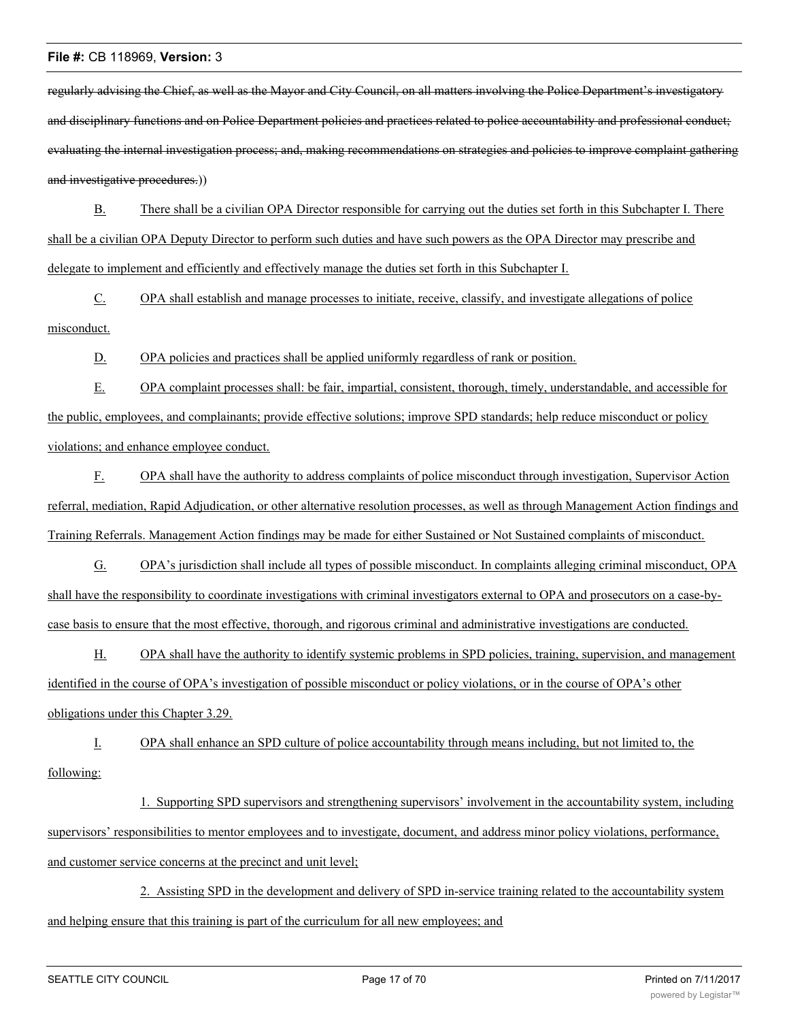regularly advising the Chief, as well as the Mayor and City Council, on all matters involving the Police Department's investigatory and disciplinary functions and on Police Department policies and practices related to police accountability and professional conduct; evaluating the internal investigation process; and, making recommendations on strategies and policies to improve complaint gathering and investigative procedures.)

B. There shall be a civilian OPA Director responsible for carrying out the duties set forth in this Subchapter I. There shall be a civilian OPA Deputy Director to perform such duties and have such powers as the OPA Director may prescribe and delegate to implement and efficiently and effectively manage the duties set forth in this Subchapter I.

C. OPA shall establish and manage processes to initiate, receive, classify, and investigate allegations of police misconduct.

D. OPA policies and practices shall be applied uniformly regardless of rank or position.

E. OPA complaint processes shall: be fair, impartial, consistent, thorough, timely, understandable, and accessible for the public, employees, and complainants; provide effective solutions; improve SPD standards; help reduce misconduct or policy violations; and enhance employee conduct.

F. OPA shall have the authority to address complaints of police misconduct through investigation, Supervisor Action referral, mediation, Rapid Adjudication, or other alternative resolution processes, as well as through Management Action findings and Training Referrals. Management Action findings may be made for either Sustained or Not Sustained complaints of misconduct.

G. OPA's jurisdiction shall include all types of possible misconduct. In complaints alleging criminal misconduct, OPA shall have the responsibility to coordinate investigations with criminal investigators external to OPA and prosecutors on a case-bycase basis to ensure that the most effective, thorough, and rigorous criminal and administrative investigations are conducted.

H. OPA shall have the authority to identify systemic problems in SPD policies, training, supervision, and management identified in the course of OPA's investigation of possible misconduct or policy violations, or in the course of OPA's other obligations under this Chapter 3.29.

I. OPA shall enhance an SPD culture of police accountability through means including, but not limited to, the following:

1. Supporting SPD supervisors and strengthening supervisors' involvement in the accountability system, including supervisors' responsibilities to mentor employees and to investigate, document, and address minor policy violations, performance, and customer service concerns at the precinct and unit level;

2. Assisting SPD in the development and delivery of SPD in-service training related to the accountability system and helping ensure that this training is part of the curriculum for all new employees; and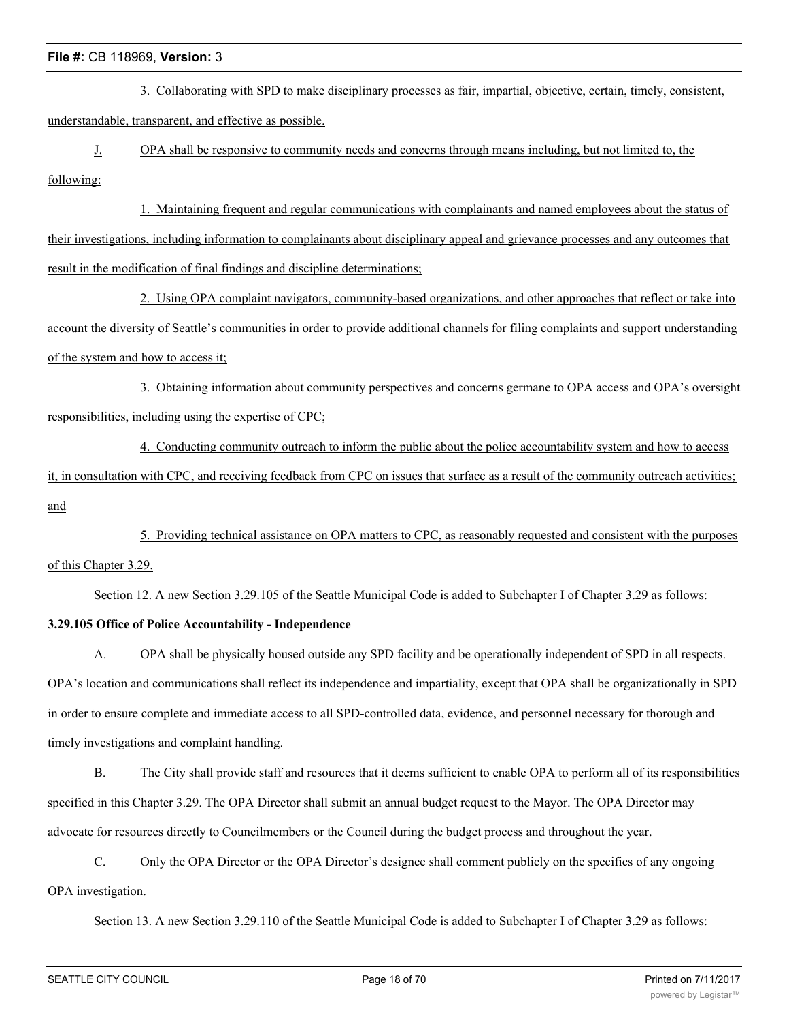3. Collaborating with SPD to make disciplinary processes as fair, impartial, objective, certain, timely, consistent, understandable, transparent, and effective as possible.

J. OPA shall be responsive to community needs and concerns through means including, but not limited to, the following:

1. Maintaining frequent and regular communications with complainants and named employees about the status of their investigations, including information to complainants about disciplinary appeal and grievance processes and any outcomes that result in the modification of final findings and discipline determinations;

2. Using OPA complaint navigators, community-based organizations, and other approaches that reflect or take into account the diversity of Seattle's communities in order to provide additional channels for filing complaints and support understanding of the system and how to access it;

3. Obtaining information about community perspectives and concerns germane to OPA access and OPA's oversight responsibilities, including using the expertise of CPC;

4. Conducting community outreach to inform the public about the police accountability system and how to access it, in consultation with CPC, and receiving feedback from CPC on issues that surface as a result of the community outreach activities; and

5. Providing technical assistance on OPA matters to CPC, as reasonably requested and consistent with the purposes of this Chapter 3.29.

Section 12. A new Section 3.29.105 of the Seattle Municipal Code is added to Subchapter I of Chapter 3.29 as follows:

# **3.29.105 Office of Police Accountability - Independence**

A. OPA shall be physically housed outside any SPD facility and be operationally independent of SPD in all respects. OPA's location and communications shall reflect its independence and impartiality, except that OPA shall be organizationally in SPD in order to ensure complete and immediate access to all SPD-controlled data, evidence, and personnel necessary for thorough and timely investigations and complaint handling.

B. The City shall provide staff and resources that it deems sufficient to enable OPA to perform all of its responsibilities specified in this Chapter 3.29. The OPA Director shall submit an annual budget request to the Mayor. The OPA Director may advocate for resources directly to Councilmembers or the Council during the budget process and throughout the year.

C. Only the OPA Director or the OPA Director's designee shall comment publicly on the specifics of any ongoing OPA investigation.

Section 13. A new Section 3.29.110 of the Seattle Municipal Code is added to Subchapter I of Chapter 3.29 as follows: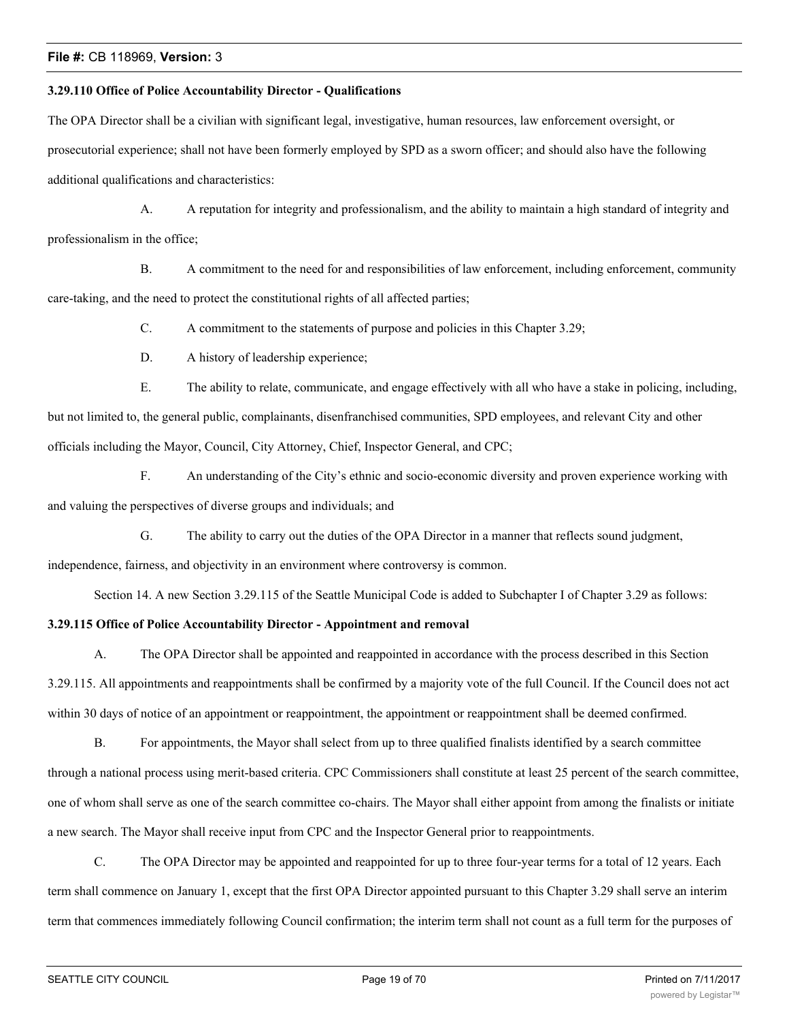#### **3.29.110 Office of Police Accountability Director - Qualifications**

The OPA Director shall be a civilian with significant legal, investigative, human resources, law enforcement oversight, or prosecutorial experience; shall not have been formerly employed by SPD as a sworn officer; and should also have the following additional qualifications and characteristics:

A. A reputation for integrity and professionalism, and the ability to maintain a high standard of integrity and professionalism in the office;

B. A commitment to the need for and responsibilities of law enforcement, including enforcement, community care-taking, and the need to protect the constitutional rights of all affected parties;

C. A commitment to the statements of purpose and policies in this Chapter 3.29;

D. A history of leadership experience;

E. The ability to relate, communicate, and engage effectively with all who have a stake in policing, including, but not limited to, the general public, complainants, disenfranchised communities, SPD employees, and relevant City and other officials including the Mayor, Council, City Attorney, Chief, Inspector General, and CPC;

F. An understanding of the City's ethnic and socio-economic diversity and proven experience working with and valuing the perspectives of diverse groups and individuals; and

G. The ability to carry out the duties of the OPA Director in a manner that reflects sound judgment,

independence, fairness, and objectivity in an environment where controversy is common.

Section 14. A new Section 3.29.115 of the Seattle Municipal Code is added to Subchapter I of Chapter 3.29 as follows:

# **3.29.115 Office of Police Accountability Director - Appointment and removal**

A. The OPA Director shall be appointed and reappointed in accordance with the process described in this Section 3.29.115. All appointments and reappointments shall be confirmed by a majority vote of the full Council. If the Council does not act within 30 days of notice of an appointment or reappointment, the appointment or reappointment shall be deemed confirmed.

B. For appointments, the Mayor shall select from up to three qualified finalists identified by a search committee through a national process using merit-based criteria. CPC Commissioners shall constitute at least 25 percent of the search committee, one of whom shall serve as one of the search committee co-chairs. The Mayor shall either appoint from among the finalists or initiate a new search. The Mayor shall receive input from CPC and the Inspector General prior to reappointments.

C. The OPA Director may be appointed and reappointed for up to three four-year terms for a total of 12 years. Each term shall commence on January 1, except that the first OPA Director appointed pursuant to this Chapter 3.29 shall serve an interim term that commences immediately following Council confirmation; the interim term shall not count as a full term for the purposes of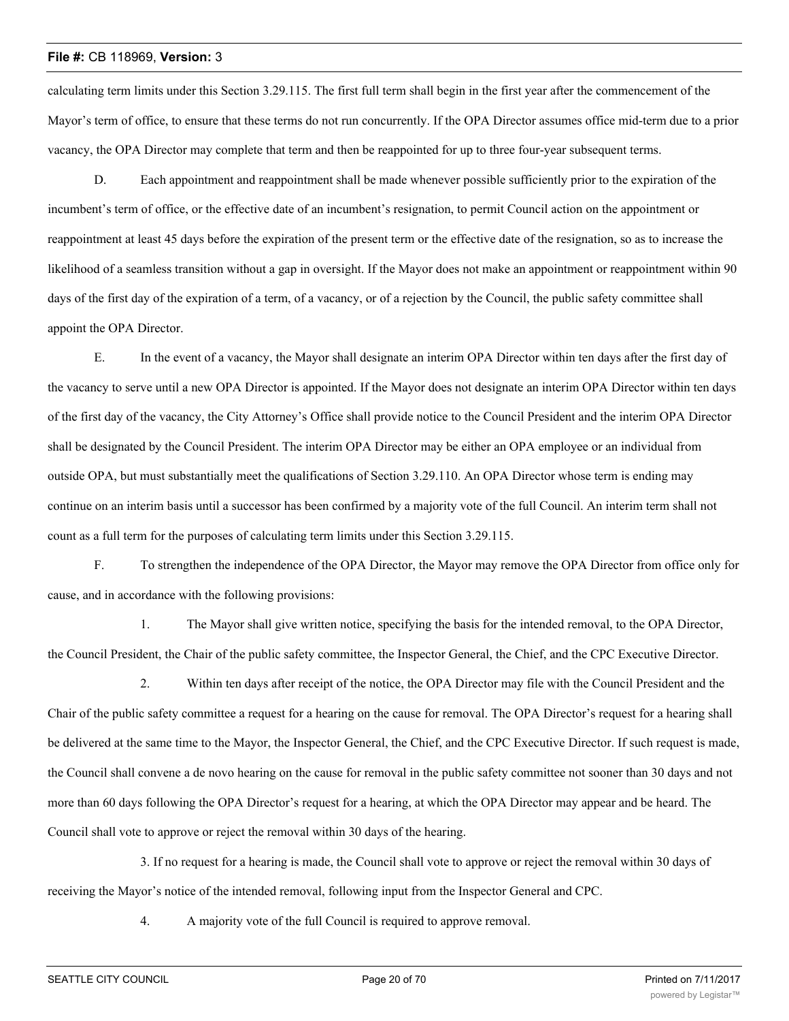calculating term limits under this Section 3.29.115. The first full term shall begin in the first year after the commencement of the Mayor's term of office, to ensure that these terms do not run concurrently. If the OPA Director assumes office mid-term due to a prior vacancy, the OPA Director may complete that term and then be reappointed for up to three four-year subsequent terms.

D. Each appointment and reappointment shall be made whenever possible sufficiently prior to the expiration of the incumbent's term of office, or the effective date of an incumbent's resignation, to permit Council action on the appointment or reappointment at least 45 days before the expiration of the present term or the effective date of the resignation, so as to increase the likelihood of a seamless transition without a gap in oversight. If the Mayor does not make an appointment or reappointment within 90 days of the first day of the expiration of a term, of a vacancy, or of a rejection by the Council, the public safety committee shall appoint the OPA Director.

E. In the event of a vacancy, the Mayor shall designate an interim OPA Director within ten days after the first day of the vacancy to serve until a new OPA Director is appointed. If the Mayor does not designate an interim OPA Director within ten days of the first day of the vacancy, the City Attorney's Office shall provide notice to the Council President and the interim OPA Director shall be designated by the Council President. The interim OPA Director may be either an OPA employee or an individual from outside OPA, but must substantially meet the qualifications of Section 3.29.110. An OPA Director whose term is ending may continue on an interim basis until a successor has been confirmed by a majority vote of the full Council. An interim term shall not count as a full term for the purposes of calculating term limits under this Section 3.29.115.

F. To strengthen the independence of the OPA Director, the Mayor may remove the OPA Director from office only for cause, and in accordance with the following provisions:

1. The Mayor shall give written notice, specifying the basis for the intended removal, to the OPA Director, the Council President, the Chair of the public safety committee, the Inspector General, the Chief, and the CPC Executive Director.

2. Within ten days after receipt of the notice, the OPA Director may file with the Council President and the Chair of the public safety committee a request for a hearing on the cause for removal. The OPA Director's request for a hearing shall be delivered at the same time to the Mayor, the Inspector General, the Chief, and the CPC Executive Director. If such request is made, the Council shall convene a de novo hearing on the cause for removal in the public safety committee not sooner than 30 days and not more than 60 days following the OPA Director's request for a hearing, at which the OPA Director may appear and be heard. The Council shall vote to approve or reject the removal within 30 days of the hearing.

3. If no request for a hearing is made, the Council shall vote to approve or reject the removal within 30 days of receiving the Mayor's notice of the intended removal, following input from the Inspector General and CPC.

4. A majority vote of the full Council is required to approve removal.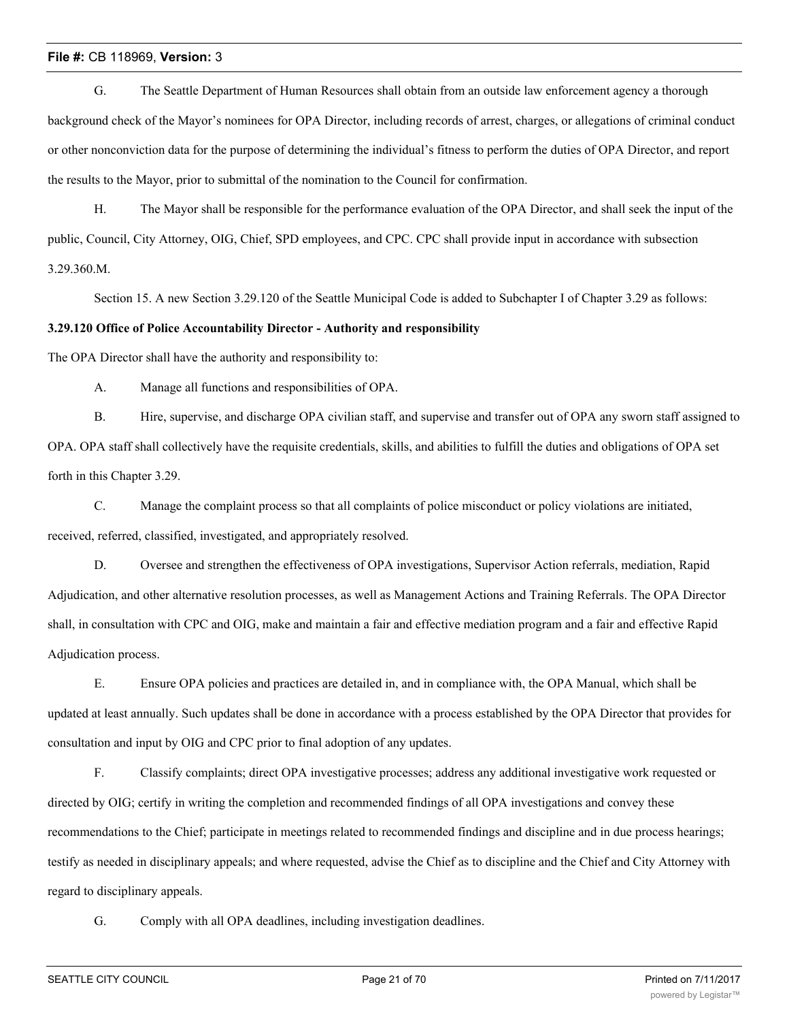G. The Seattle Department of Human Resources shall obtain from an outside law enforcement agency a thorough background check of the Mayor's nominees for OPA Director, including records of arrest, charges, or allegations of criminal conduct or other nonconviction data for the purpose of determining the individual's fitness to perform the duties of OPA Director, and report the results to the Mayor, prior to submittal of the nomination to the Council for confirmation.

H. The Mayor shall be responsible for the performance evaluation of the OPA Director, and shall seek the input of the public, Council, City Attorney, OIG, Chief, SPD employees, and CPC. CPC shall provide input in accordance with subsection 3.29.360.M.

Section 15. A new Section 3.29.120 of the Seattle Municipal Code is added to Subchapter I of Chapter 3.29 as follows:

# **3.29.120 Office of Police Accountability Director - Authority and responsibility**

The OPA Director shall have the authority and responsibility to:

A. Manage all functions and responsibilities of OPA.

B. Hire, supervise, and discharge OPA civilian staff, and supervise and transfer out of OPA any sworn staff assigned to OPA. OPA staff shall collectively have the requisite credentials, skills, and abilities to fulfill the duties and obligations of OPA set forth in this Chapter 3.29.

C. Manage the complaint process so that all complaints of police misconduct or policy violations are initiated, received, referred, classified, investigated, and appropriately resolved.

D. Oversee and strengthen the effectiveness of OPA investigations, Supervisor Action referrals, mediation, Rapid Adjudication, and other alternative resolution processes, as well as Management Actions and Training Referrals. The OPA Director shall, in consultation with CPC and OIG, make and maintain a fair and effective mediation program and a fair and effective Rapid Adjudication process.

E. Ensure OPA policies and practices are detailed in, and in compliance with, the OPA Manual, which shall be updated at least annually. Such updates shall be done in accordance with a process established by the OPA Director that provides for consultation and input by OIG and CPC prior to final adoption of any updates.

F. Classify complaints; direct OPA investigative processes; address any additional investigative work requested or directed by OIG; certify in writing the completion and recommended findings of all OPA investigations and convey these recommendations to the Chief; participate in meetings related to recommended findings and discipline and in due process hearings; testify as needed in disciplinary appeals; and where requested, advise the Chief as to discipline and the Chief and City Attorney with regard to disciplinary appeals.

G. Comply with all OPA deadlines, including investigation deadlines.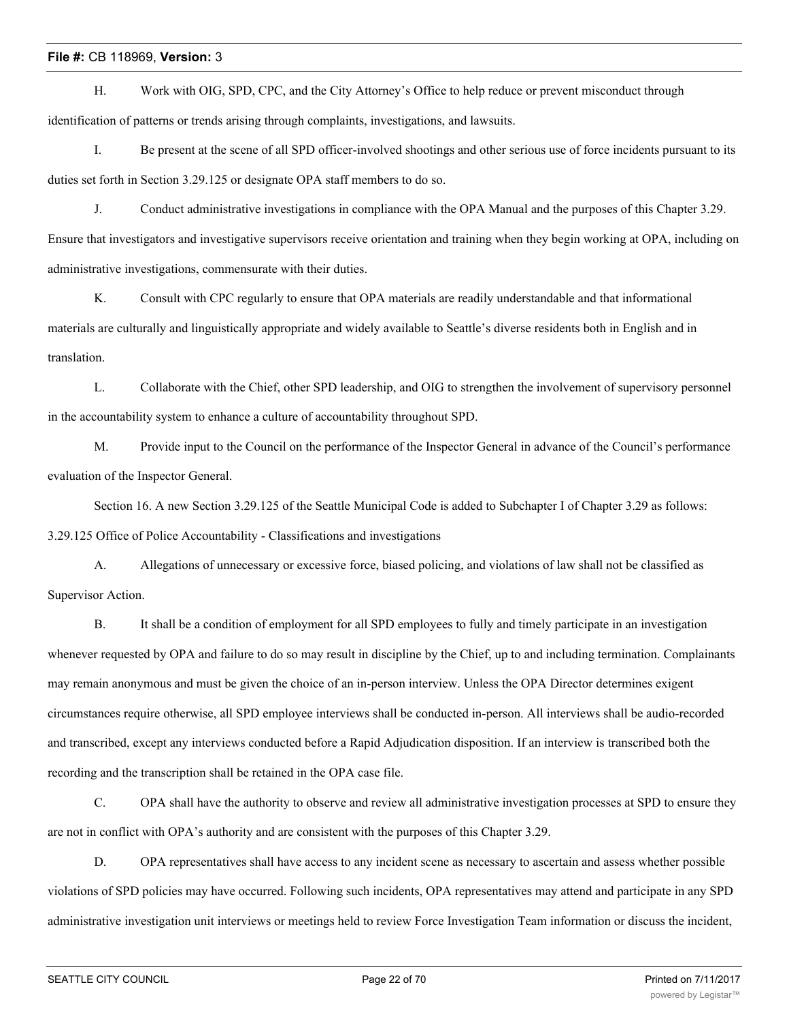H. Work with OIG, SPD, CPC, and the City Attorney's Office to help reduce or prevent misconduct through identification of patterns or trends arising through complaints, investigations, and lawsuits.

I. Be present at the scene of all SPD officer-involved shootings and other serious use of force incidents pursuant to its duties set forth in Section 3.29.125 or designate OPA staff members to do so.

J. Conduct administrative investigations in compliance with the OPA Manual and the purposes of this Chapter 3.29. Ensure that investigators and investigative supervisors receive orientation and training when they begin working at OPA, including on administrative investigations, commensurate with their duties.

K. Consult with CPC regularly to ensure that OPA materials are readily understandable and that informational materials are culturally and linguistically appropriate and widely available to Seattle's diverse residents both in English and in translation.

L. Collaborate with the Chief, other SPD leadership, and OIG to strengthen the involvement of supervisory personnel in the accountability system to enhance a culture of accountability throughout SPD.

M. Provide input to the Council on the performance of the Inspector General in advance of the Council's performance evaluation of the Inspector General.

Section 16. A new Section 3.29.125 of the Seattle Municipal Code is added to Subchapter I of Chapter 3.29 as follows: 3.29.125 Office of Police Accountability - Classifications and investigations

A. Allegations of unnecessary or excessive force, biased policing, and violations of law shall not be classified as Supervisor Action.

B. It shall be a condition of employment for all SPD employees to fully and timely participate in an investigation whenever requested by OPA and failure to do so may result in discipline by the Chief, up to and including termination. Complainants may remain anonymous and must be given the choice of an in-person interview. Unless the OPA Director determines exigent circumstances require otherwise, all SPD employee interviews shall be conducted in-person. All interviews shall be audio-recorded and transcribed, except any interviews conducted before a Rapid Adjudication disposition. If an interview is transcribed both the recording and the transcription shall be retained in the OPA case file.

C. OPA shall have the authority to observe and review all administrative investigation processes at SPD to ensure they are not in conflict with OPA's authority and are consistent with the purposes of this Chapter 3.29.

D. OPA representatives shall have access to any incident scene as necessary to ascertain and assess whether possible violations of SPD policies may have occurred. Following such incidents, OPA representatives may attend and participate in any SPD administrative investigation unit interviews or meetings held to review Force Investigation Team information or discuss the incident,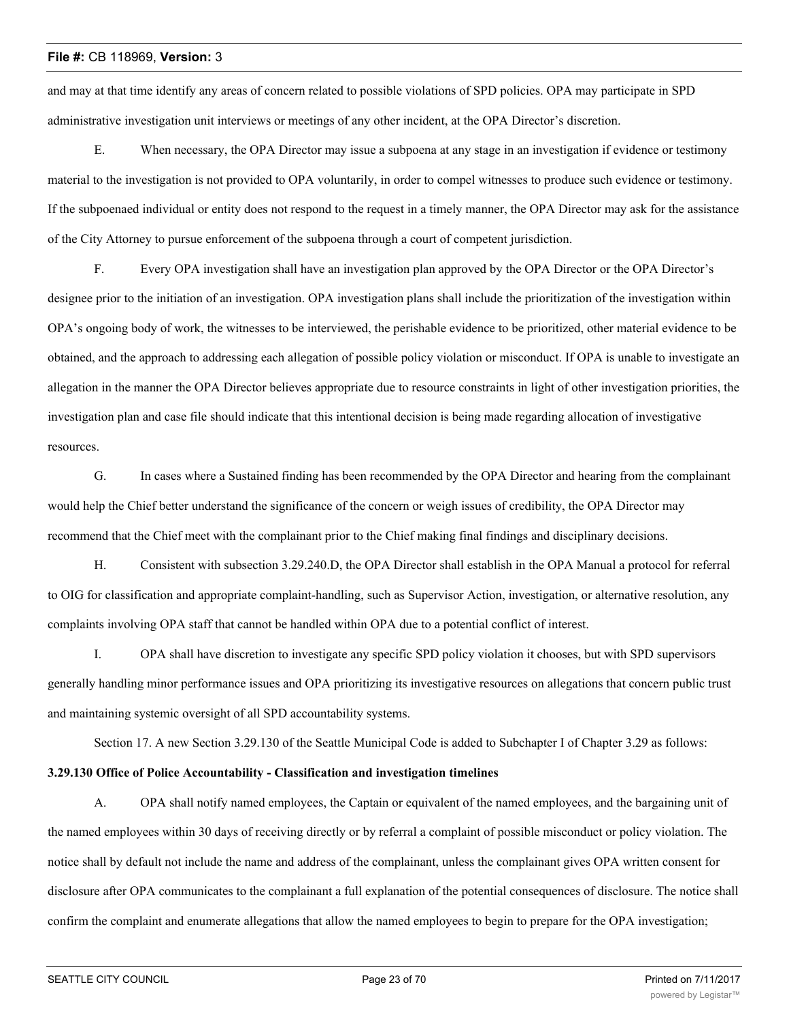and may at that time identify any areas of concern related to possible violations of SPD policies. OPA may participate in SPD administrative investigation unit interviews or meetings of any other incident, at the OPA Director's discretion.

E. When necessary, the OPA Director may issue a subpoena at any stage in an investigation if evidence or testimony material to the investigation is not provided to OPA voluntarily, in order to compel witnesses to produce such evidence or testimony. If the subpoenaed individual or entity does not respond to the request in a timely manner, the OPA Director may ask for the assistance of the City Attorney to pursue enforcement of the subpoena through a court of competent jurisdiction.

F. Every OPA investigation shall have an investigation plan approved by the OPA Director or the OPA Director's designee prior to the initiation of an investigation. OPA investigation plans shall include the prioritization of the investigation within OPA's ongoing body of work, the witnesses to be interviewed, the perishable evidence to be prioritized, other material evidence to be obtained, and the approach to addressing each allegation of possible policy violation or misconduct. If OPA is unable to investigate an allegation in the manner the OPA Director believes appropriate due to resource constraints in light of other investigation priorities, the investigation plan and case file should indicate that this intentional decision is being made regarding allocation of investigative resources.

G. In cases where a Sustained finding has been recommended by the OPA Director and hearing from the complainant would help the Chief better understand the significance of the concern or weigh issues of credibility, the OPA Director may recommend that the Chief meet with the complainant prior to the Chief making final findings and disciplinary decisions.

H. Consistent with subsection 3.29.240.D, the OPA Director shall establish in the OPA Manual a protocol for referral to OIG for classification and appropriate complaint-handling, such as Supervisor Action, investigation, or alternative resolution, any complaints involving OPA staff that cannot be handled within OPA due to a potential conflict of interest.

I. OPA shall have discretion to investigate any specific SPD policy violation it chooses, but with SPD supervisors generally handling minor performance issues and OPA prioritizing its investigative resources on allegations that concern public trust and maintaining systemic oversight of all SPD accountability systems.

Section 17. A new Section 3.29.130 of the Seattle Municipal Code is added to Subchapter I of Chapter 3.29 as follows:

# **3.29.130 Office of Police Accountability - Classification and investigation timelines**

A. OPA shall notify named employees, the Captain or equivalent of the named employees, and the bargaining unit of the named employees within 30 days of receiving directly or by referral a complaint of possible misconduct or policy violation. The notice shall by default not include the name and address of the complainant, unless the complainant gives OPA written consent for disclosure after OPA communicates to the complainant a full explanation of the potential consequences of disclosure. The notice shall confirm the complaint and enumerate allegations that allow the named employees to begin to prepare for the OPA investigation;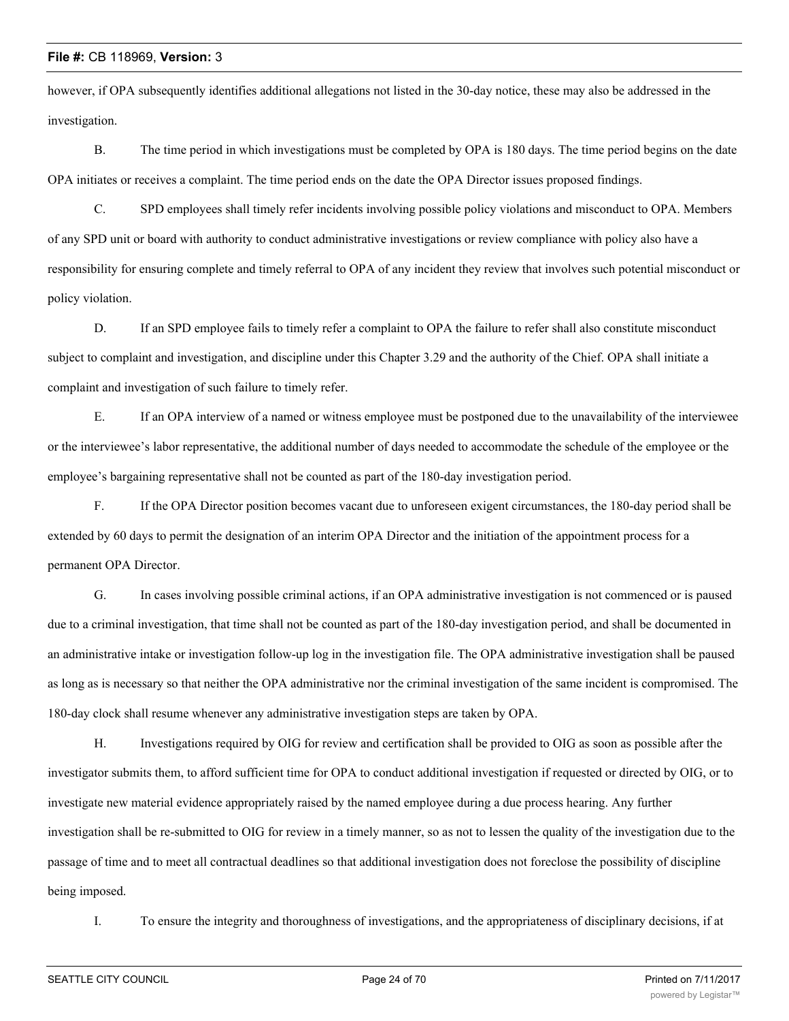however, if OPA subsequently identifies additional allegations not listed in the 30-day notice, these may also be addressed in the investigation.

B. The time period in which investigations must be completed by OPA is 180 days. The time period begins on the date OPA initiates or receives a complaint. The time period ends on the date the OPA Director issues proposed findings.

C. SPD employees shall timely refer incidents involving possible policy violations and misconduct to OPA. Members of any SPD unit or board with authority to conduct administrative investigations or review compliance with policy also have a responsibility for ensuring complete and timely referral to OPA of any incident they review that involves such potential misconduct or policy violation.

D. If an SPD employee fails to timely refer a complaint to OPA the failure to refer shall also constitute misconduct subject to complaint and investigation, and discipline under this Chapter 3.29 and the authority of the Chief. OPA shall initiate a complaint and investigation of such failure to timely refer.

E. If an OPA interview of a named or witness employee must be postponed due to the unavailability of the interviewee or the interviewee's labor representative, the additional number of days needed to accommodate the schedule of the employee or the employee's bargaining representative shall not be counted as part of the 180-day investigation period.

F. If the OPA Director position becomes vacant due to unforeseen exigent circumstances, the 180-day period shall be extended by 60 days to permit the designation of an interim OPA Director and the initiation of the appointment process for a permanent OPA Director.

G. In cases involving possible criminal actions, if an OPA administrative investigation is not commenced or is paused due to a criminal investigation, that time shall not be counted as part of the 180-day investigation period, and shall be documented in an administrative intake or investigation follow-up log in the investigation file. The OPA administrative investigation shall be paused as long as is necessary so that neither the OPA administrative nor the criminal investigation of the same incident is compromised. The 180-day clock shall resume whenever any administrative investigation steps are taken by OPA.

H. Investigations required by OIG for review and certification shall be provided to OIG as soon as possible after the investigator submits them, to afford sufficient time for OPA to conduct additional investigation if requested or directed by OIG, or to investigate new material evidence appropriately raised by the named employee during a due process hearing. Any further investigation shall be re-submitted to OIG for review in a timely manner, so as not to lessen the quality of the investigation due to the passage of time and to meet all contractual deadlines so that additional investigation does not foreclose the possibility of discipline being imposed.

I. To ensure the integrity and thoroughness of investigations, and the appropriateness of disciplinary decisions, if at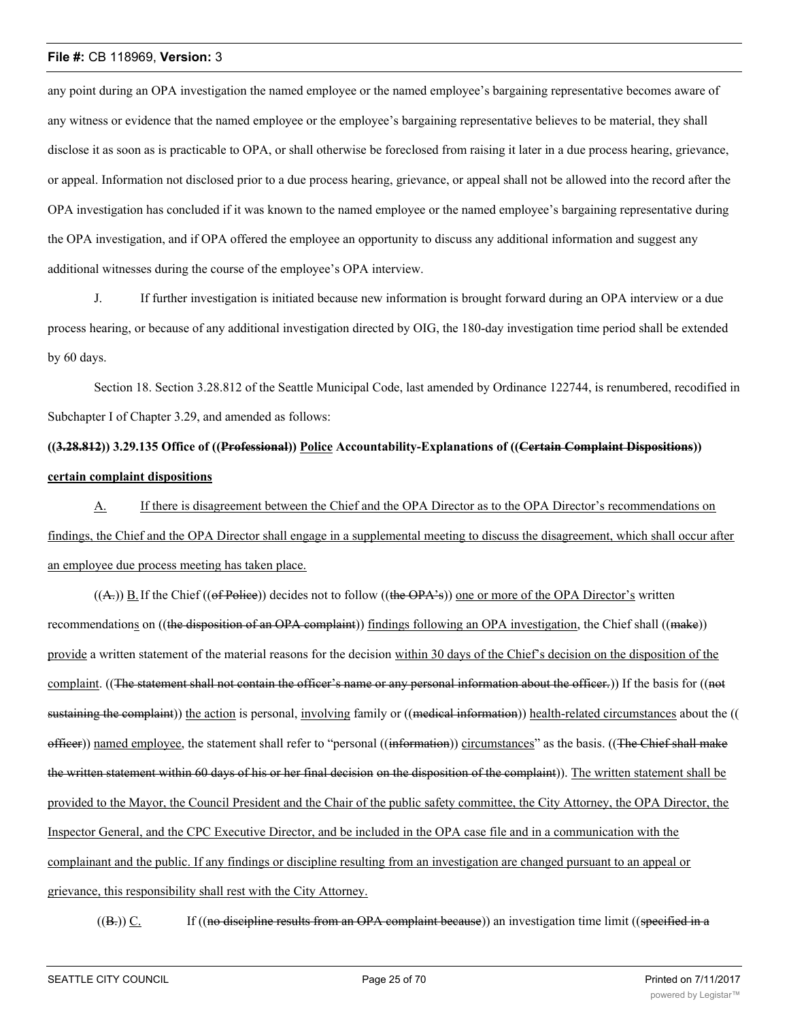any point during an OPA investigation the named employee or the named employee's bargaining representative becomes aware of any witness or evidence that the named employee or the employee's bargaining representative believes to be material, they shall disclose it as soon as is practicable to OPA, or shall otherwise be foreclosed from raising it later in a due process hearing, grievance, or appeal. Information not disclosed prior to a due process hearing, grievance, or appeal shall not be allowed into the record after the OPA investigation has concluded if it was known to the named employee or the named employee's bargaining representative during the OPA investigation, and if OPA offered the employee an opportunity to discuss any additional information and suggest any additional witnesses during the course of the employee's OPA interview.

J. If further investigation is initiated because new information is brought forward during an OPA interview or a due process hearing, or because of any additional investigation directed by OIG, the 180-day investigation time period shall be extended by 60 days.

Section 18. Section 3.28.812 of the Seattle Municipal Code, last amended by Ordinance 122744, is renumbered, recodified in Subchapter I of Chapter 3.29, and amended as follows:

# **((3.28.812)) 3.29.135 Office of ((Professional)) Police Accountability-Explanations of ((Certain Complaint Dispositions)) certain complaint dispositions**

A. If there is disagreement between the Chief and the OPA Director as to the OPA Director's recommendations on findings, the Chief and the OPA Director shall engage in a supplemental meeting to discuss the disagreement, which shall occur after an employee due process meeting has taken place.

 $((A))$  B. If the Chief  $((of$  Police)) decides not to follow  $((the$  OPA $\cdot$ s $))$  one or more of the OPA Director's written recommendations on ((the disposition of an OPA complaint)) findings following an OPA investigation, the Chief shall ((make)) provide a written statement of the material reasons for the decision within 30 days of the Chief's decision on the disposition of the complaint. ((The statement shall not contain the officer's name or any personal information about the officer.)) If the basis for ((not sustaining the complaint)) the action is personal, involving family or ((medical information)) health-related circumstances about the (( officer)) named employee, the statement shall refer to "personal ((information)) circumstances" as the basis. ((The Chief shall make the written statement within 60 days of his or her final decision on the disposition of the complaint)). The written statement shall be provided to the Mayor, the Council President and the Chair of the public safety committee, the City Attorney, the OPA Director, the Inspector General, and the CPC Executive Director, and be included in the OPA case file and in a communication with the complainant and the public. If any findings or discipline resulting from an investigation are changed pursuant to an appeal or grievance, this responsibility shall rest with the City Attorney.

 $((B<sub>z</sub>))$  C. If  $((no$  discipline results from an OPA complaint because)) an investigation time limit ((specified in a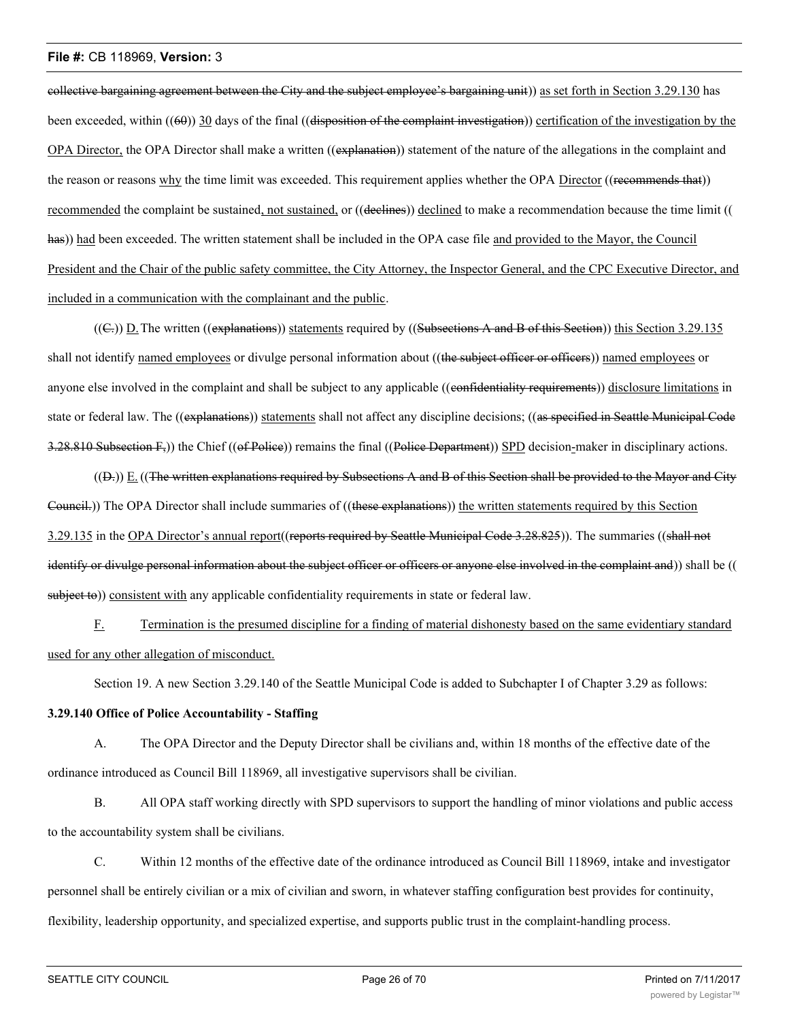collective bargaining agreement between the City and the subject employee's bargaining unit)) as set forth in Section 3.29.130 has been exceeded, within  $((60))$  30 days of the final  $((dissposition of the complaint investigation))$  certification of the investigation by the OPA Director, the OPA Director shall make a written ((explanation)) statement of the nature of the allegations in the complaint and the reason or reasons why the time limit was exceeded. This requirement applies whether the OPA Director ((recommends that)) recommended the complaint be sustained, not sustained, or ((declines)) declined to make a recommendation because the time limit (( has)) had been exceeded. The written statement shall be included in the OPA case file and provided to the Mayor, the Council President and the Chair of the public safety committee, the City Attorney, the Inspector General, and the CPC Executive Director, and included in a communication with the complainant and the public.

 $((\subseteq))$  D. The written ((explanations)) statements required by ((Subsections A and B of this Section)) this Section 3.29.135 shall not identify named employees or divulge personal information about ((the subject officer or officers)) named employees or anyone else involved in the complaint and shall be subject to any applicable ((confidentiality requirements)) disclosure limitations in state or federal law. The ((explanations)) statements shall not affect any discipline decisions; ((as specified in Seattle Municipal Code 3.28.810 Subsection  $F_5$ ) the Chief ((of Police)) remains the final ((Police Department)) SPD decision-maker in disciplinary actions.

 $((D<sub>r</sub>))$  E.  $((The written explanations required by Subsections A and B of this Section shall be provided to the Mayor and City$ Council.)) The OPA Director shall include summaries of ((these explanations)) the written statements required by this Section 3.29.135 in the OPA Director's annual report((reports required by Seattle Municipal Code 3.28.825)). The summaries ((shall not identify or divulge personal information about the subject officer or officers or anyone else involved in the complaint and)) shall be (( subject to)) consistent with any applicable confidentiality requirements in state or federal law.

F. Termination is the presumed discipline for a finding of material dishonesty based on the same evidentiary standard used for any other allegation of misconduct.

Section 19. A new Section 3.29.140 of the Seattle Municipal Code is added to Subchapter I of Chapter 3.29 as follows:

#### **3.29.140 Office of Police Accountability - Staffing**

A. The OPA Director and the Deputy Director shall be civilians and, within 18 months of the effective date of the ordinance introduced as Council Bill 118969, all investigative supervisors shall be civilian.

B. All OPA staff working directly with SPD supervisors to support the handling of minor violations and public access to the accountability system shall be civilians.

C. Within 12 months of the effective date of the ordinance introduced as Council Bill 118969, intake and investigator personnel shall be entirely civilian or a mix of civilian and sworn, in whatever staffing configuration best provides for continuity, flexibility, leadership opportunity, and specialized expertise, and supports public trust in the complaint-handling process.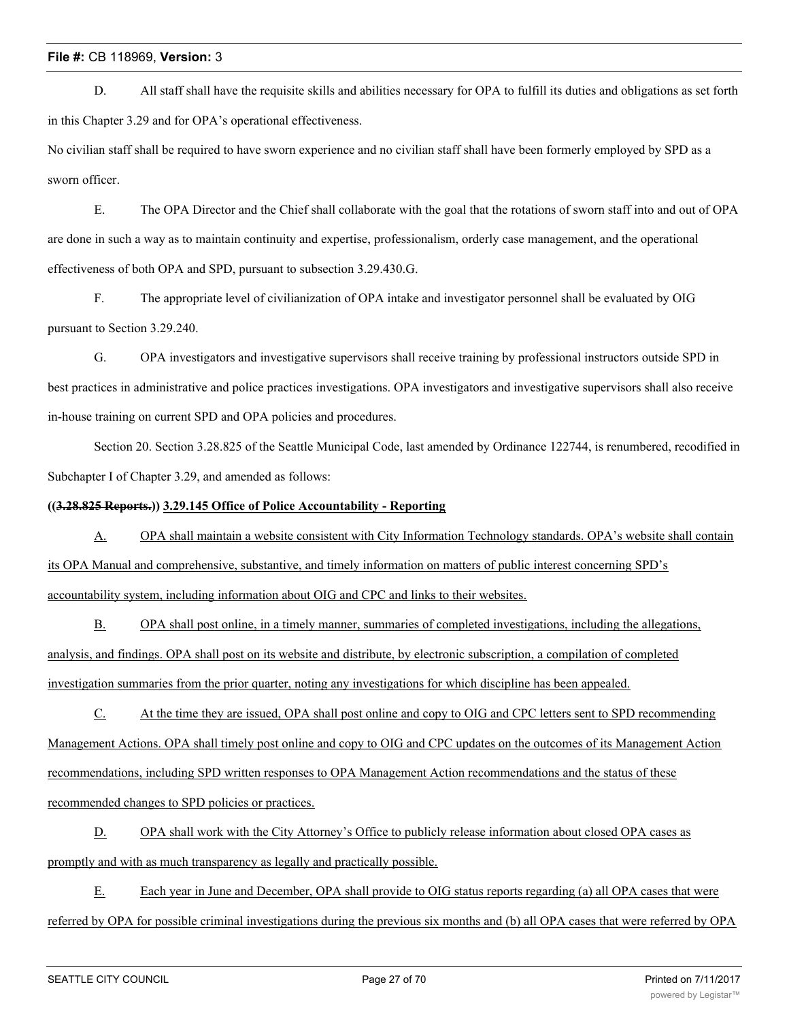D. All staff shall have the requisite skills and abilities necessary for OPA to fulfill its duties and obligations as set forth in this Chapter 3.29 and for OPA's operational effectiveness.

No civilian staff shall be required to have sworn experience and no civilian staff shall have been formerly employed by SPD as a sworn officer.

E. The OPA Director and the Chief shall collaborate with the goal that the rotations of sworn staff into and out of OPA are done in such a way as to maintain continuity and expertise, professionalism, orderly case management, and the operational effectiveness of both OPA and SPD, pursuant to subsection 3.29.430.G.

F. The appropriate level of civilianization of OPA intake and investigator personnel shall be evaluated by OIG pursuant to Section 3.29.240.

G. OPA investigators and investigative supervisors shall receive training by professional instructors outside SPD in best practices in administrative and police practices investigations. OPA investigators and investigative supervisors shall also receive in-house training on current SPD and OPA policies and procedures.

Section 20. Section 3.28.825 of the Seattle Municipal Code, last amended by Ordinance 122744, is renumbered, recodified in Subchapter I of Chapter 3.29, and amended as follows:

# **((3.28.825 Reports.)) 3.29.145 Office of Police Accountability - Reporting**

A. OPA shall maintain a website consistent with City Information Technology standards. OPA's website shall contain its OPA Manual and comprehensive, substantive, and timely information on matters of public interest concerning SPD's accountability system, including information about OIG and CPC and links to their websites.

B. OPA shall post online, in a timely manner, summaries of completed investigations, including the allegations, analysis, and findings. OPA shall post on its website and distribute, by electronic subscription, a compilation of completed investigation summaries from the prior quarter, noting any investigations for which discipline has been appealed.

C. At the time they are issued, OPA shall post online and copy to OIG and CPC letters sent to SPD recommending Management Actions. OPA shall timely post online and copy to OIG and CPC updates on the outcomes of its Management Action recommendations, including SPD written responses to OPA Management Action recommendations and the status of these recommended changes to SPD policies or practices.

D. OPA shall work with the City Attorney's Office to publicly release information about closed OPA cases as promptly and with as much transparency as legally and practically possible.

E. Each year in June and December, OPA shall provide to OIG status reports regarding (a) all OPA cases that were referred by OPA for possible criminal investigations during the previous six months and (b) all OPA cases that were referred by OPA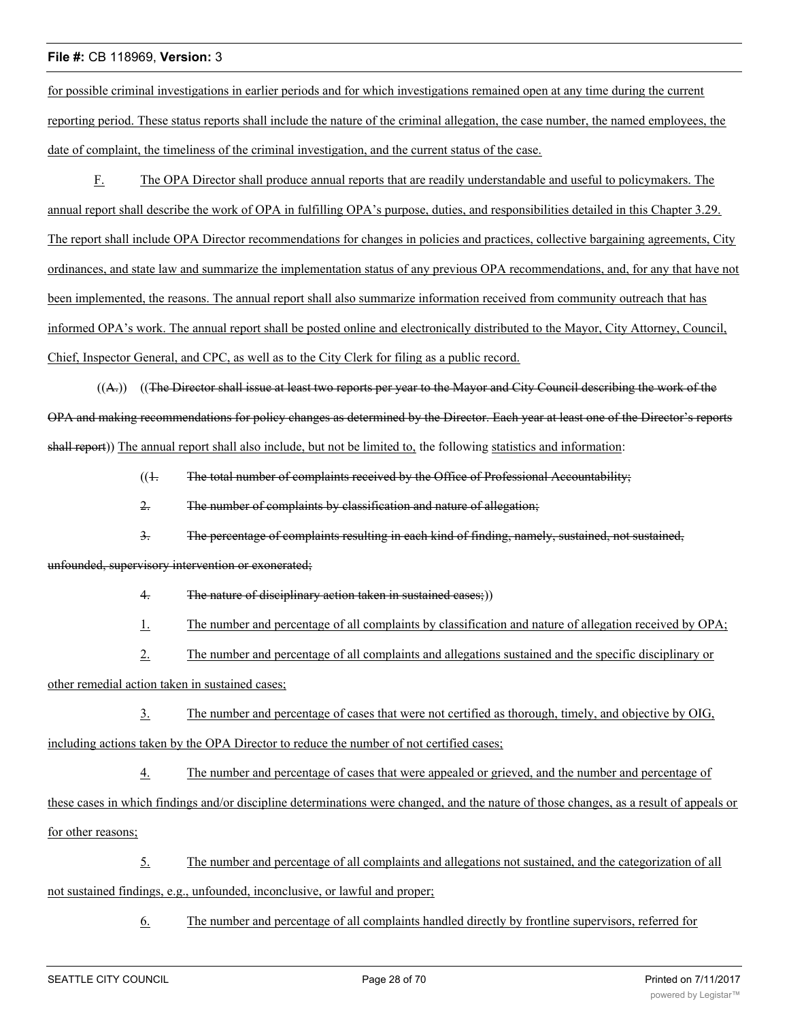for possible criminal investigations in earlier periods and for which investigations remained open at any time during the current reporting period. These status reports shall include the nature of the criminal allegation, the case number, the named employees, the date of complaint, the timeliness of the criminal investigation, and the current status of the case.

F. The OPA Director shall produce annual reports that are readily understandable and useful to policymakers. The annual report shall describe the work of OPA in fulfilling OPA's purpose, duties, and responsibilities detailed in this Chapter 3.29. The report shall include OPA Director recommendations for changes in policies and practices, collective bargaining agreements, City ordinances, and state law and summarize the implementation status of any previous OPA recommendations, and, for any that have not been implemented, the reasons. The annual report shall also summarize information received from community outreach that has informed OPA's work. The annual report shall be posted online and electronically distributed to the Mayor, City Attorney, Council, Chief, Inspector General, and CPC, as well as to the City Clerk for filing as a public record.

 $((A))$   $((The Director shall issue at least two reports per year to the Mayor and City Council describing the work of the$ OPA and making recommendations for policy changes as determined by the Director. Each year at least one of the Director's reports shall report)) The annual report shall also include, but not be limited to, the following statistics and information:

 $(1.$  The total number of complaints received by the Office of Professional Accountability;

2. The number of complaints by classification and nature of allegation;

3. The percentage of complaints resulting in each kind of finding, namely, sustained, not sustained,

#### unfounded, supervisory intervention or exonerated;

4. The nature of disciplinary action taken in sustained cases;)

1. The number and percentage of all complaints by classification and nature of allegation received by OPA;

2. The number and percentage of all complaints and allegations sustained and the specific disciplinary or

other remedial action taken in sustained cases;

3. The number and percentage of cases that were not certified as thorough, timely, and objective by OIG, including actions taken by the OPA Director to reduce the number of not certified cases;

4. The number and percentage of cases that were appealed or grieved, and the number and percentage of these cases in which findings and/or discipline determinations were changed, and the nature of those changes, as a result of appeals or for other reasons;

5. The number and percentage of all complaints and allegations not sustained, and the categorization of all not sustained findings, e.g., unfounded, inconclusive, or lawful and proper;

6. The number and percentage of all complaints handled directly by frontline supervisors, referred for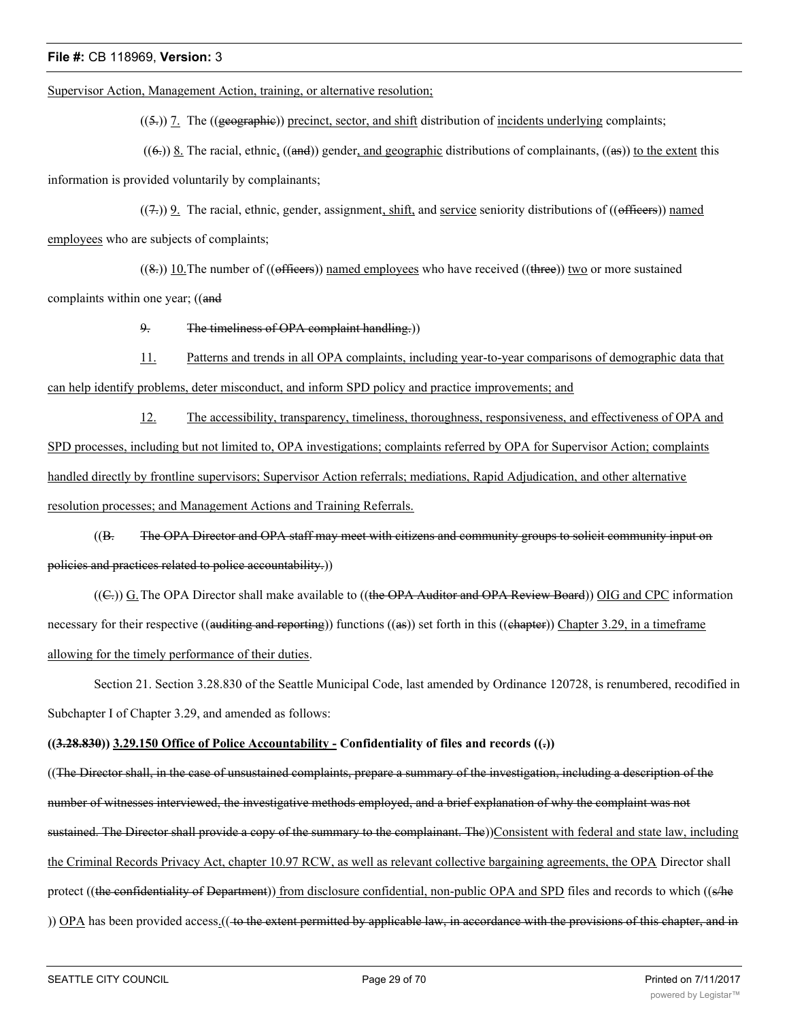Supervisor Action, Management Action, training, or alternative resolution;

 $((5))$  7. The ((geographic)) precinct, sector, and shift distribution of incidents underlying complaints;

 $((6))$  8. The racial, ethnic,  $((and))$  gender, and geographic distributions of complainants,  $((as))$  to the extent this information is provided voluntarily by complainants;

 $((7))$  9. The racial, ethnic, gender, assignment, shift, and service seniority distributions of ((officers)) named employees who are subjects of complaints;

 $((8))$  10. The number of  $((\text{effieers}))$  named employees who have received  $((\text{three}))$  two or more sustained complaints within one year; ((and

9. The timeliness of OPA complaint handling.))

11. Patterns and trends in all OPA complaints, including year-to-year comparisons of demographic data that can help identify problems, deter misconduct, and inform SPD policy and practice improvements; and

12. The accessibility, transparency, timeliness, thoroughness, responsiveness, and effectiveness of OPA and SPD processes, including but not limited to, OPA investigations; complaints referred by OPA for Supervisor Action; complaints handled directly by frontline supervisors; Supervisor Action referrals; mediations, Rapid Adjudication, and other alternative resolution processes; and Management Actions and Training Referrals.

((B. The OPA Director and OPA staff may meet with citizens and community groups to solicit community input on policies and practices related to police accountability.))

((E,)) G. The OPA Director shall make available to ((the OPA Auditor and OPA Review Board)) OIG and CPC information necessary for their respective ((auditing and reporting)) functions ((as)) set forth in this ((ehapter)) Chapter 3.29, in a timeframe allowing for the timely performance of their duties.

Section 21. Section 3.28.830 of the Seattle Municipal Code, last amended by Ordinance 120728, is renumbered, recodified in Subchapter I of Chapter 3.29, and amended as follows:

# **((3.28.830)) 3.29.150 Office of Police Accountability - Confidentiality of files and records ((.))**

((The Director shall, in the case of unsustained complaints, prepare a summary of the investigation, including a description of the number of witnesses interviewed, the investigative methods employed, and a brief explanation of why the complaint was not sustained. The Director shall provide a copy of the summary to the complainant. The))Consistent with federal and state law, including the Criminal Records Privacy Act, chapter 10.97 RCW, as well as relevant collective bargaining agreements, the OPA Director shall protect ((the confidentiality of Department)) from disclosure confidential, non-public OPA and SPD files and records to which ((s/he )) OPA has been provided access.((to the extent permitted by applicable law, in accordance with the provisions of this chapter, and in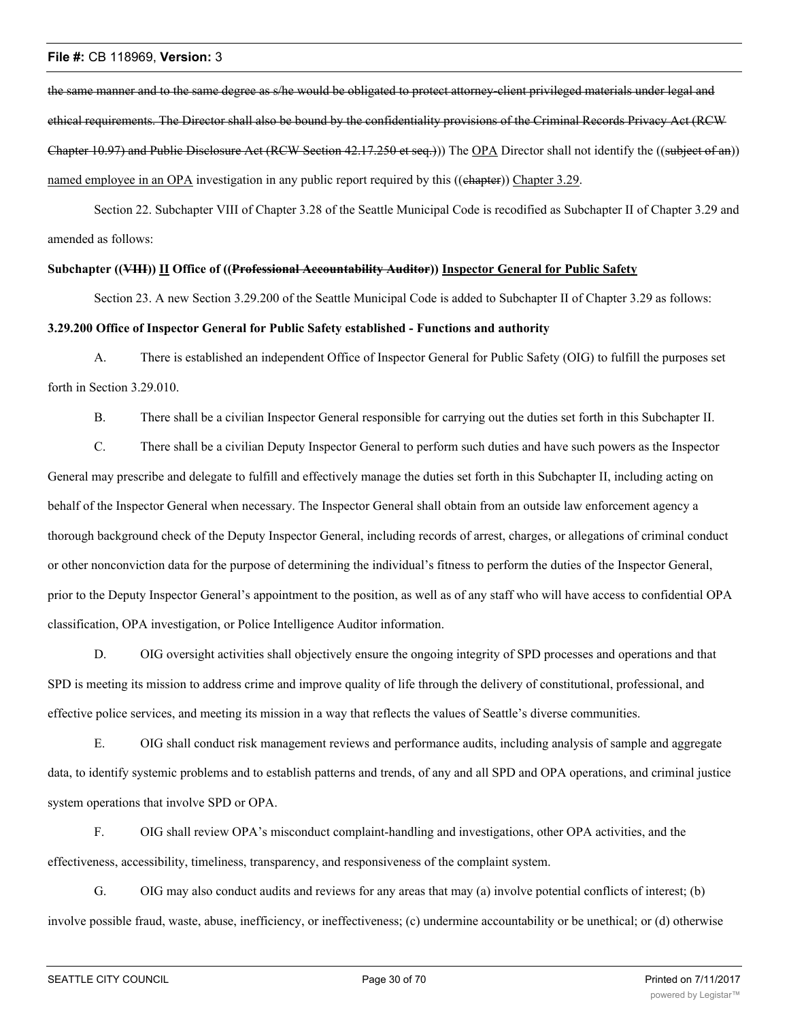the same manner and to the same degree as s/he would be obligated to protect attorney-client privileged materials under legal and ethical requirements. The Director shall also be bound by the confidentiality provisions of the Criminal Records Privacy Act (RCW Chapter 10.97) and Public Disclosure Act (RCW Section 42.17.250 et seq.))) The OPA Director shall not identify the ((subject of an)) named employee in an OPA investigation in any public report required by this ((chapter)) Chapter 3.29.

Section 22. Subchapter VIII of Chapter 3.28 of the Seattle Municipal Code is recodified as Subchapter II of Chapter 3.29 and amended as follows:

## **Subchapter ((VIII)) II Office of ((Professional Accountability Auditor)) Inspector General for Public Safety**

Section 23. A new Section 3.29.200 of the Seattle Municipal Code is added to Subchapter II of Chapter 3.29 as follows:

# **3.29.200 Office of Inspector General for Public Safety established - Functions and authority**

A. There is established an independent Office of Inspector General for Public Safety (OIG) to fulfill the purposes set forth in Section 3.29.010.

B. There shall be a civilian Inspector General responsible for carrying out the duties set forth in this Subchapter II.

C. There shall be a civilian Deputy Inspector General to perform such duties and have such powers as the Inspector General may prescribe and delegate to fulfill and effectively manage the duties set forth in this Subchapter II, including acting on behalf of the Inspector General when necessary. The Inspector General shall obtain from an outside law enforcement agency a thorough background check of the Deputy Inspector General, including records of arrest, charges, or allegations of criminal conduct or other nonconviction data for the purpose of determining the individual's fitness to perform the duties of the Inspector General, prior to the Deputy Inspector General's appointment to the position, as well as of any staff who will have access to confidential OPA classification, OPA investigation, or Police Intelligence Auditor information.

D. OIG oversight activities shall objectively ensure the ongoing integrity of SPD processes and operations and that SPD is meeting its mission to address crime and improve quality of life through the delivery of constitutional, professional, and effective police services, and meeting its mission in a way that reflects the values of Seattle's diverse communities.

E. OIG shall conduct risk management reviews and performance audits, including analysis of sample and aggregate data, to identify systemic problems and to establish patterns and trends, of any and all SPD and OPA operations, and criminal justice system operations that involve SPD or OPA.

F. OIG shall review OPA's misconduct complaint-handling and investigations, other OPA activities, and the effectiveness, accessibility, timeliness, transparency, and responsiveness of the complaint system.

G. OIG may also conduct audits and reviews for any areas that may (a) involve potential conflicts of interest; (b) involve possible fraud, waste, abuse, inefficiency, or ineffectiveness; (c) undermine accountability or be unethical; or (d) otherwise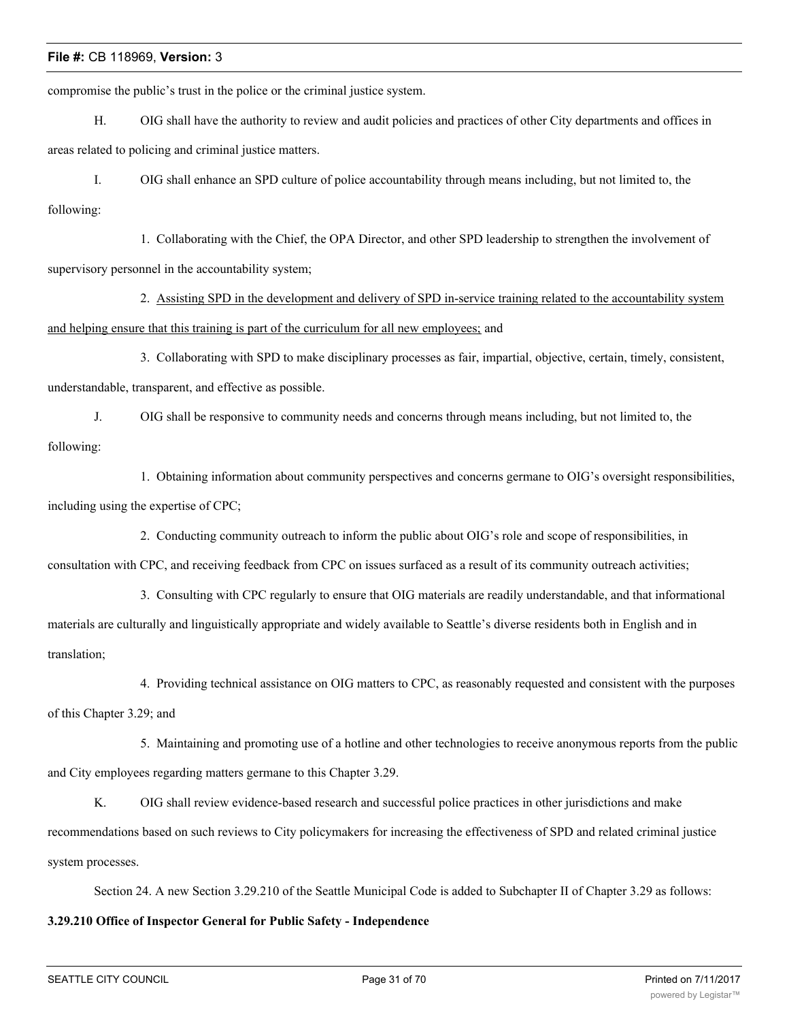compromise the public's trust in the police or the criminal justice system.

H. OIG shall have the authority to review and audit policies and practices of other City departments and offices in areas related to policing and criminal justice matters.

I. OIG shall enhance an SPD culture of police accountability through means including, but not limited to, the following:

1. Collaborating with the Chief, the OPA Director, and other SPD leadership to strengthen the involvement of supervisory personnel in the accountability system;

2. Assisting SPD in the development and delivery of SPD in-service training related to the accountability system and helping ensure that this training is part of the curriculum for all new employees; and

3. Collaborating with SPD to make disciplinary processes as fair, impartial, objective, certain, timely, consistent, understandable, transparent, and effective as possible.

J. OIG shall be responsive to community needs and concerns through means including, but not limited to, the following:

1. Obtaining information about community perspectives and concerns germane to OIG's oversight responsibilities, including using the expertise of CPC;

2. Conducting community outreach to inform the public about OIG's role and scope of responsibilities, in

consultation with CPC, and receiving feedback from CPC on issues surfaced as a result of its community outreach activities;

3. Consulting with CPC regularly to ensure that OIG materials are readily understandable, and that informational materials are culturally and linguistically appropriate and widely available to Seattle's diverse residents both in English and in translation;

4. Providing technical assistance on OIG matters to CPC, as reasonably requested and consistent with the purposes of this Chapter 3.29; and

5. Maintaining and promoting use of a hotline and other technologies to receive anonymous reports from the public and City employees regarding matters germane to this Chapter 3.29.

K. OIG shall review evidence-based research and successful police practices in other jurisdictions and make recommendations based on such reviews to City policymakers for increasing the effectiveness of SPD and related criminal justice system processes.

Section 24. A new Section 3.29.210 of the Seattle Municipal Code is added to Subchapter II of Chapter 3.29 as follows:

# **3.29.210 Office of Inspector General for Public Safety - Independence**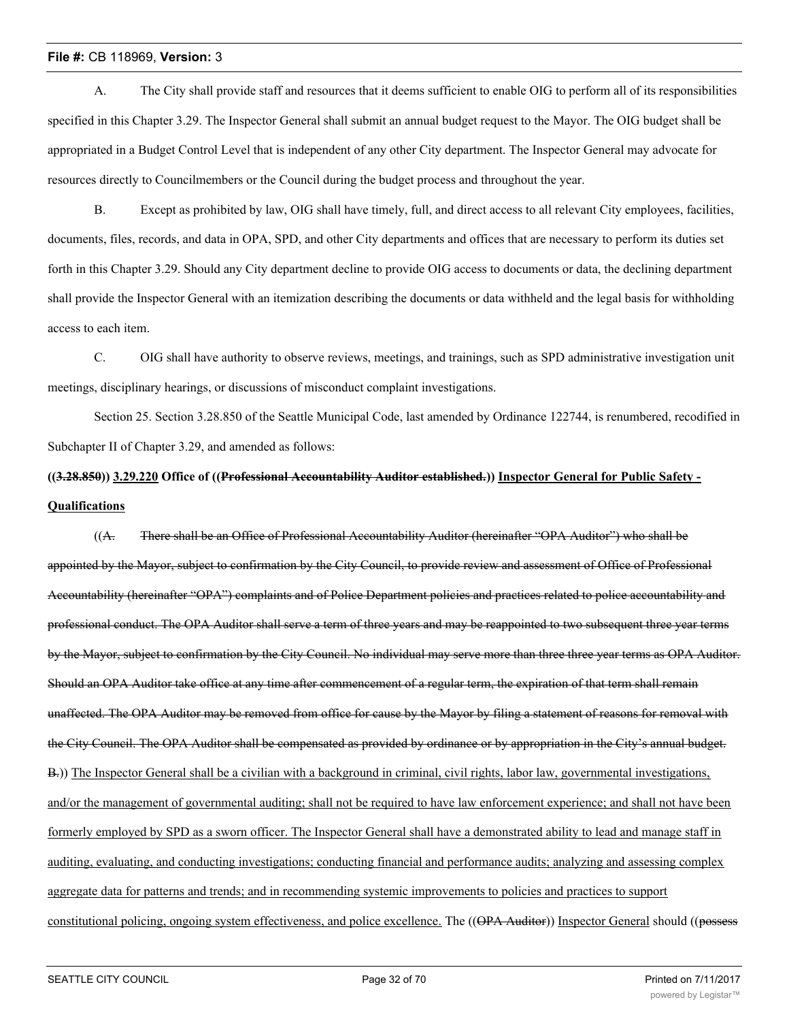A. The City shall provide staff and resources that it deems sufficient to enable OIG to perform all of its responsibilities specified in this Chapter 3.29. The Inspector General shall submit an annual budget request to the Mayor. The OIG budget shall be appropriated in a Budget Control Level that is independent of any other City department. The Inspector General may advocate for resources directly to Councilmembers or the Council during the budget process and throughout the year.

B. Except as prohibited by law, OIG shall have timely, full, and direct access to all relevant City employees, facilities, documents, files, records, and data in OPA, SPD, and other City departments and offices that are necessary to perform its duties set forth in this Chapter 3.29. Should any City department decline to provide OIG access to documents or data, the declining department shall provide the Inspector General with an itemization describing the documents or data withheld and the legal basis for withholding access to each item.

C. OIG shall have authority to observe reviews, meetings, and trainings, such as SPD administrative investigation unit meetings, disciplinary hearings, or discussions of misconduct complaint investigations.

Section 25. Section 3.28.850 of the Seattle Municipal Code, last amended by Ordinance 122744, is renumbered, recodified in Subchapter II of Chapter 3.29, and amended as follows:

# **((3.28.850)) 3.29.220 Office of ((Professional Accountability Auditor established.)) Inspector General for Public Safety - Qualifications**

((A. There shall be an Office of Professional Accountability Auditor (hereinafter "OPA Auditor") who shall be appointed by the Mayor, subject to confirmation by the City Council, to provide review and assessment of Office of Professional Accountability (hereinafter "OPA") complaints and of Police Department policies and practices related to police accountability and professional conduct. The OPA Auditor shall serve a term of three years and may be reappointed to two subsequent three year terms by the Mayor, subject to confirmation by the City Council. No individual may serve more than three three year terms as OPA Auditor. Should an OPA Auditor take office at any time after commencement of a regular term, the expiration of that term shall remain unaffected. The OPA Auditor may be removed from office for cause by the Mayor by filing a statement of reasons for removal with the City Council. The OPA Auditor shall be compensated as provided by ordinance or by appropriation in the City's annual budget. B.)) The Inspector General shall be a civilian with a background in criminal, civil rights, labor law, governmental investigations, and/or the management of governmental auditing; shall not be required to have law enforcement experience; and shall not have been formerly employed by SPD as a sworn officer. The Inspector General shall have a demonstrated ability to lead and manage staff in auditing, evaluating, and conducting investigations; conducting financial and performance audits; analyzing and assessing complex aggregate data for patterns and trends; and in recommending systemic improvements to policies and practices to support constitutional policing, ongoing system effectiveness, and police excellence. The ((OPA Auditor)) Inspector General should ((possess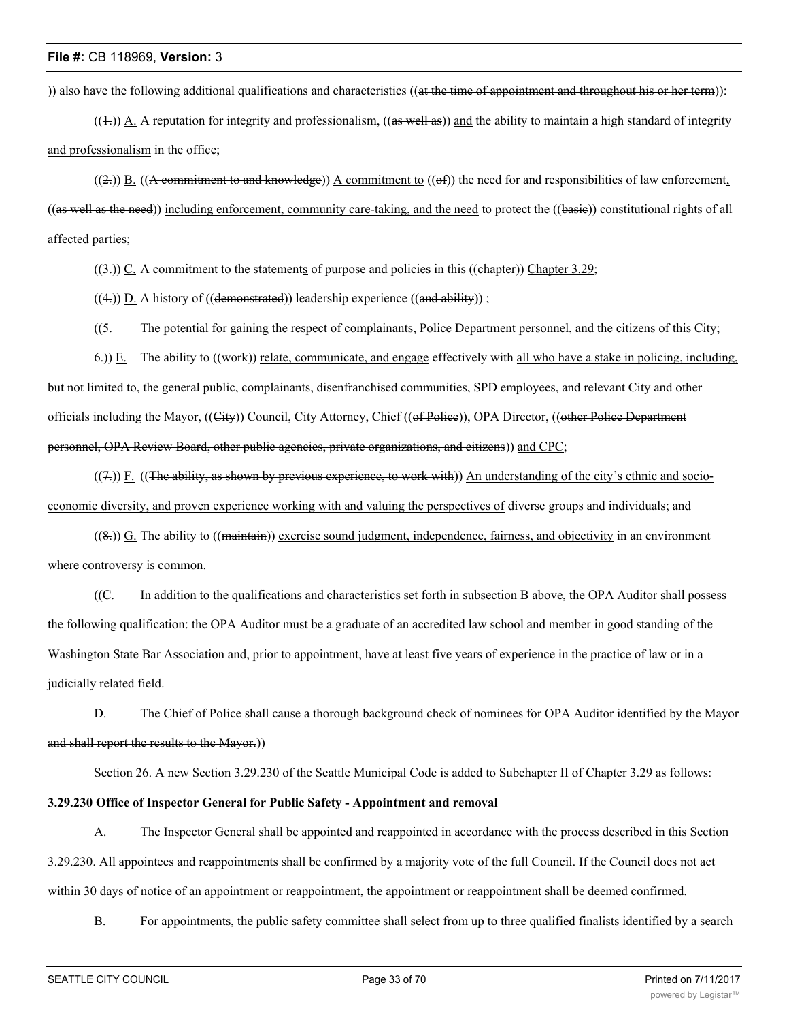)) also have the following additional qualifications and characteristics ((at the time of appointment and throughout his or her term)):

 $((+))$  A. A reputation for integrity and professionalism,  $((as well as))$  and the ability to maintain a high standard of integrity and professionalism in the office;

 $((2))$  B.  $((A$  commitment to and knowledge)) A commitment to  $((ef))$  the need for and responsibilities of law enforcement,  $((as well as the need))$  including enforcement, community care-taking, and the need to protect the  $((basie))$  constitutional rights of all affected parties;

 $((3))$  C. A commitment to the statements of purpose and policies in this ((chapter)) Chapter 3.29;

 $((4))$   $\underline{D}$ . A history of  $((\text{demonstrated}))$  leadership experience  $((\text{and ability}))$ ;

 $(15.$  The potential for gaining the respect of complainants, Police Department personnel, and the citizens of this City;

 $6$ .)) E. The ability to  $((\text{work}))$  relate, communicate, and engage effectively with all who have a stake in policing, including, but not limited to, the general public, complainants, disenfranchised communities, SPD employees, and relevant City and other officials including the Mayor, ((City)) Council, City Attorney, Chief ((of Police)), OPA Director, ((other Police Department personnel, OPA Review Board, other public agencies, private organizations, and citizens)) and CPC;

 $((7))$  F. ((The ability, as shown by previous experience, to work with)) An understanding of the city's ethnic and socioeconomic diversity, and proven experience working with and valuing the perspectives of diverse groups and individuals; and

 $((8))$  G. The ability to  $((\overline{\text{maintain}}))$  exercise sound judgment, independence, fairness, and objectivity in an environment where controversy is common.

((C. In addition to the qualifications and characteristics set forth in subsection B above, the OPA Auditor shall possess the following qualification: the OPA Auditor must be a graduate of an accredited law school and member in good standing of the Washington State Bar Association and, prior to appointment, have at least five years of experience in the practice of law or in a judicially related field.

D. The Chief of Police shall cause a thorough background check of nominees for OPA Auditor identified by the Mayor and shall report the results to the Mayor.))

Section 26. A new Section 3.29.230 of the Seattle Municipal Code is added to Subchapter II of Chapter 3.29 as follows:

# **3.29.230 Office of Inspector General for Public Safety - Appointment and removal**

A. The Inspector General shall be appointed and reappointed in accordance with the process described in this Section 3.29.230. All appointees and reappointments shall be confirmed by a majority vote of the full Council. If the Council does not act within 30 days of notice of an appointment or reappointment, the appointment or reappointment shall be deemed confirmed.

B. For appointments, the public safety committee shall select from up to three qualified finalists identified by a search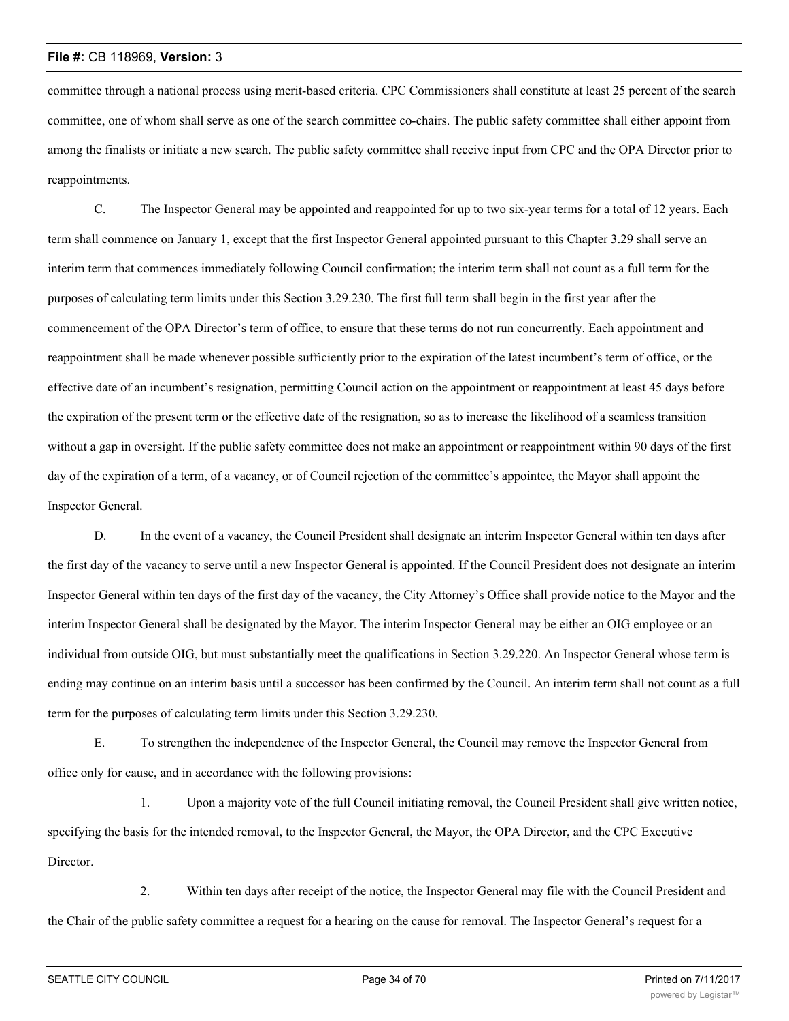committee through a national process using merit-based criteria. CPC Commissioners shall constitute at least 25 percent of the search committee, one of whom shall serve as one of the search committee co-chairs. The public safety committee shall either appoint from among the finalists or initiate a new search. The public safety committee shall receive input from CPC and the OPA Director prior to reappointments.

C. The Inspector General may be appointed and reappointed for up to two six-year terms for a total of 12 years. Each term shall commence on January 1, except that the first Inspector General appointed pursuant to this Chapter 3.29 shall serve an interim term that commences immediately following Council confirmation; the interim term shall not count as a full term for the purposes of calculating term limits under this Section 3.29.230. The first full term shall begin in the first year after the commencement of the OPA Director's term of office, to ensure that these terms do not run concurrently. Each appointment and reappointment shall be made whenever possible sufficiently prior to the expiration of the latest incumbent's term of office, or the effective date of an incumbent's resignation, permitting Council action on the appointment or reappointment at least 45 days before the expiration of the present term or the effective date of the resignation, so as to increase the likelihood of a seamless transition without a gap in oversight. If the public safety committee does not make an appointment or reappointment within 90 days of the first day of the expiration of a term, of a vacancy, or of Council rejection of the committee's appointee, the Mayor shall appoint the Inspector General.

D. In the event of a vacancy, the Council President shall designate an interim Inspector General within ten days after the first day of the vacancy to serve until a new Inspector General is appointed. If the Council President does not designate an interim Inspector General within ten days of the first day of the vacancy, the City Attorney's Office shall provide notice to the Mayor and the interim Inspector General shall be designated by the Mayor. The interim Inspector General may be either an OIG employee or an individual from outside OIG, but must substantially meet the qualifications in Section 3.29.220. An Inspector General whose term is ending may continue on an interim basis until a successor has been confirmed by the Council. An interim term shall not count as a full term for the purposes of calculating term limits under this Section 3.29.230.

E. To strengthen the independence of the Inspector General, the Council may remove the Inspector General from office only for cause, and in accordance with the following provisions:

1. Upon a majority vote of the full Council initiating removal, the Council President shall give written notice, specifying the basis for the intended removal, to the Inspector General, the Mayor, the OPA Director, and the CPC Executive Director.

2. Within ten days after receipt of the notice, the Inspector General may file with the Council President and the Chair of the public safety committee a request for a hearing on the cause for removal. The Inspector General's request for a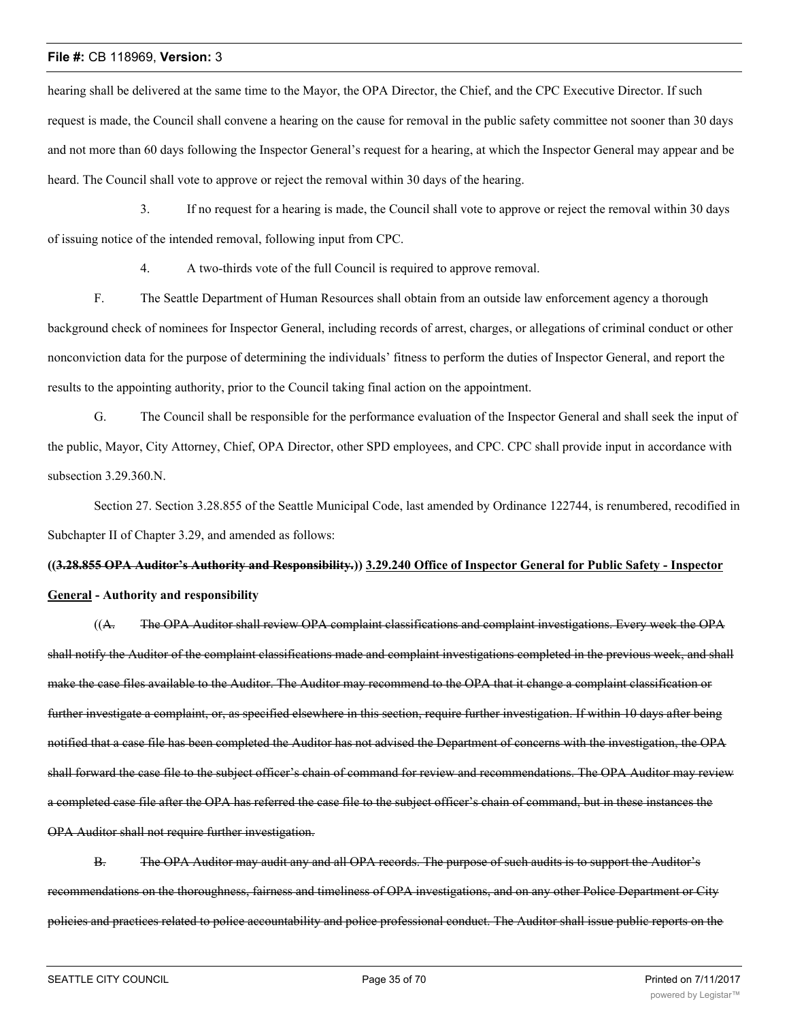hearing shall be delivered at the same time to the Mayor, the OPA Director, the Chief, and the CPC Executive Director. If such request is made, the Council shall convene a hearing on the cause for removal in the public safety committee not sooner than 30 days and not more than 60 days following the Inspector General's request for a hearing, at which the Inspector General may appear and be heard. The Council shall vote to approve or reject the removal within 30 days of the hearing.

3. If no request for a hearing is made, the Council shall vote to approve or reject the removal within 30 days of issuing notice of the intended removal, following input from CPC.

4. A two-thirds vote of the full Council is required to approve removal.

F. The Seattle Department of Human Resources shall obtain from an outside law enforcement agency a thorough background check of nominees for Inspector General, including records of arrest, charges, or allegations of criminal conduct or other nonconviction data for the purpose of determining the individuals' fitness to perform the duties of Inspector General, and report the results to the appointing authority, prior to the Council taking final action on the appointment.

G. The Council shall be responsible for the performance evaluation of the Inspector General and shall seek the input of the public, Mayor, City Attorney, Chief, OPA Director, other SPD employees, and CPC. CPC shall provide input in accordance with subsection 3.29.360.N.

Section 27. Section 3.28.855 of the Seattle Municipal Code, last amended by Ordinance 122744, is renumbered, recodified in Subchapter II of Chapter 3.29, and amended as follows:

**((3.28.855 OPA Auditor's Authority and Responsibility.)) 3.29.240 Office of Inspector General for Public Safety - Inspector General - Authority and responsibility**

((A. The OPA Auditor shall review OPA complaint classifications and complaint investigations. Every week the OPA shall notify the Auditor of the complaint classifications made and complaint investigations completed in the previous week, and shall make the case files available to the Auditor. The Auditor may recommend to the OPA that it change a complaint classification or further investigate a complaint, or, as specified elsewhere in this section, require further investigation. If within 10 days after being notified that a case file has been completed the Auditor has not advised the Department of concerns with the investigation, the OPA shall forward the case file to the subject officer's chain of command for review and recommendations. The OPA Auditor may review a completed case file after the OPA has referred the case file to the subject officer's chain of command, but in these instances the OPA Auditor shall not require further investigation.

B. The OPA Auditor may audit any and all OPA records. The purpose of such audits is to support the Auditor's recommendations on the thoroughness, fairness and timeliness of OPA investigations, and on any other Police Department or City policies and practices related to police accountability and police professional conduct. The Auditor shall issue public reports on the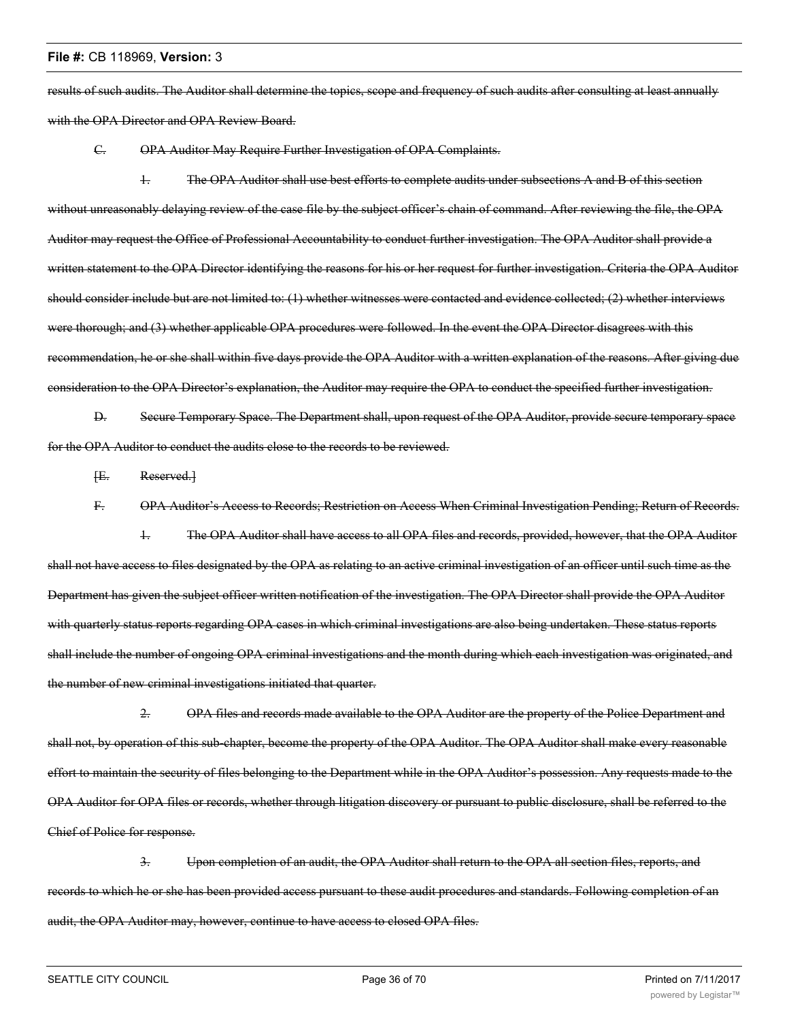results of such audits. The Auditor shall determine the topics, scope and frequency of such audits after consulting at least annually with the OPA Director and OPA Review Board.

C. OPA Auditor May Require Further Investigation of OPA Complaints.

1. The OPA Auditor shall use best efforts to complete audits under subsections A and B of this section without unreasonably delaying review of the case file by the subject officer's chain of command. After reviewing the file, the OPA Auditor may request the Office of Professional Accountability to conduct further investigation. The OPA Auditor shall provide a written statement to the OPA Director identifying the reasons for his or her request for further investigation. Criteria the OPA Auditor should consider include but are not limited to: (1) whether witnesses were contacted and evidence collected; (2) whether interviews were thorough; and (3) whether applicable OPA procedures were followed. In the event the OPA Director disagrees with this recommendation, he or she shall within five days provide the OPA Auditor with a written explanation of the reasons. After giving due consideration to the OPA Director's explanation, the Auditor may require the OPA to conduct the specified further investigation.

D. Secure Temporary Space. The Department shall, upon request of the OPA Auditor, provide secure temporary space for the OPA Auditor to conduct the audits close to the records to be reviewed.

[E. Reserved.]

F. OPA Auditor's Access to Records; Restriction on Access When Criminal Investigation Pending; Return of Records.

1. The OPA Auditor shall have access to all OPA files and records, provided, however, that the OPA Auditor shall not have access to files designated by the OPA as relating to an active criminal investigation of an officer until such time as the Department has given the subject officer written notification of the investigation. The OPA Director shall provide the OPA Auditor with quarterly status reports regarding OPA cases in which criminal investigations are also being undertaken. These status reports shall include the number of ongoing OPA criminal investigations and the month during which each investigation was originated, and the number of new criminal investigations initiated that quarter.

2. OPA files and records made available to the OPA Auditor are the property of the Police Department and shall not, by operation of this sub-chapter, become the property of the OPA Auditor. The OPA Auditor shall make every reasonable effort to maintain the security of files belonging to the Department while in the OPA Auditor's possession. Any requests made to the OPA Auditor for OPA files or records, whether through litigation discovery or pursuant to public disclosure, shall be referred to the Chief of Police for response.

3. Upon completion of an audit, the OPA Auditor shall return to the OPA all section files, reports, and records to which he or she has been provided access pursuant to these audit procedures and standards. Following completion of an audit, the OPA Auditor may, however, continue to have access to closed OPA files.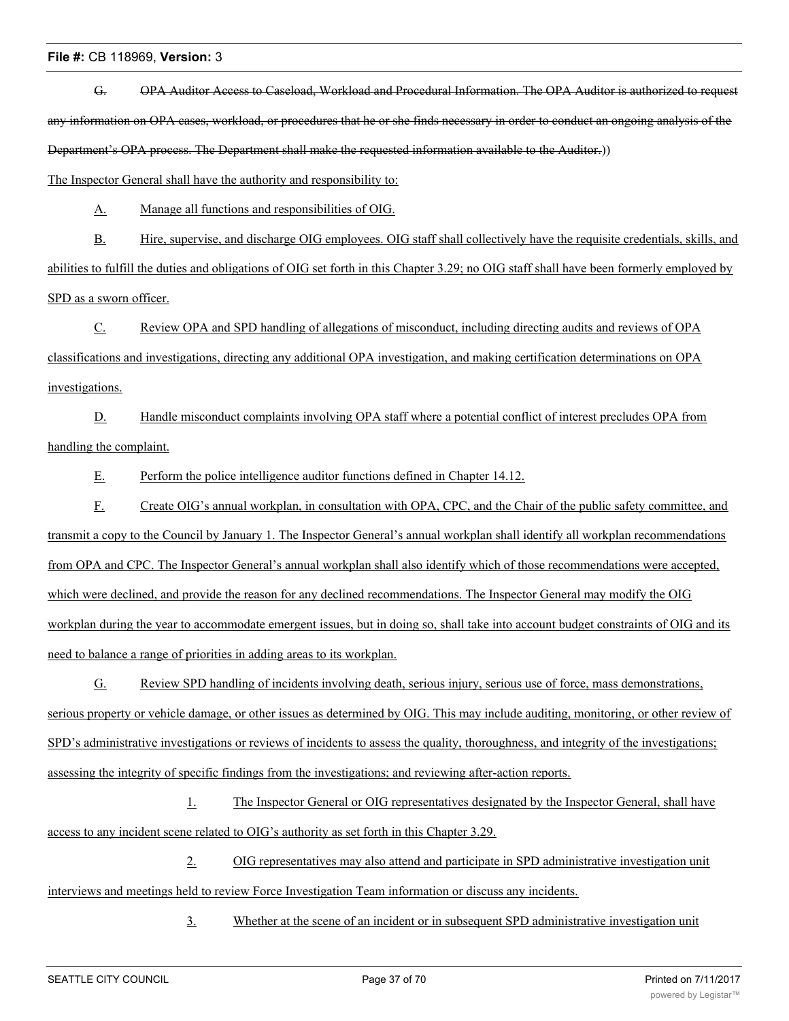G. OPA Auditor Access to Caseload, Workload and Procedural Information. The OPA Auditor is authorized to request any information on OPA cases, workload, or procedures that he or she finds necessary in order to conduct an ongoing analysis of the Department's OPA process. The Department shall make the requested information available to the Auditor.))

The Inspector General shall have the authority and responsibility to:

A. Manage all functions and responsibilities of OIG.

B. Hire, supervise, and discharge OIG employees. OIG staff shall collectively have the requisite credentials, skills, and abilities to fulfill the duties and obligations of OIG set forth in this Chapter 3.29; no OIG staff shall have been formerly employed by SPD as a sworn officer.

C. Review OPA and SPD handling of allegations of misconduct, including directing audits and reviews of OPA classifications and investigations, directing any additional OPA investigation, and making certification determinations on OPA investigations.

D. Handle misconduct complaints involving OPA staff where a potential conflict of interest precludes OPA from handling the complaint.

E. Perform the police intelligence auditor functions defined in Chapter 14.12.

F. Create OIG's annual workplan, in consultation with OPA, CPC, and the Chair of the public safety committee, and transmit a copy to the Council by January 1. The Inspector General's annual workplan shall identify all workplan recommendations from OPA and CPC. The Inspector General's annual workplan shall also identify which of those recommendations were accepted, which were declined, and provide the reason for any declined recommendations. The Inspector General may modify the OIG workplan during the year to accommodate emergent issues, but in doing so, shall take into account budget constraints of OIG and its need to balance a range of priorities in adding areas to its workplan.

G. Review SPD handling of incidents involving death, serious injury, serious use of force, mass demonstrations, serious property or vehicle damage, or other issues as determined by OIG. This may include auditing, monitoring, or other review of SPD's administrative investigations or reviews of incidents to assess the quality, thoroughness, and integrity of the investigations; assessing the integrity of specific findings from the investigations; and reviewing after-action reports.

1. The Inspector General or OIG representatives designated by the Inspector General, shall have access to any incident scene related to OIG's authority as set forth in this Chapter 3.29.

2. OIG representatives may also attend and participate in SPD administrative investigation unit interviews and meetings held to review Force Investigation Team information or discuss any incidents.

3. Whether at the scene of an incident or in subsequent SPD administrative investigation unit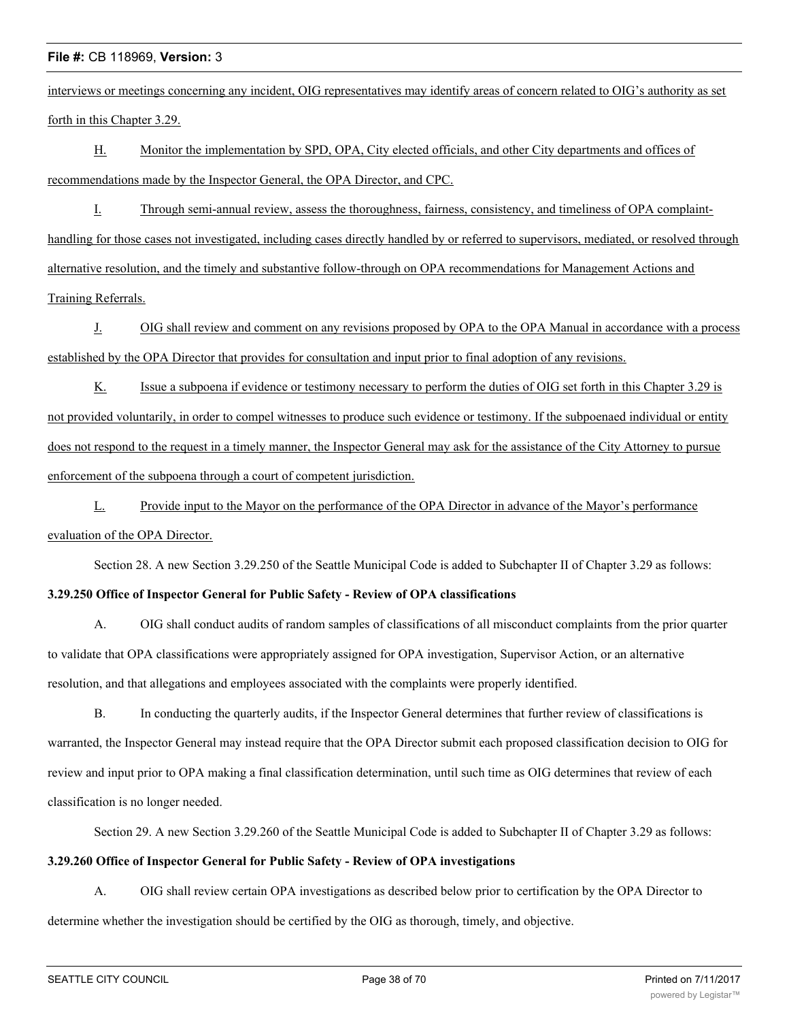interviews or meetings concerning any incident, OIG representatives may identify areas of concern related to OIG's authority as set forth in this Chapter 3.29.

H. Monitor the implementation by SPD, OPA, City elected officials, and other City departments and offices of recommendations made by the Inspector General, the OPA Director, and CPC.

I. Through semi-annual review, assess the thoroughness, fairness, consistency, and timeliness of OPA complainthandling for those cases not investigated, including cases directly handled by or referred to supervisors, mediated, or resolved through alternative resolution, and the timely and substantive follow-through on OPA recommendations for Management Actions and Training Referrals.

J. OIG shall review and comment on any revisions proposed by OPA to the OPA Manual in accordance with a process established by the OPA Director that provides for consultation and input prior to final adoption of any revisions.

K. Issue a subpoena if evidence or testimony necessary to perform the duties of OIG set forth in this Chapter 3.29 is not provided voluntarily, in order to compel witnesses to produce such evidence or testimony. If the subpoenaed individual or entity does not respond to the request in a timely manner, the Inspector General may ask for the assistance of the City Attorney to pursue enforcement of the subpoena through a court of competent jurisdiction.

L. Provide input to the Mayor on the performance of the OPA Director in advance of the Mayor's performance evaluation of the OPA Director.

Section 28. A new Section 3.29.250 of the Seattle Municipal Code is added to Subchapter II of Chapter 3.29 as follows:

# **3.29.250 Office of Inspector General for Public Safety - Review of OPA classifications**

A. OIG shall conduct audits of random samples of classifications of all misconduct complaints from the prior quarter to validate that OPA classifications were appropriately assigned for OPA investigation, Supervisor Action, or an alternative resolution, and that allegations and employees associated with the complaints were properly identified.

B. In conducting the quarterly audits, if the Inspector General determines that further review of classifications is warranted, the Inspector General may instead require that the OPA Director submit each proposed classification decision to OIG for review and input prior to OPA making a final classification determination, until such time as OIG determines that review of each classification is no longer needed.

Section 29. A new Section 3.29.260 of the Seattle Municipal Code is added to Subchapter II of Chapter 3.29 as follows:

#### **3.29.260 Office of Inspector General for Public Safety - Review of OPA investigations**

A. OIG shall review certain OPA investigations as described below prior to certification by the OPA Director to determine whether the investigation should be certified by the OIG as thorough, timely, and objective.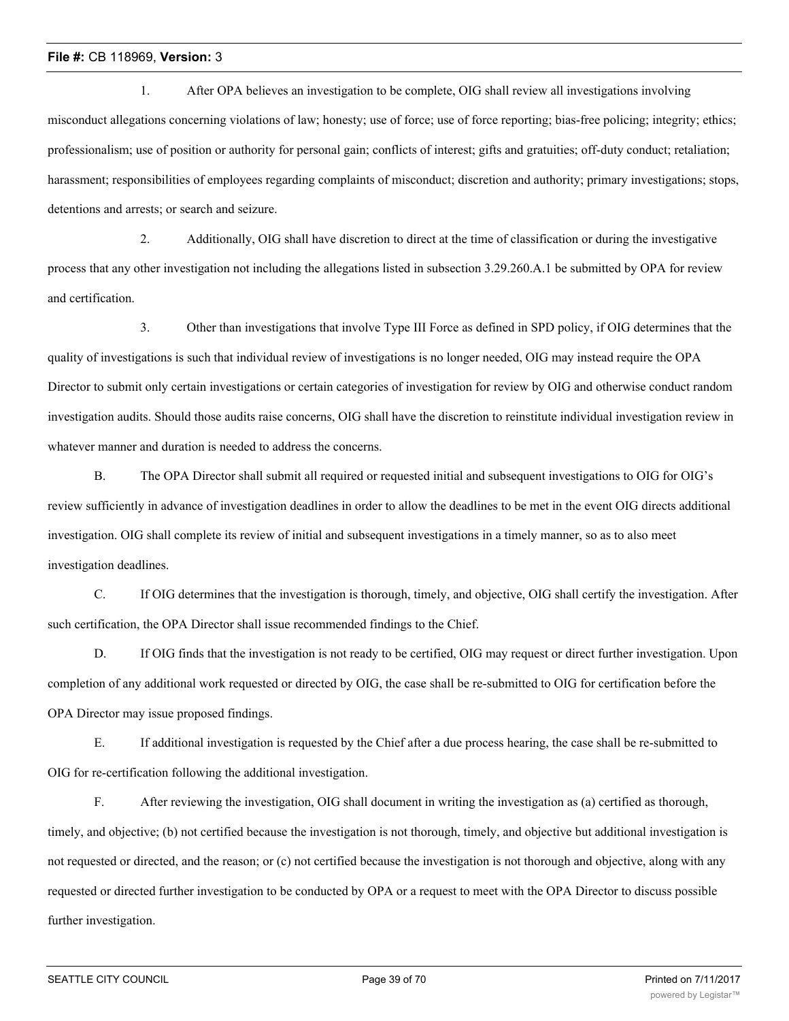1. After OPA believes an investigation to be complete, OIG shall review all investigations involving misconduct allegations concerning violations of law; honesty; use of force; use of force reporting; bias-free policing; integrity; ethics; professionalism; use of position or authority for personal gain; conflicts of interest; gifts and gratuities; off-duty conduct; retaliation; harassment; responsibilities of employees regarding complaints of misconduct; discretion and authority; primary investigations; stops, detentions and arrests; or search and seizure.

2. Additionally, OIG shall have discretion to direct at the time of classification or during the investigative process that any other investigation not including the allegations listed in subsection 3.29.260.A.1 be submitted by OPA for review and certification.

3. Other than investigations that involve Type III Force as defined in SPD policy, if OIG determines that the quality of investigations is such that individual review of investigations is no longer needed, OIG may instead require the OPA Director to submit only certain investigations or certain categories of investigation for review by OIG and otherwise conduct random investigation audits. Should those audits raise concerns, OIG shall have the discretion to reinstitute individual investigation review in whatever manner and duration is needed to address the concerns.

B. The OPA Director shall submit all required or requested initial and subsequent investigations to OIG for OIG's review sufficiently in advance of investigation deadlines in order to allow the deadlines to be met in the event OIG directs additional investigation. OIG shall complete its review of initial and subsequent investigations in a timely manner, so as to also meet investigation deadlines.

C. If OIG determines that the investigation is thorough, timely, and objective, OIG shall certify the investigation. After such certification, the OPA Director shall issue recommended findings to the Chief.

D. If OIG finds that the investigation is not ready to be certified, OIG may request or direct further investigation. Upon completion of any additional work requested or directed by OIG, the case shall be re-submitted to OIG for certification before the OPA Director may issue proposed findings.

E. If additional investigation is requested by the Chief after a due process hearing, the case shall be re-submitted to OIG for re-certification following the additional investigation.

F. After reviewing the investigation, OIG shall document in writing the investigation as (a) certified as thorough, timely, and objective; (b) not certified because the investigation is not thorough, timely, and objective but additional investigation is not requested or directed, and the reason; or (c) not certified because the investigation is not thorough and objective, along with any requested or directed further investigation to be conducted by OPA or a request to meet with the OPA Director to discuss possible further investigation.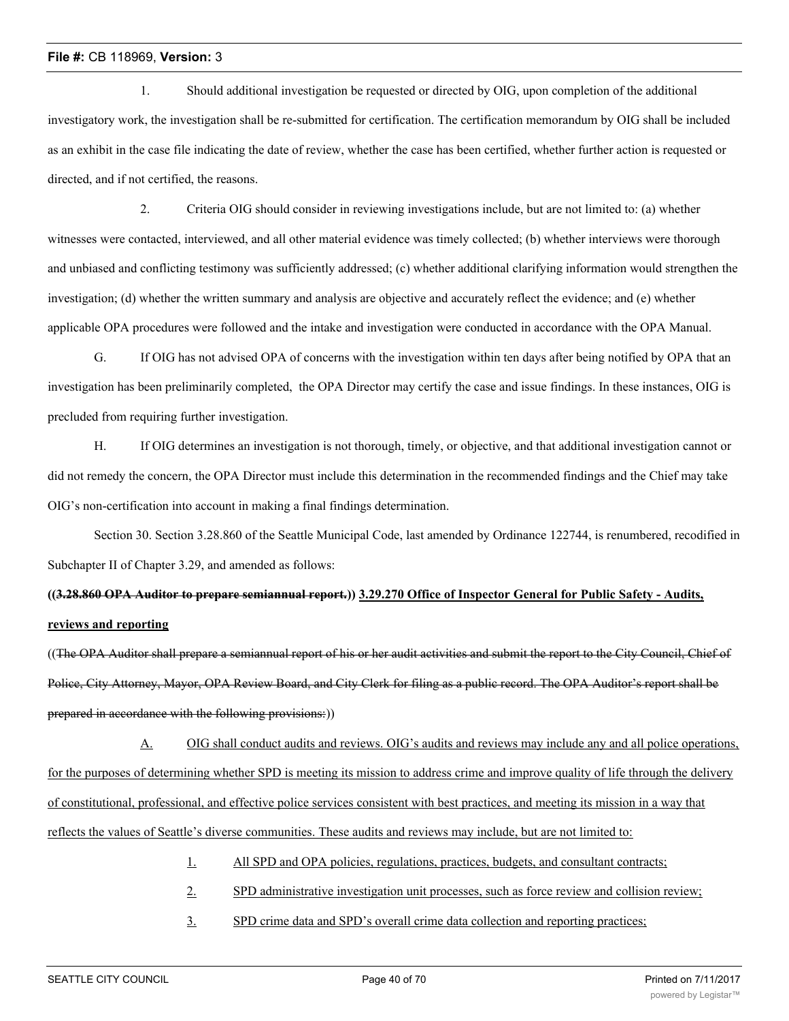1. Should additional investigation be requested or directed by OIG, upon completion of the additional investigatory work, the investigation shall be re-submitted for certification. The certification memorandum by OIG shall be included as an exhibit in the case file indicating the date of review, whether the case has been certified, whether further action is requested or directed, and if not certified, the reasons.

2. Criteria OIG should consider in reviewing investigations include, but are not limited to: (a) whether witnesses were contacted, interviewed, and all other material evidence was timely collected; (b) whether interviews were thorough and unbiased and conflicting testimony was sufficiently addressed; (c) whether additional clarifying information would strengthen the investigation; (d) whether the written summary and analysis are objective and accurately reflect the evidence; and (e) whether applicable OPA procedures were followed and the intake and investigation were conducted in accordance with the OPA Manual.

G. If OIG has not advised OPA of concerns with the investigation within ten days after being notified by OPA that an investigation has been preliminarily completed, the OPA Director may certify the case and issue findings. In these instances, OIG is precluded from requiring further investigation.

H. If OIG determines an investigation is not thorough, timely, or objective, and that additional investigation cannot or did not remedy the concern, the OPA Director must include this determination in the recommended findings and the Chief may take OIG's non-certification into account in making a final findings determination.

Section 30. Section 3.28.860 of the Seattle Municipal Code, last amended by Ordinance 122744, is renumbered, recodified in Subchapter II of Chapter 3.29, and amended as follows:

# **((3.28.860 OPA Auditor to prepare semiannual report.)) 3.29.270 Office of Inspector General for Public Safety - Audits, reviews and reporting**

((The OPA Auditor shall prepare a semiannual report of his or her audit activities and submit the report to the City Council, Chief of Police, City Attorney, Mayor, OPA Review Board, and City Clerk for filing as a public record. The OPA Auditor's report shall be prepared in accordance with the following provisions:))

A. OIG shall conduct audits and reviews. OIG's audits and reviews may include any and all police operations, for the purposes of determining whether SPD is meeting its mission to address crime and improve quality of life through the delivery of constitutional, professional, and effective police services consistent with best practices, and meeting its mission in a way that reflects the values of Seattle's diverse communities. These audits and reviews may include, but are not limited to:

- 1. All SPD and OPA policies, regulations, practices, budgets, and consultant contracts;
- 2. SPD administrative investigation unit processes, such as force review and collision review;
- 3. SPD crime data and SPD's overall crime data collection and reporting practices;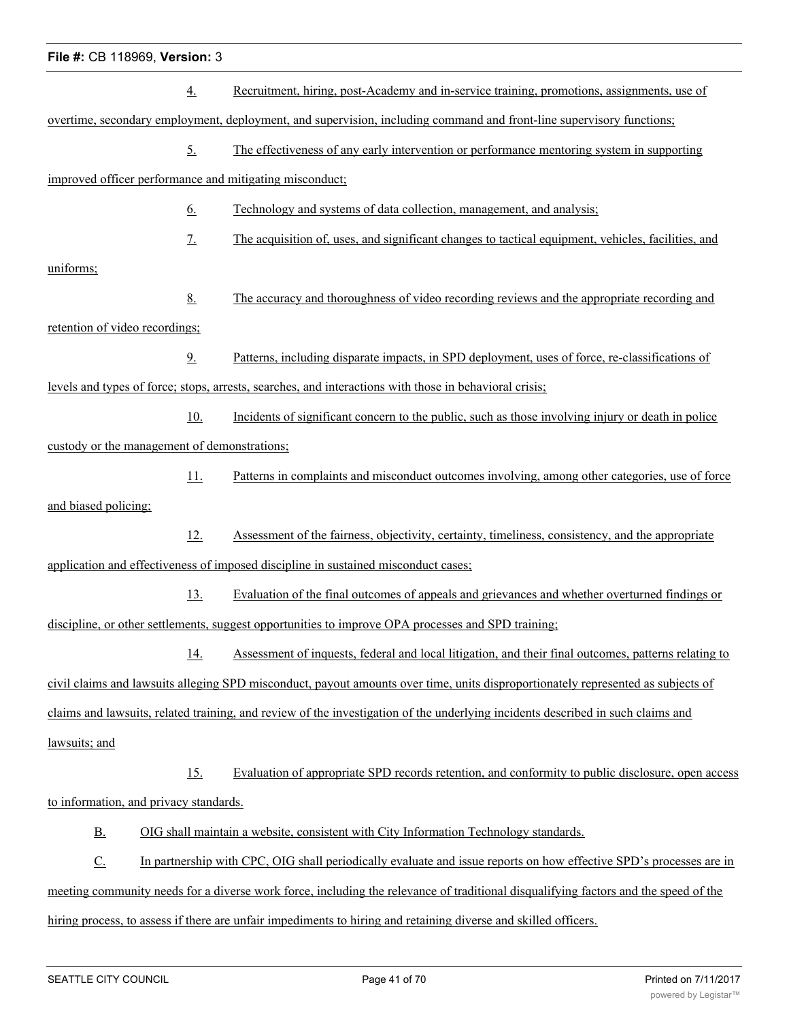|                                                                                                                                         | $\underline{4}$ . | Recruitment, hiring, post-Academy and in-service training, promotions, assignments, use of                                          |  |  |  |  |
|-----------------------------------------------------------------------------------------------------------------------------------------|-------------------|-------------------------------------------------------------------------------------------------------------------------------------|--|--|--|--|
|                                                                                                                                         |                   | overtime, secondary employment, deployment, and supervision, including command and front-line supervisory functions;                |  |  |  |  |
|                                                                                                                                         | <u>5.</u>         | The effectiveness of any early intervention or performance mentoring system in supporting                                           |  |  |  |  |
| improved officer performance and mitigating misconduct;                                                                                 |                   |                                                                                                                                     |  |  |  |  |
|                                                                                                                                         | <u>6.</u>         | Technology and systems of data collection, management, and analysis;                                                                |  |  |  |  |
|                                                                                                                                         | 7.                | The acquisition of, uses, and significant changes to tactical equipment, vehicles, facilities, and                                  |  |  |  |  |
| uniforms;                                                                                                                               |                   |                                                                                                                                     |  |  |  |  |
|                                                                                                                                         | 8.                | The accuracy and thoroughness of video recording reviews and the appropriate recording and                                          |  |  |  |  |
| retention of video recordings;                                                                                                          |                   |                                                                                                                                     |  |  |  |  |
|                                                                                                                                         | 9.                | Patterns, including disparate impacts, in SPD deployment, uses of force, re-classifications of                                      |  |  |  |  |
|                                                                                                                                         |                   | levels and types of force; stops, arrests, searches, and interactions with those in behavioral crisis;                              |  |  |  |  |
|                                                                                                                                         | 10.               | Incidents of significant concern to the public, such as those involving injury or death in police                                   |  |  |  |  |
| custody or the management of demonstrations;                                                                                            |                   |                                                                                                                                     |  |  |  |  |
|                                                                                                                                         | 11.               | Patterns in complaints and misconduct outcomes involving, among other categories, use of force                                      |  |  |  |  |
| and biased policing;                                                                                                                    |                   |                                                                                                                                     |  |  |  |  |
|                                                                                                                                         | 12.               | Assessment of the fairness, objectivity, certainty, timeliness, consistency, and the appropriate                                    |  |  |  |  |
|                                                                                                                                         |                   | application and effectiveness of imposed discipline in sustained misconduct cases;                                                  |  |  |  |  |
|                                                                                                                                         | 13.               | Evaluation of the final outcomes of appeals and grievances and whether overturned findings or                                       |  |  |  |  |
|                                                                                                                                         |                   | discipline, or other settlements, suggest opportunities to improve OPA processes and SPD training;                                  |  |  |  |  |
|                                                                                                                                         | <u>14.</u>        | Assessment of inquests, federal and local litigation, and their final outcomes, patterns relating to                                |  |  |  |  |
|                                                                                                                                         |                   | civil claims and lawsuits alleging SPD misconduct, payout amounts over time, units disproportionately represented as subjects of    |  |  |  |  |
|                                                                                                                                         |                   | claims and lawsuits, related training, and review of the investigation of the underlying incidents described in such claims and     |  |  |  |  |
| lawsuits; and                                                                                                                           |                   |                                                                                                                                     |  |  |  |  |
|                                                                                                                                         | 15.               | Evaluation of appropriate SPD records retention, and conformity to public disclosure, open access                                   |  |  |  |  |
| to information, and privacy standards.                                                                                                  |                   |                                                                                                                                     |  |  |  |  |
| <u>B.</u>                                                                                                                               |                   | OIG shall maintain a website, consistent with City Information Technology standards.                                                |  |  |  |  |
| $\underline{C}$ .<br>In partnership with CPC, OIG shall periodically evaluate and issue reports on how effective SPD's processes are in |                   |                                                                                                                                     |  |  |  |  |
|                                                                                                                                         |                   | meeting community needs for a diverse work force, including the relevance of traditional disqualifying factors and the speed of the |  |  |  |  |
|                                                                                                                                         |                   | hiring process, to assess if there are unfair impediments to hiring and retaining diverse and skilled officers.                     |  |  |  |  |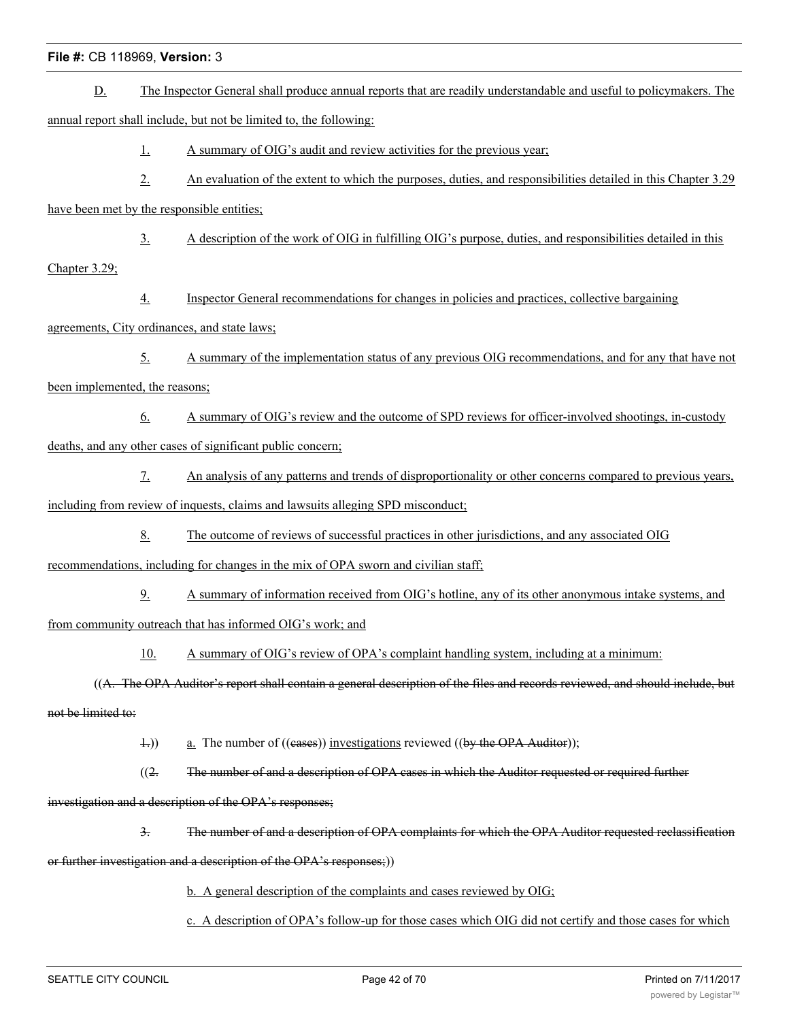- D. The Inspector General shall produce annual reports that are readily understandable and useful to policymakers. The annual report shall include, but not be limited to, the following: 1. A summary of OIG's audit and review activities for the previous year; 2. An evaluation of the extent to which the purposes, duties, and responsibilities detailed in this Chapter 3.29 have been met by the responsible entities; 3. A description of the work of OIG in fulfilling OIG's purpose, duties, and responsibilities detailed in this Chapter 3.29; 4. Inspector General recommendations for changes in policies and practices, collective bargaining agreements, City ordinances, and state laws; 5. A summary of the implementation status of any previous OIG recommendations, and for any that have not been implemented, the reasons; 6. A summary of OIG's review and the outcome of SPD reviews for officer-involved shootings, in-custody deaths, and any other cases of significant public concern; 7. An analysis of any patterns and trends of disproportionality or other concerns compared to previous years, including from review of inquests, claims and lawsuits alleging SPD misconduct; 8. The outcome of reviews of successful practices in other jurisdictions, and any associated OIG recommendations, including for changes in the mix of OPA sworn and civilian staff; 9. A summary of information received from OIG's hotline, any of its other anonymous intake systems, and from community outreach that has informed OIG's work; and 10. A summary of OIG's review of OPA's complaint handling system, including at a minimum: ((A. The OPA Auditor's report shall contain a general description of the files and records reviewed, and should include, but not be limited to: 1.)) a. The number of ((eases)) investigations reviewed ((by the OPA Auditor));  $(2.$  The number of and a description of OPA cases in which the Auditor requested or required further investigation and a description of the OPA's responses; 3. The number of and a description of OPA complaints for which the OPA Auditor requested reclassification
- or further investigation and a description of the OPA's responses;))
	- b. A general description of the complaints and cases reviewed by OIG;
	- c. A description of OPA's follow-up for those cases which OIG did not certify and those cases for which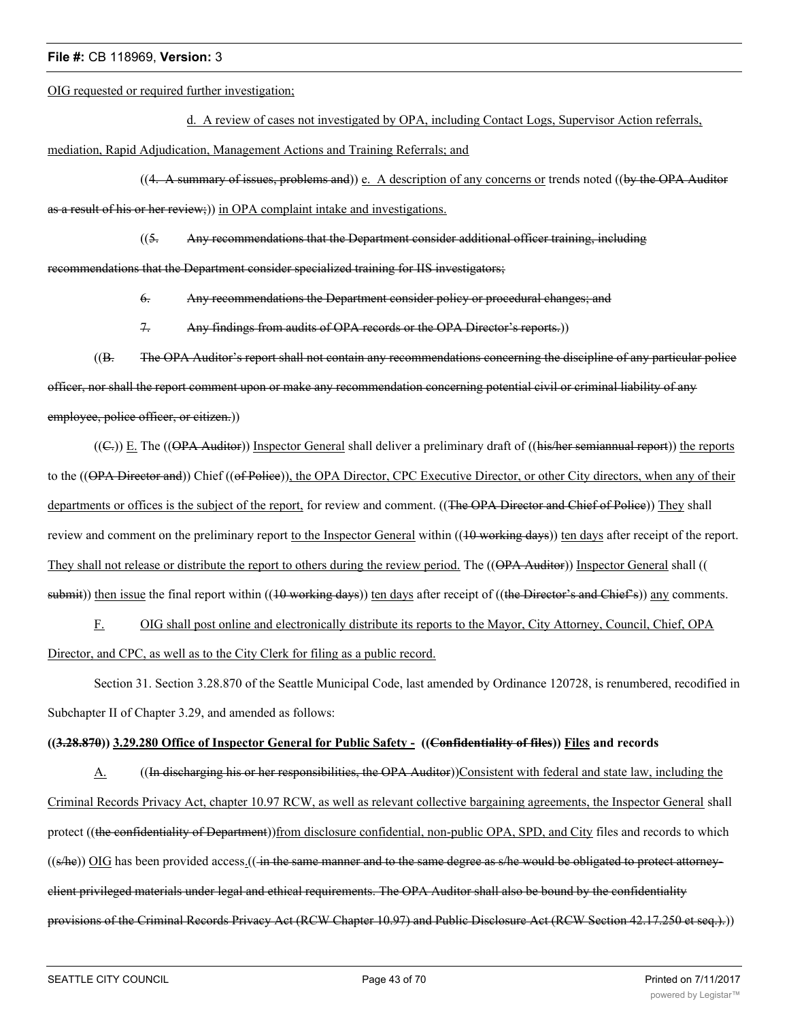OIG requested or required further investigation;

d. A review of cases not investigated by OPA, including Contact Logs, Supervisor Action referrals,

mediation, Rapid Adjudication, Management Actions and Training Referrals; and

 $((4. A)$  summary of issues, problems and) e. A description of any concerns or trends noted  $((by the OPA)$  Auditor as a result of his or her review;)) in OPA complaint intake and investigations.

((5. Any recommendations that the Department consider additional officer training, including

recommendations that the Department consider specialized training for IIS investigators;

6. Any recommendations the Department consider policy or procedural changes; and

7. Any findings from audits of OPA records or the OPA Director's reports.))

((B. The OPA Auditor's report shall not contain any recommendations concerning the discipline of any particular police officer, nor shall the report comment upon or make any recommendation concerning potential civil or criminal liability of any employee, police officer, or citizen.)

 $((\text{C})$ ) E. The  $((\text{OPA-Additor}))$  Inspector General shall deliver a preliminary draft of  $((\text{his/her semiannual report}))$  the reports to the ((OPA Director and)) Chief ((of Police)), the OPA Director, CPC Executive Director, or other City directors, when any of their departments or offices is the subject of the report, for review and comment. ((The OPA Director and Chief of Police)) They shall review and comment on the preliminary report to the Inspector General within ((10 working days)) ten days after receipt of the report. They shall not release or distribute the report to others during the review period. The ((OPA Auditor)) Inspector General shall (( submit)) then issue the final report within ((10 working days)) ten days after receipt of ((the Director's and Chief's)) any comments.

F. OIG shall post online and electronically distribute its reports to the Mayor, City Attorney, Council, Chief, OPA Director, and CPC, as well as to the City Clerk for filing as a public record.

Section 31. Section 3.28.870 of the Seattle Municipal Code, last amended by Ordinance 120728, is renumbered, recodified in Subchapter II of Chapter 3.29, and amended as follows:

# **((3.28.870)) 3.29.280 Office of Inspector General for Public Safety - ((Confidentiality of files)) Files and records**

A. ((In discharging his or her responsibilities, the OPA Auditor))Consistent with federal and state law, including the Criminal Records Privacy Act, chapter 10.97 RCW, as well as relevant collective bargaining agreements, the Inspector General shall protect ((the confidentiality of Department))from disclosure confidential, non-public OPA, SPD, and City files and records to which  $((s/he))$  OIG has been provided access. $((\text{in the same manner and to the same degree as s/he would be obliged to protect attempt})$ client privileged materials under legal and ethical requirements. The OPA Auditor shall also be bound by the confidentiality provisions of the Criminal Records Privacy Act (RCW Chapter 10.97) and Public Disclosure Act (RCW Section 42.17.250 et seq.).))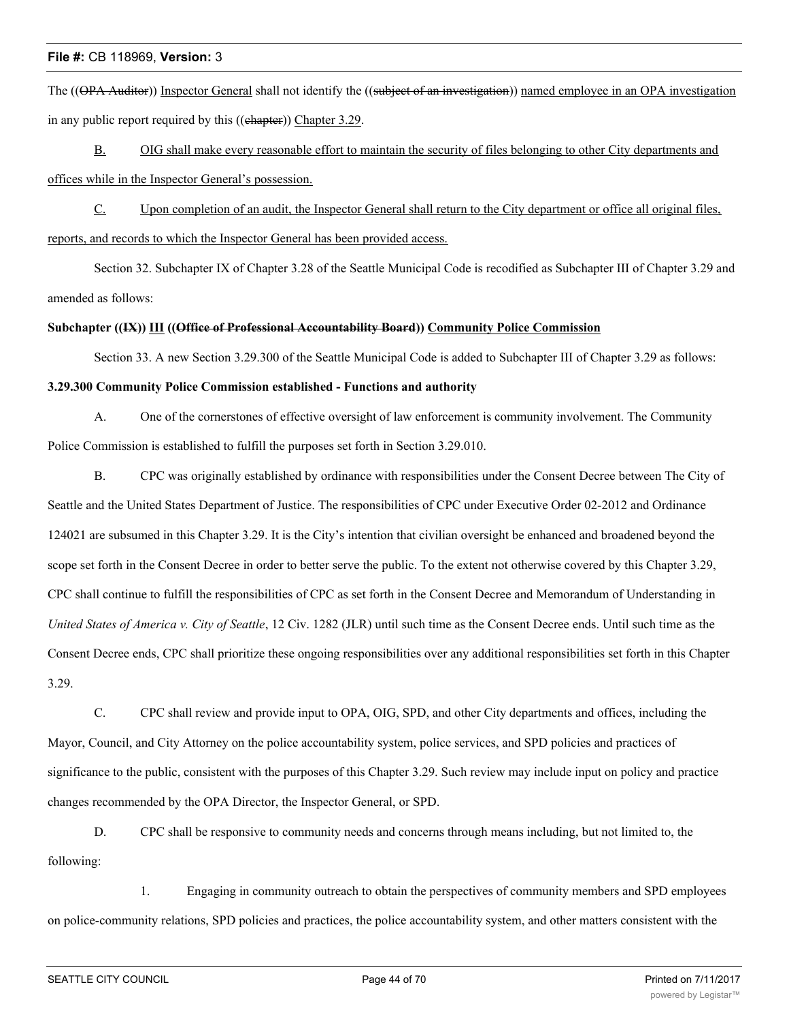The ((OPA Auditor)) Inspector General shall not identify the ((subject of an investigation)) named employee in an OPA investigation in any public report required by this ((chapter)) Chapter 3.29.

B. OIG shall make every reasonable effort to maintain the security of files belonging to other City departments and offices while in the Inspector General's possession.

C. Upon completion of an audit, the Inspector General shall return to the City department or office all original files, reports, and records to which the Inspector General has been provided access.

Section 32. Subchapter IX of Chapter 3.28 of the Seattle Municipal Code is recodified as Subchapter III of Chapter 3.29 and amended as follows:

# **Subchapter ((IX)) III ((Office of Professional Accountability Board)) Community Police Commission**

Section 33. A new Section 3.29.300 of the Seattle Municipal Code is added to Subchapter III of Chapter 3.29 as follows:

#### **3.29.300 Community Police Commission established - Functions and authority**

A. One of the cornerstones of effective oversight of law enforcement is community involvement. The Community Police Commission is established to fulfill the purposes set forth in Section 3.29.010.

B. CPC was originally established by ordinance with responsibilities under the Consent Decree between The City of Seattle and the United States Department of Justice. The responsibilities of CPC under Executive Order 02-2012 and Ordinance 124021 are subsumed in this Chapter 3.29. It is the City's intention that civilian oversight be enhanced and broadened beyond the scope set forth in the Consent Decree in order to better serve the public. To the extent not otherwise covered by this Chapter 3.29, CPC shall continue to fulfill the responsibilities of CPC as set forth in the Consent Decree and Memorandum of Understanding in *United States of America v. City of Seattle*, 12 Civ. 1282 (JLR) until such time as the Consent Decree ends. Until such time as the Consent Decree ends, CPC shall prioritize these ongoing responsibilities over any additional responsibilities set forth in this Chapter 3.29.

C. CPC shall review and provide input to OPA, OIG, SPD, and other City departments and offices, including the Mayor, Council, and City Attorney on the police accountability system, police services, and SPD policies and practices of significance to the public, consistent with the purposes of this Chapter 3.29. Such review may include input on policy and practice changes recommended by the OPA Director, the Inspector General, or SPD.

D. CPC shall be responsive to community needs and concerns through means including, but not limited to, the following:

1. Engaging in community outreach to obtain the perspectives of community members and SPD employees on police-community relations, SPD policies and practices, the police accountability system, and other matters consistent with the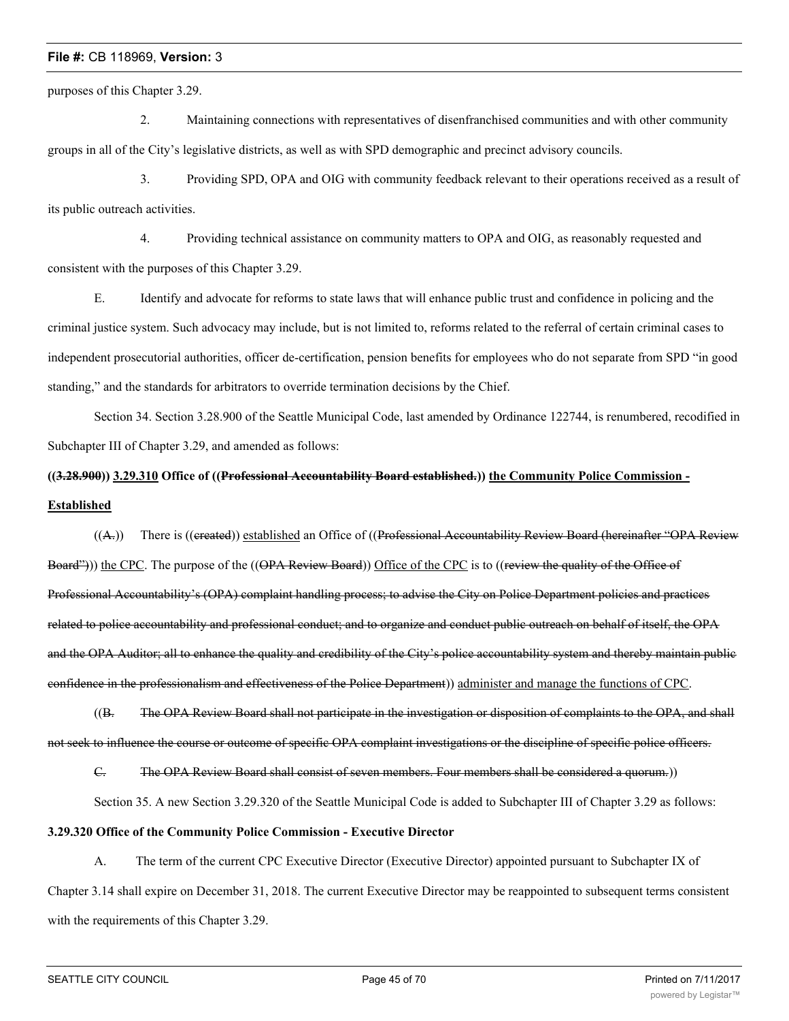purposes of this Chapter 3.29.

2. Maintaining connections with representatives of disenfranchised communities and with other community groups in all of the City's legislative districts, as well as with SPD demographic and precinct advisory councils.

3. Providing SPD, OPA and OIG with community feedback relevant to their operations received as a result of its public outreach activities.

4. Providing technical assistance on community matters to OPA and OIG, as reasonably requested and consistent with the purposes of this Chapter 3.29.

E. Identify and advocate for reforms to state laws that will enhance public trust and confidence in policing and the criminal justice system. Such advocacy may include, but is not limited to, reforms related to the referral of certain criminal cases to independent prosecutorial authorities, officer de-certification, pension benefits for employees who do not separate from SPD "in good standing," and the standards for arbitrators to override termination decisions by the Chief.

Section 34. Section 3.28.900 of the Seattle Municipal Code, last amended by Ordinance 122744, is renumbered, recodified in Subchapter III of Chapter 3.29, and amended as follows:

# **((3.28.900)) 3.29.310 Office of ((Professional Accountability Board established.)) the Community Police Commission - Established**

((A.)) There is ((created)) established an Office of ((Professional Accountability Review Board (hereinafter "OPA Review") Board"))) the CPC. The purpose of the ((OPA Review Board)) Office of the CPC is to ((review the quality of the Office of Professional Accountability's (OPA) complaint handling process; to advise the City on Police Department policies and practices related to police accountability and professional conduct; and to organize and conduct public outreach on behalf of itself, the OPA and the OPA Auditor; all to enhance the quality and credibility of the City's police accountability system and thereby maintain public confidence in the professionalism and effectiveness of the Police Department)) administer and manage the functions of CPC.

((B. The OPA Review Board shall not participate in the investigation or disposition of complaints to the OPA, and shall not seek to influence the course or outcome of specific OPA complaint investigations or the discipline of specific police officers.

C. The OPA Review Board shall consist of seven members. Four members shall be considered a quorum.))

Section 35. A new Section 3.29.320 of the Seattle Municipal Code is added to Subchapter III of Chapter 3.29 as follows:

# **3.29.320 Office of the Community Police Commission - Executive Director**

A. The term of the current CPC Executive Director (Executive Director) appointed pursuant to Subchapter IX of Chapter 3.14 shall expire on December 31, 2018. The current Executive Director may be reappointed to subsequent terms consistent with the requirements of this Chapter 3.29.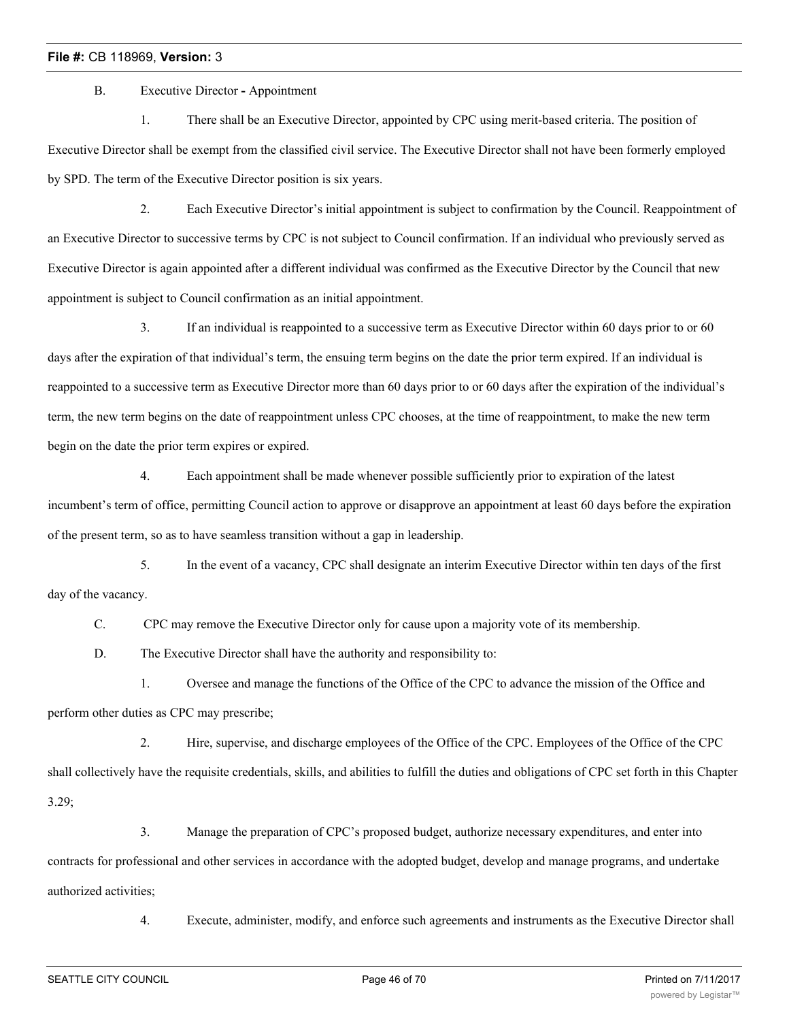B. Executive Director **-** Appointment

1. There shall be an Executive Director, appointed by CPC using merit-based criteria. The position of Executive Director shall be exempt from the classified civil service. The Executive Director shall not have been formerly employed by SPD. The term of the Executive Director position is six years.

2. Each Executive Director's initial appointment is subject to confirmation by the Council. Reappointment of an Executive Director to successive terms by CPC is not subject to Council confirmation. If an individual who previously served as Executive Director is again appointed after a different individual was confirmed as the Executive Director by the Council that new appointment is subject to Council confirmation as an initial appointment.

3. If an individual is reappointed to a successive term as Executive Director within 60 days prior to or 60 days after the expiration of that individual's term, the ensuing term begins on the date the prior term expired. If an individual is reappointed to a successive term as Executive Director more than 60 days prior to or 60 days after the expiration of the individual's term, the new term begins on the date of reappointment unless CPC chooses, at the time of reappointment, to make the new term begin on the date the prior term expires or expired.

4. Each appointment shall be made whenever possible sufficiently prior to expiration of the latest incumbent's term of office, permitting Council action to approve or disapprove an appointment at least 60 days before the expiration of the present term, so as to have seamless transition without a gap in leadership.

5. In the event of a vacancy, CPC shall designate an interim Executive Director within ten days of the first day of the vacancy.

C. CPC may remove the Executive Director only for cause upon a majority vote of its membership.

D. The Executive Director shall have the authority and responsibility to:

1. Oversee and manage the functions of the Office of the CPC to advance the mission of the Office and perform other duties as CPC may prescribe;

2. Hire, supervise, and discharge employees of the Office of the CPC. Employees of the Office of the CPC shall collectively have the requisite credentials, skills, and abilities to fulfill the duties and obligations of CPC set forth in this Chapter 3.29;

3. Manage the preparation of CPC's proposed budget, authorize necessary expenditures, and enter into contracts for professional and other services in accordance with the adopted budget, develop and manage programs, and undertake authorized activities;

4. Execute, administer, modify, and enforce such agreements and instruments as the Executive Director shall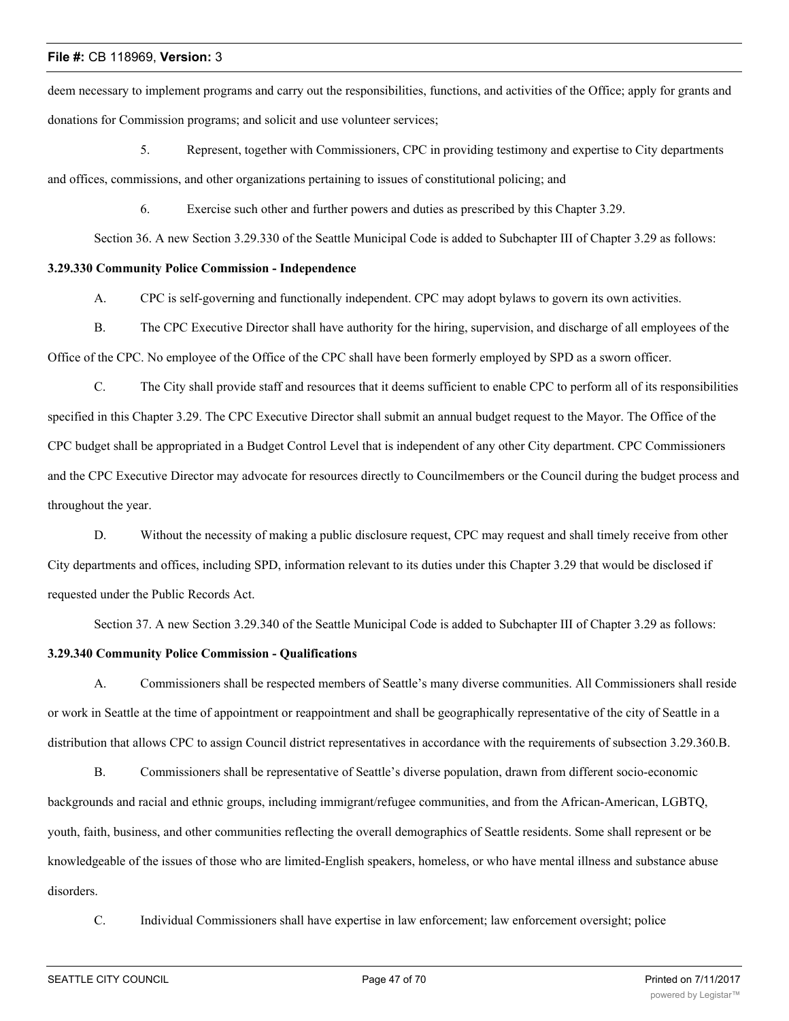deem necessary to implement programs and carry out the responsibilities, functions, and activities of the Office; apply for grants and donations for Commission programs; and solicit and use volunteer services;

5. Represent, together with Commissioners, CPC in providing testimony and expertise to City departments and offices, commissions, and other organizations pertaining to issues of constitutional policing; and

6. Exercise such other and further powers and duties as prescribed by this Chapter 3.29.

Section 36. A new Section 3.29.330 of the Seattle Municipal Code is added to Subchapter III of Chapter 3.29 as follows:

## **3.29.330 Community Police Commission - Independence**

A. CPC is self-governing and functionally independent. CPC may adopt bylaws to govern its own activities.

B. The CPC Executive Director shall have authority for the hiring, supervision, and discharge of all employees of the Office of the CPC. No employee of the Office of the CPC shall have been formerly employed by SPD as a sworn officer.

C. The City shall provide staff and resources that it deems sufficient to enable CPC to perform all of its responsibilities specified in this Chapter 3.29. The CPC Executive Director shall submit an annual budget request to the Mayor. The Office of the CPC budget shall be appropriated in a Budget Control Level that is independent of any other City department. CPC Commissioners and the CPC Executive Director may advocate for resources directly to Councilmembers or the Council during the budget process and throughout the year.

D. Without the necessity of making a public disclosure request, CPC may request and shall timely receive from other City departments and offices, including SPD, information relevant to its duties under this Chapter 3.29 that would be disclosed if requested under the Public Records Act.

Section 37. A new Section 3.29.340 of the Seattle Municipal Code is added to Subchapter III of Chapter 3.29 as follows:

# **3.29.340 Community Police Commission - Qualifications**

A. Commissioners shall be respected members of Seattle's many diverse communities. All Commissioners shall reside or work in Seattle at the time of appointment or reappointment and shall be geographically representative of the city of Seattle in a distribution that allows CPC to assign Council district representatives in accordance with the requirements of subsection 3.29.360.B.

B. Commissioners shall be representative of Seattle's diverse population, drawn from different socio-economic backgrounds and racial and ethnic groups, including immigrant/refugee communities, and from the African-American, LGBTQ, youth, faith, business, and other communities reflecting the overall demographics of Seattle residents. Some shall represent or be knowledgeable of the issues of those who are limited-English speakers, homeless, or who have mental illness and substance abuse disorders.

C. Individual Commissioners shall have expertise in law enforcement; law enforcement oversight; police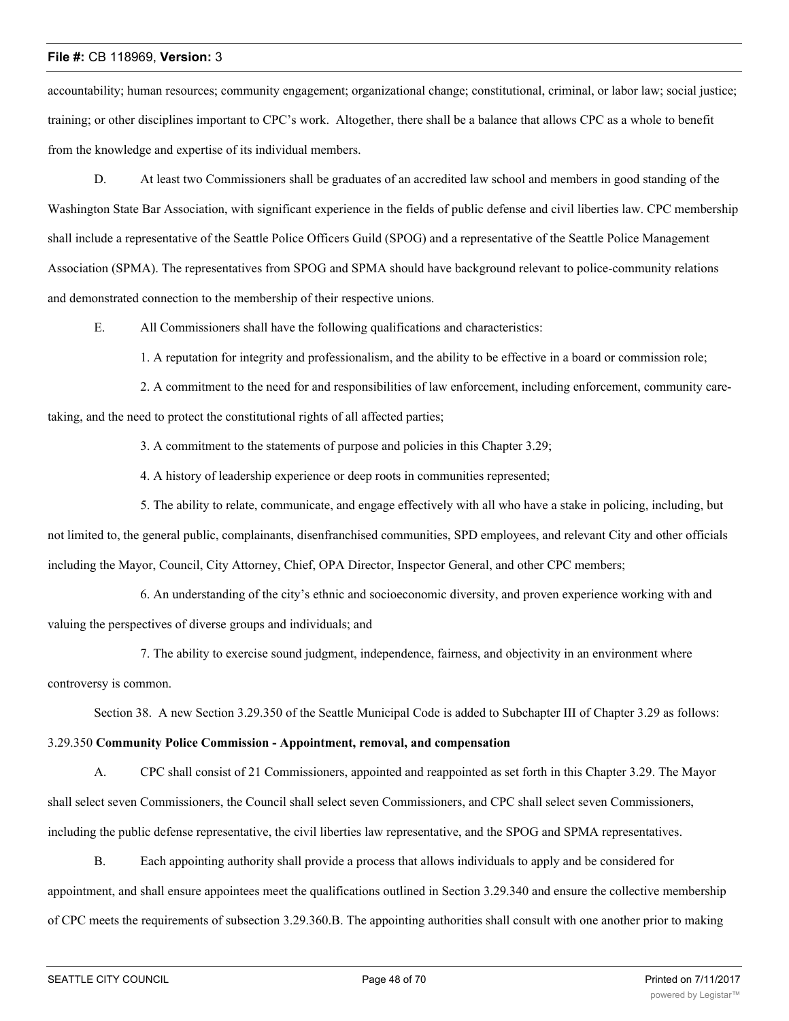accountability; human resources; community engagement; organizational change; constitutional, criminal, or labor law; social justice; training; or other disciplines important to CPC's work. Altogether, there shall be a balance that allows CPC as a whole to benefit from the knowledge and expertise of its individual members.

D. At least two Commissioners shall be graduates of an accredited law school and members in good standing of the Washington State Bar Association, with significant experience in the fields of public defense and civil liberties law. CPC membership shall include a representative of the Seattle Police Officers Guild (SPOG) and a representative of the Seattle Police Management Association (SPMA). The representatives from SPOG and SPMA should have background relevant to police-community relations and demonstrated connection to the membership of their respective unions.

E. All Commissioners shall have the following qualifications and characteristics:

1. A reputation for integrity and professionalism, and the ability to be effective in a board or commission role;

2. A commitment to the need for and responsibilities of law enforcement, including enforcement, community caretaking, and the need to protect the constitutional rights of all affected parties;

3. A commitment to the statements of purpose and policies in this Chapter 3.29;

4. A history of leadership experience or deep roots in communities represented;

5. The ability to relate, communicate, and engage effectively with all who have a stake in policing, including, but not limited to, the general public, complainants, disenfranchised communities, SPD employees, and relevant City and other officials including the Mayor, Council, City Attorney, Chief, OPA Director, Inspector General, and other CPC members;

6. An understanding of the city's ethnic and socioeconomic diversity, and proven experience working with and valuing the perspectives of diverse groups and individuals; and

7. The ability to exercise sound judgment, independence, fairness, and objectivity in an environment where controversy is common.

Section 38. A new Section 3.29.350 of the Seattle Municipal Code is added to Subchapter III of Chapter 3.29 as follows:

3.29.350 **Community Police Commission - Appointment, removal, and compensation**

A. CPC shall consist of 21 Commissioners, appointed and reappointed as set forth in this Chapter 3.29. The Mayor shall select seven Commissioners, the Council shall select seven Commissioners, and CPC shall select seven Commissioners, including the public defense representative, the civil liberties law representative, and the SPOG and SPMA representatives.

B. Each appointing authority shall provide a process that allows individuals to apply and be considered for appointment, and shall ensure appointees meet the qualifications outlined in Section 3.29.340 and ensure the collective membership of CPC meets the requirements of subsection 3.29.360.B. The appointing authorities shall consult with one another prior to making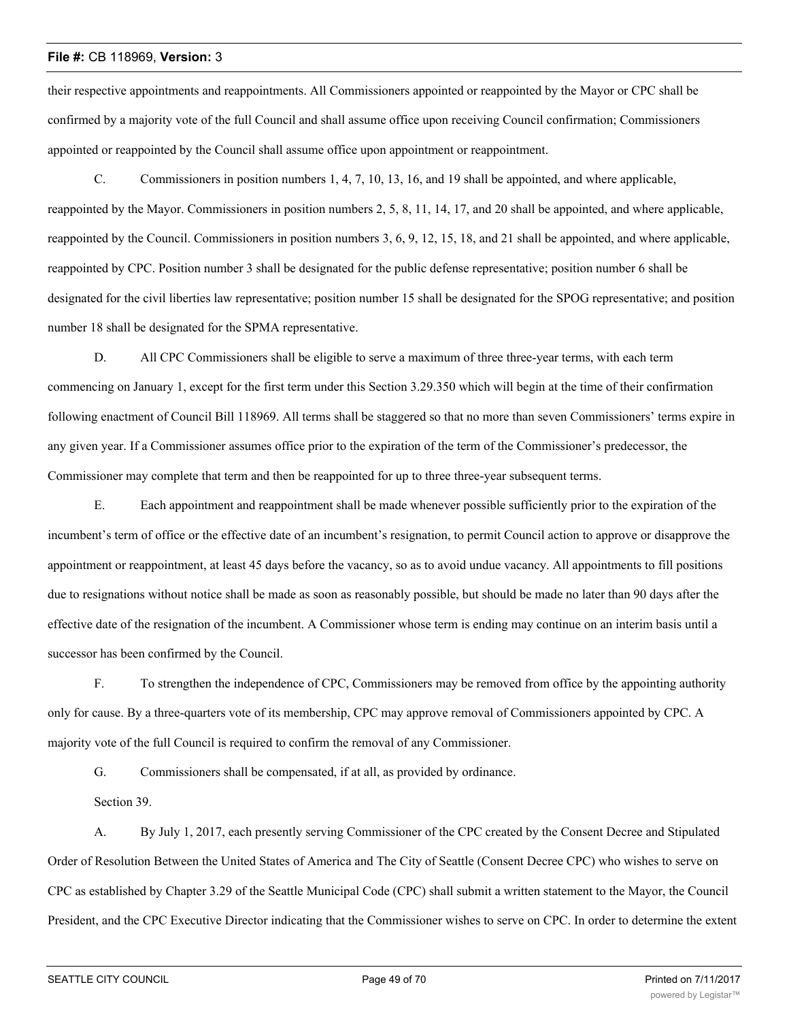their respective appointments and reappointments. All Commissioners appointed or reappointed by the Mayor or CPC shall be confirmed by a majority vote of the full Council and shall assume office upon receiving Council confirmation; Commissioners appointed or reappointed by the Council shall assume office upon appointment or reappointment.

C. Commissioners in position numbers 1, 4, 7, 10, 13, 16, and 19 shall be appointed, and where applicable, reappointed by the Mayor. Commissioners in position numbers 2, 5, 8, 11, 14, 17, and 20 shall be appointed, and where applicable, reappointed by the Council. Commissioners in position numbers 3, 6, 9, 12, 15, 18, and 21 shall be appointed, and where applicable, reappointed by CPC. Position number 3 shall be designated for the public defense representative; position number 6 shall be designated for the civil liberties law representative; position number 15 shall be designated for the SPOG representative; and position number 18 shall be designated for the SPMA representative.

D. All CPC Commissioners shall be eligible to serve a maximum of three three-year terms, with each term commencing on January 1, except for the first term under this Section 3.29.350 which will begin at the time of their confirmation following enactment of Council Bill 118969. All terms shall be staggered so that no more than seven Commissioners' terms expire in any given year. If a Commissioner assumes office prior to the expiration of the term of the Commissioner's predecessor, the Commissioner may complete that term and then be reappointed for up to three three-year subsequent terms.

E. Each appointment and reappointment shall be made whenever possible sufficiently prior to the expiration of the incumbent's term of office or the effective date of an incumbent's resignation, to permit Council action to approve or disapprove the appointment or reappointment, at least 45 days before the vacancy, so as to avoid undue vacancy. All appointments to fill positions due to resignations without notice shall be made as soon as reasonably possible, but should be made no later than 90 days after the effective date of the resignation of the incumbent. A Commissioner whose term is ending may continue on an interim basis until a successor has been confirmed by the Council.

F. To strengthen the independence of CPC, Commissioners may be removed from office by the appointing authority only for cause. By a three-quarters vote of its membership, CPC may approve removal of Commissioners appointed by CPC. A majority vote of the full Council is required to confirm the removal of any Commissioner.

G. Commissioners shall be compensated, if at all, as provided by ordinance.

Section 39.

A. By July 1, 2017, each presently serving Commissioner of the CPC created by the Consent Decree and Stipulated Order of Resolution Between the United States of America and The City of Seattle (Consent Decree CPC) who wishes to serve on CPC as established by Chapter 3.29 of the Seattle Municipal Code (CPC) shall submit a written statement to the Mayor, the Council President, and the CPC Executive Director indicating that the Commissioner wishes to serve on CPC. In order to determine the extent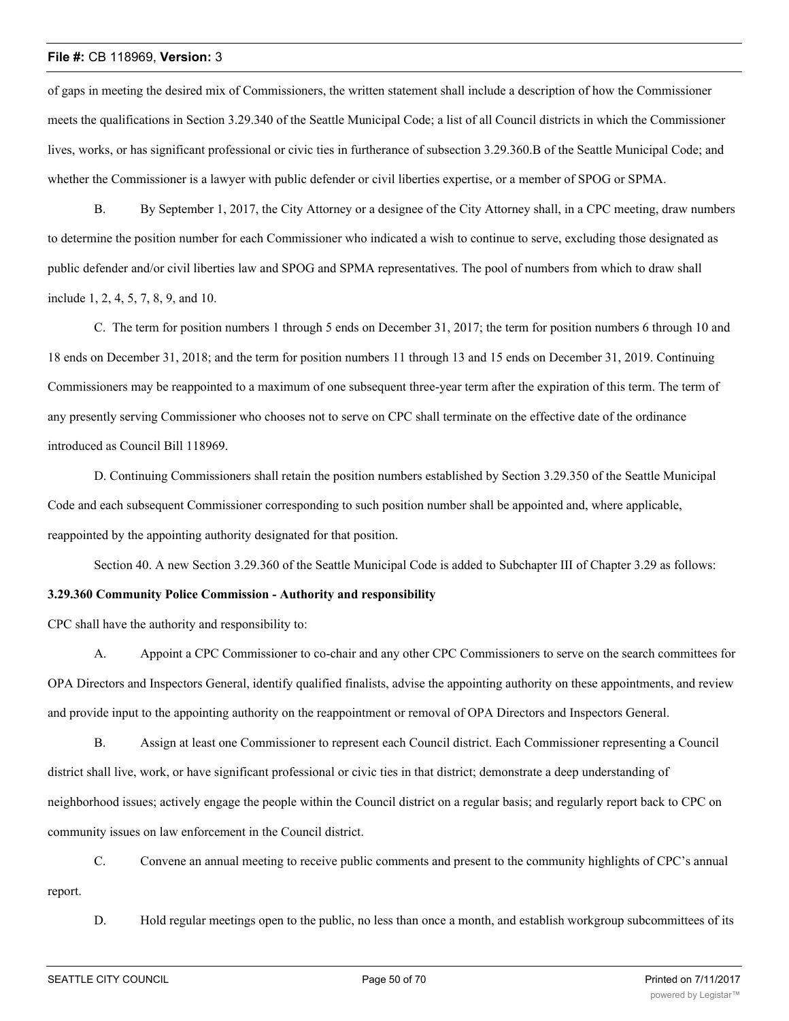of gaps in meeting the desired mix of Commissioners, the written statement shall include a description of how the Commissioner meets the qualifications in Section 3.29.340 of the Seattle Municipal Code; a list of all Council districts in which the Commissioner lives, works, or has significant professional or civic ties in furtherance of subsection 3.29.360.B of the Seattle Municipal Code; and whether the Commissioner is a lawyer with public defender or civil liberties expertise, or a member of SPOG or SPMA.

B. By September 1, 2017, the City Attorney or a designee of the City Attorney shall, in a CPC meeting, draw numbers to determine the position number for each Commissioner who indicated a wish to continue to serve, excluding those designated as public defender and/or civil liberties law and SPOG and SPMA representatives. The pool of numbers from which to draw shall include 1, 2, 4, 5, 7, 8, 9, and 10.

C. The term for position numbers 1 through 5 ends on December 31, 2017; the term for position numbers 6 through 10 and 18 ends on December 31, 2018; and the term for position numbers 11 through 13 and 15 ends on December 31, 2019. Continuing Commissioners may be reappointed to a maximum of one subsequent three-year term after the expiration of this term. The term of any presently serving Commissioner who chooses not to serve on CPC shall terminate on the effective date of the ordinance introduced as Council Bill 118969.

D. Continuing Commissioners shall retain the position numbers established by Section 3.29.350 of the Seattle Municipal Code and each subsequent Commissioner corresponding to such position number shall be appointed and, where applicable, reappointed by the appointing authority designated for that position.

Section 40. A new Section 3.29.360 of the Seattle Municipal Code is added to Subchapter III of Chapter 3.29 as follows:

# **3.29.360 Community Police Commission - Authority and responsibility**

CPC shall have the authority and responsibility to:

A. Appoint a CPC Commissioner to co-chair and any other CPC Commissioners to serve on the search committees for OPA Directors and Inspectors General, identify qualified finalists, advise the appointing authority on these appointments, and review and provide input to the appointing authority on the reappointment or removal of OPA Directors and Inspectors General.

B. Assign at least one Commissioner to represent each Council district. Each Commissioner representing a Council district shall live, work, or have significant professional or civic ties in that district; demonstrate a deep understanding of neighborhood issues; actively engage the people within the Council district on a regular basis; and regularly report back to CPC on community issues on law enforcement in the Council district.

C. Convene an annual meeting to receive public comments and present to the community highlights of CPC's annual report.

D. Hold regular meetings open to the public, no less than once a month, and establish workgroup subcommittees of its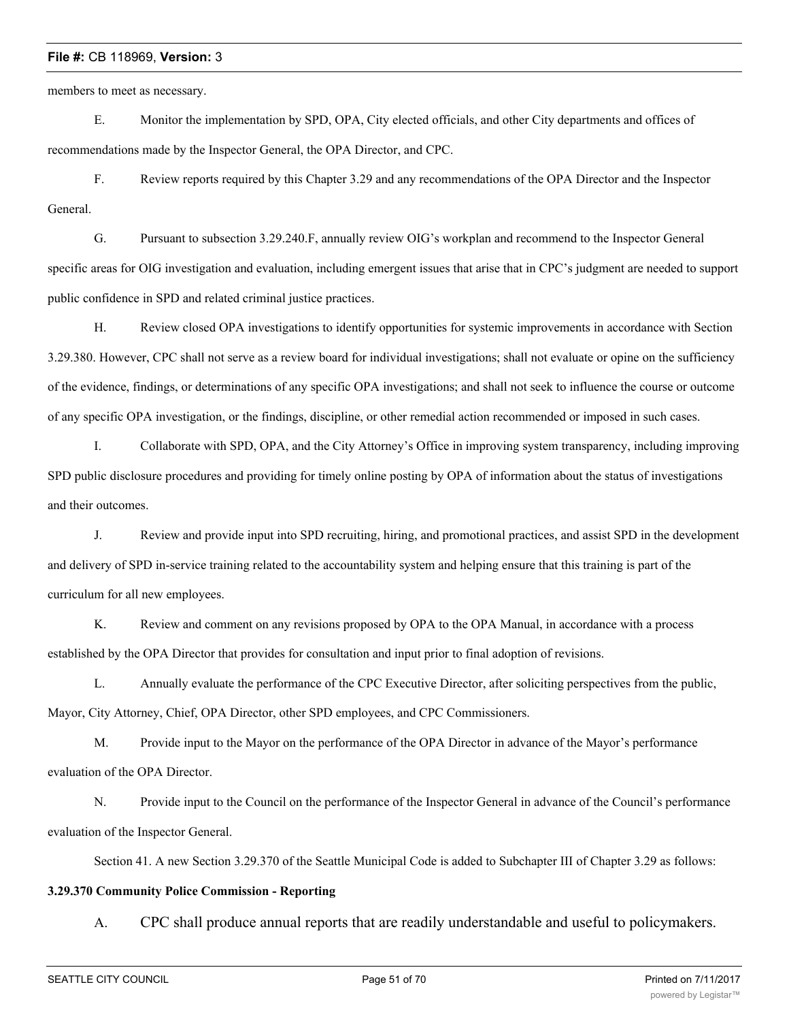members to meet as necessary.

E. Monitor the implementation by SPD, OPA, City elected officials, and other City departments and offices of recommendations made by the Inspector General, the OPA Director, and CPC.

F. Review reports required by this Chapter 3.29 and any recommendations of the OPA Director and the Inspector General.

G. Pursuant to subsection 3.29.240.F, annually review OIG's workplan and recommend to the Inspector General specific areas for OIG investigation and evaluation, including emergent issues that arise that in CPC's judgment are needed to support public confidence in SPD and related criminal justice practices.

H. Review closed OPA investigations to identify opportunities for systemic improvements in accordance with Section 3.29.380. However, CPC shall not serve as a review board for individual investigations; shall not evaluate or opine on the sufficiency of the evidence, findings, or determinations of any specific OPA investigations; and shall not seek to influence the course or outcome of any specific OPA investigation, or the findings, discipline, or other remedial action recommended or imposed in such cases.

I. Collaborate with SPD, OPA, and the City Attorney's Office in improving system transparency, including improving SPD public disclosure procedures and providing for timely online posting by OPA of information about the status of investigations and their outcomes.

J. Review and provide input into SPD recruiting, hiring, and promotional practices, and assist SPD in the development and delivery of SPD in-service training related to the accountability system and helping ensure that this training is part of the curriculum for all new employees.

K. Review and comment on any revisions proposed by OPA to the OPA Manual, in accordance with a process established by the OPA Director that provides for consultation and input prior to final adoption of revisions.

L. Annually evaluate the performance of the CPC Executive Director, after soliciting perspectives from the public, Mayor, City Attorney, Chief, OPA Director, other SPD employees, and CPC Commissioners.

M. Provide input to the Mayor on the performance of the OPA Director in advance of the Mayor's performance evaluation of the OPA Director.

N. Provide input to the Council on the performance of the Inspector General in advance of the Council's performance evaluation of the Inspector General.

Section 41. A new Section 3.29.370 of the Seattle Municipal Code is added to Subchapter III of Chapter 3.29 as follows:

# **3.29.370 Community Police Commission - Reporting**

A. CPC shall produce annual reports that are readily understandable and useful to policymakers.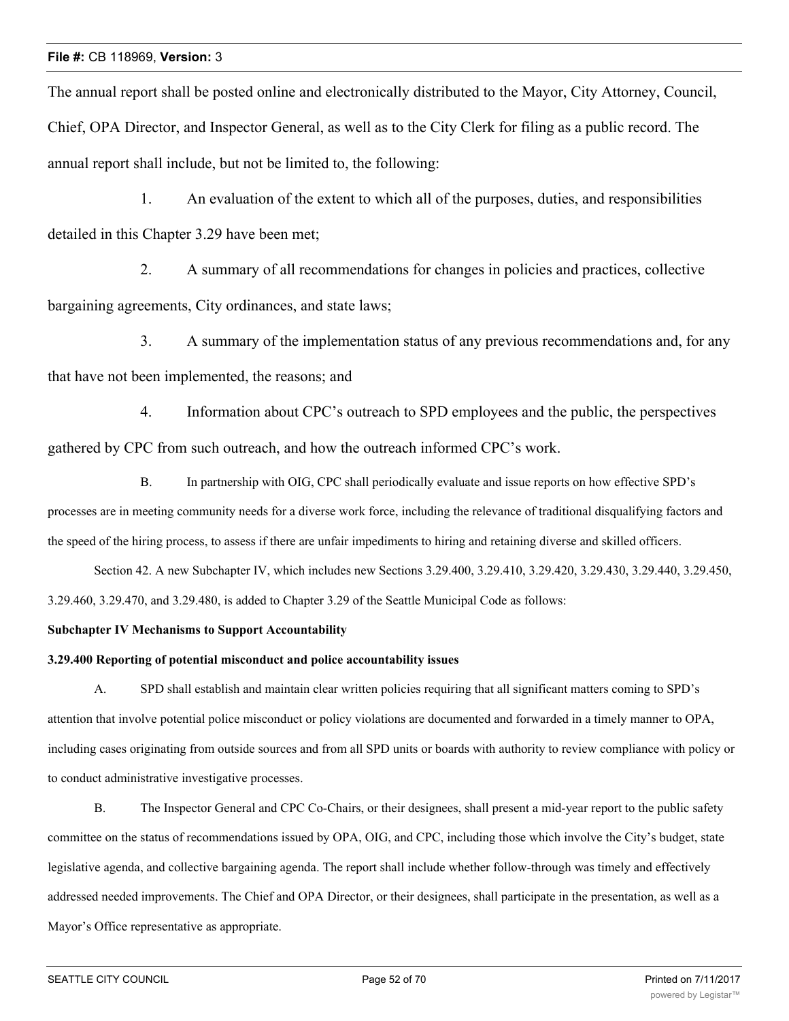The annual report shall be posted online and electronically distributed to the Mayor, City Attorney, Council, Chief, OPA Director, and Inspector General, as well as to the City Clerk for filing as a public record. The annual report shall include, but not be limited to, the following:

1. An evaluation of the extent to which all of the purposes, duties, and responsibilities detailed in this Chapter 3.29 have been met;

2. A summary of all recommendations for changes in policies and practices, collective bargaining agreements, City ordinances, and state laws;

3. A summary of the implementation status of any previous recommendations and, for any that have not been implemented, the reasons; and

4. Information about CPC's outreach to SPD employees and the public, the perspectives gathered by CPC from such outreach, and how the outreach informed CPC's work.

B. In partnership with OIG, CPC shall periodically evaluate and issue reports on how effective SPD's processes are in meeting community needs for a diverse work force, including the relevance of traditional disqualifying factors and the speed of the hiring process, to assess if there are unfair impediments to hiring and retaining diverse and skilled officers.

Section 42. A new Subchapter IV, which includes new Sections 3.29.400, 3.29.410, 3.29.420, 3.29.430, 3.29.440, 3.29.450, 3.29.460, 3.29.470, and 3.29.480, is added to Chapter 3.29 of the Seattle Municipal Code as follows:

# **Subchapter IV Mechanisms to Support Accountability**

# **3.29.400 Reporting of potential misconduct and police accountability issues**

A. SPD shall establish and maintain clear written policies requiring that all significant matters coming to SPD's attention that involve potential police misconduct or policy violations are documented and forwarded in a timely manner to OPA, including cases originating from outside sources and from all SPD units or boards with authority to review compliance with policy or to conduct administrative investigative processes.

B. The Inspector General and CPC Co-Chairs, or their designees, shall present a mid-year report to the public safety committee on the status of recommendations issued by OPA, OIG, and CPC, including those which involve the City's budget, state legislative agenda, and collective bargaining agenda. The report shall include whether follow-through was timely and effectively addressed needed improvements. The Chief and OPA Director, or their designees, shall participate in the presentation, as well as a Mayor's Office representative as appropriate.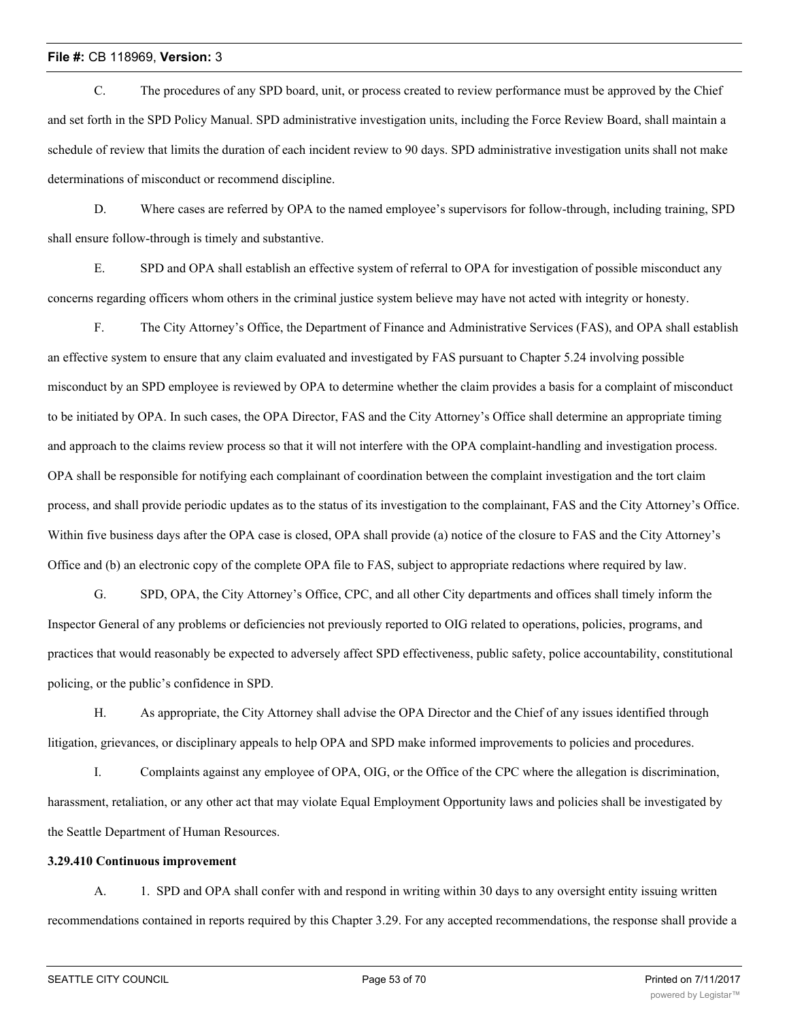C. The procedures of any SPD board, unit, or process created to review performance must be approved by the Chief and set forth in the SPD Policy Manual. SPD administrative investigation units, including the Force Review Board, shall maintain a schedule of review that limits the duration of each incident review to 90 days. SPD administrative investigation units shall not make determinations of misconduct or recommend discipline.

D. Where cases are referred by OPA to the named employee's supervisors for follow-through, including training, SPD shall ensure follow-through is timely and substantive.

E. SPD and OPA shall establish an effective system of referral to OPA for investigation of possible misconduct any concerns regarding officers whom others in the criminal justice system believe may have not acted with integrity or honesty.

F. The City Attorney's Office, the Department of Finance and Administrative Services (FAS), and OPA shall establish an effective system to ensure that any claim evaluated and investigated by FAS pursuant to Chapter 5.24 involving possible misconduct by an SPD employee is reviewed by OPA to determine whether the claim provides a basis for a complaint of misconduct to be initiated by OPA. In such cases, the OPA Director, FAS and the City Attorney's Office shall determine an appropriate timing and approach to the claims review process so that it will not interfere with the OPA complaint-handling and investigation process. OPA shall be responsible for notifying each complainant of coordination between the complaint investigation and the tort claim process, and shall provide periodic updates as to the status of its investigation to the complainant, FAS and the City Attorney's Office. Within five business days after the OPA case is closed, OPA shall provide (a) notice of the closure to FAS and the City Attorney's Office and (b) an electronic copy of the complete OPA file to FAS, subject to appropriate redactions where required by law.

G. SPD, OPA, the City Attorney's Office, CPC, and all other City departments and offices shall timely inform the Inspector General of any problems or deficiencies not previously reported to OIG related to operations, policies, programs, and practices that would reasonably be expected to adversely affect SPD effectiveness, public safety, police accountability, constitutional policing, or the public's confidence in SPD.

H. As appropriate, the City Attorney shall advise the OPA Director and the Chief of any issues identified through litigation, grievances, or disciplinary appeals to help OPA and SPD make informed improvements to policies and procedures.

I. Complaints against any employee of OPA, OIG, or the Office of the CPC where the allegation is discrimination, harassment, retaliation, or any other act that may violate Equal Employment Opportunity laws and policies shall be investigated by the Seattle Department of Human Resources.

#### **3.29.410 Continuous improvement**

A. 1. SPD and OPA shall confer with and respond in writing within 30 days to any oversight entity issuing written recommendations contained in reports required by this Chapter 3.29. For any accepted recommendations, the response shall provide a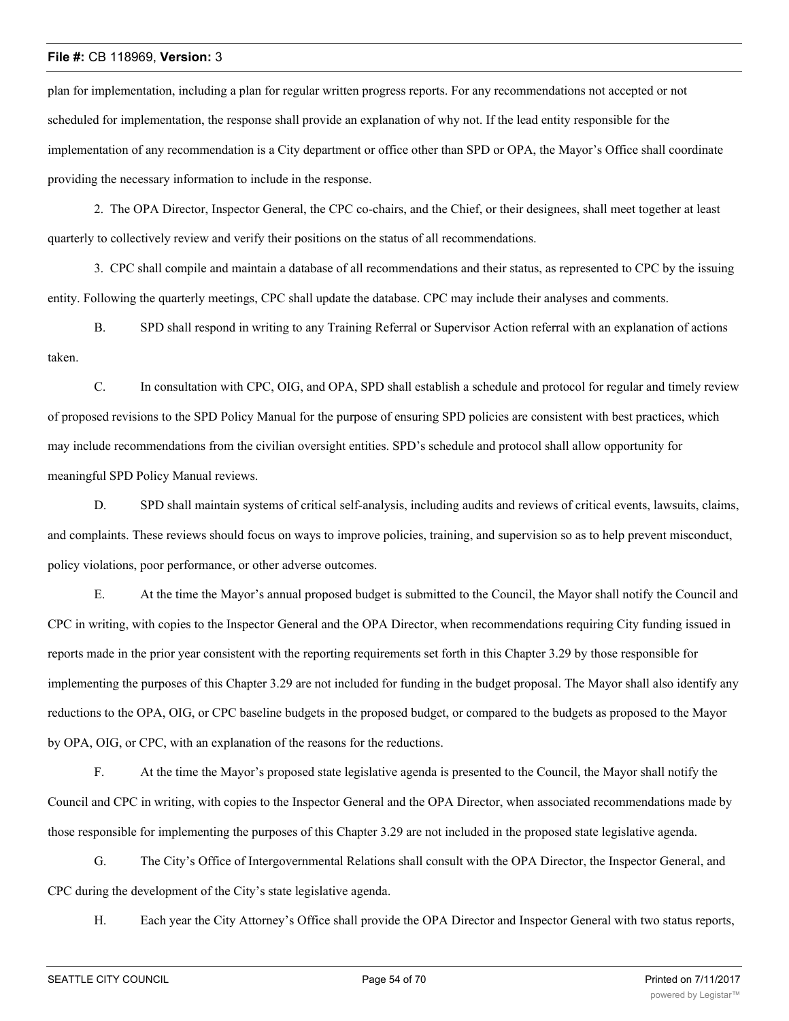plan for implementation, including a plan for regular written progress reports. For any recommendations not accepted or not scheduled for implementation, the response shall provide an explanation of why not. If the lead entity responsible for the implementation of any recommendation is a City department or office other than SPD or OPA, the Mayor's Office shall coordinate providing the necessary information to include in the response.

2. The OPA Director, Inspector General, the CPC co-chairs, and the Chief, or their designees, shall meet together at least quarterly to collectively review and verify their positions on the status of all recommendations.

3. CPC shall compile and maintain a database of all recommendations and their status, as represented to CPC by the issuing entity. Following the quarterly meetings, CPC shall update the database. CPC may include their analyses and comments.

B. SPD shall respond in writing to any Training Referral or Supervisor Action referral with an explanation of actions taken.

C. In consultation with CPC, OIG, and OPA, SPD shall establish a schedule and protocol for regular and timely review of proposed revisions to the SPD Policy Manual for the purpose of ensuring SPD policies are consistent with best practices, which may include recommendations from the civilian oversight entities. SPD's schedule and protocol shall allow opportunity for meaningful SPD Policy Manual reviews.

D. SPD shall maintain systems of critical self-analysis, including audits and reviews of critical events, lawsuits, claims, and complaints. These reviews should focus on ways to improve policies, training, and supervision so as to help prevent misconduct, policy violations, poor performance, or other adverse outcomes.

E. At the time the Mayor's annual proposed budget is submitted to the Council, the Mayor shall notify the Council and CPC in writing, with copies to the Inspector General and the OPA Director, when recommendations requiring City funding issued in reports made in the prior year consistent with the reporting requirements set forth in this Chapter 3.29 by those responsible for implementing the purposes of this Chapter 3.29 are not included for funding in the budget proposal. The Mayor shall also identify any reductions to the OPA, OIG, or CPC baseline budgets in the proposed budget, or compared to the budgets as proposed to the Mayor by OPA, OIG, or CPC, with an explanation of the reasons for the reductions.

F. At the time the Mayor's proposed state legislative agenda is presented to the Council, the Mayor shall notify the Council and CPC in writing, with copies to the Inspector General and the OPA Director, when associated recommendations made by those responsible for implementing the purposes of this Chapter 3.29 are not included in the proposed state legislative agenda.

G. The City's Office of Intergovernmental Relations shall consult with the OPA Director, the Inspector General, and CPC during the development of the City's state legislative agenda.

H. Each year the City Attorney's Office shall provide the OPA Director and Inspector General with two status reports,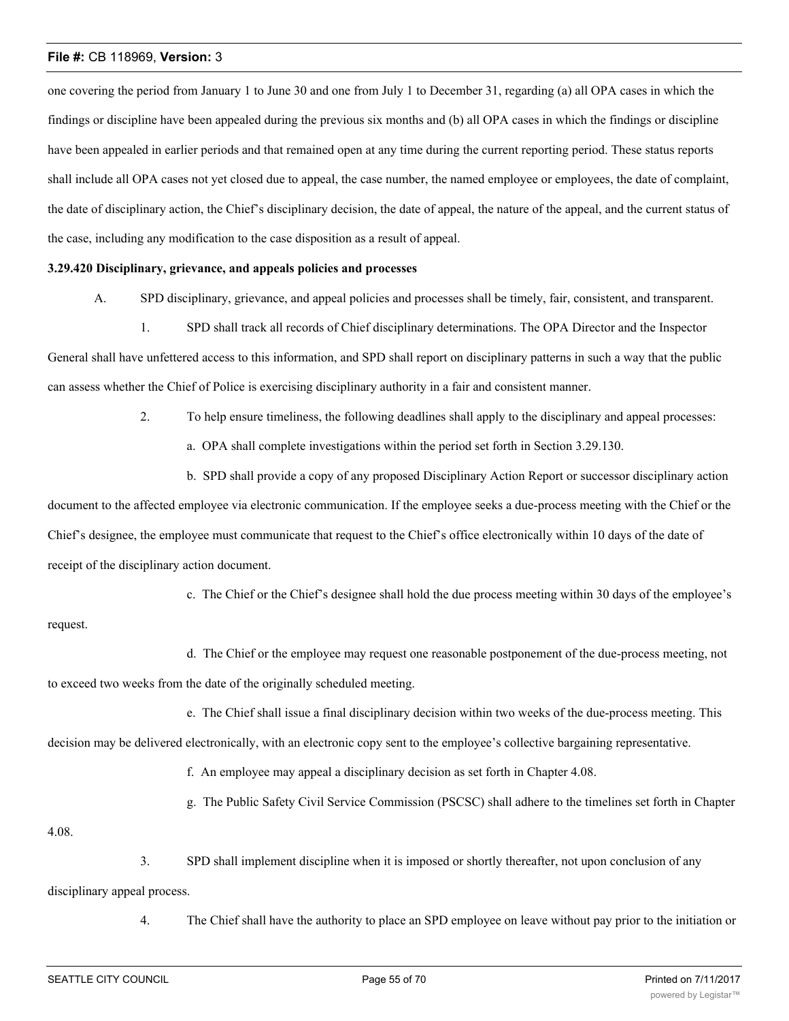one covering the period from January 1 to June 30 and one from July 1 to December 31, regarding (a) all OPA cases in which the findings or discipline have been appealed during the previous six months and (b) all OPA cases in which the findings or discipline have been appealed in earlier periods and that remained open at any time during the current reporting period. These status reports shall include all OPA cases not yet closed due to appeal, the case number, the named employee or employees, the date of complaint, the date of disciplinary action, the Chief's disciplinary decision, the date of appeal, the nature of the appeal, and the current status of the case, including any modification to the case disposition as a result of appeal.

#### **3.29.420 Disciplinary, grievance, and appeals policies and processes**

- A. SPD disciplinary, grievance, and appeal policies and processes shall be timely, fair, consistent, and transparent.
	- 1. SPD shall track all records of Chief disciplinary determinations. The OPA Director and the Inspector

General shall have unfettered access to this information, and SPD shall report on disciplinary patterns in such a way that the public can assess whether the Chief of Police is exercising disciplinary authority in a fair and consistent manner.

- 2. To help ensure timeliness, the following deadlines shall apply to the disciplinary and appeal processes:
	- a. OPA shall complete investigations within the period set forth in Section 3.29.130.

b. SPD shall provide a copy of any proposed Disciplinary Action Report or successor disciplinary action document to the affected employee via electronic communication. If the employee seeks a due-process meeting with the Chief or the Chief's designee, the employee must communicate that request to the Chief's office electronically within 10 days of the date of receipt of the disciplinary action document.

c. The Chief or the Chief's designee shall hold the due process meeting within 30 days of the employee's

### request.

d. The Chief or the employee may request one reasonable postponement of the due-process meeting, not

to exceed two weeks from the date of the originally scheduled meeting.

e. The Chief shall issue a final disciplinary decision within two weeks of the due-process meeting. This

decision may be delivered electronically, with an electronic copy sent to the employee's collective bargaining representative.

- f. An employee may appeal a disciplinary decision as set forth in Chapter 4.08.
- g. The Public Safety Civil Service Commission (PSCSC) shall adhere to the timelines set forth in Chapter

4.08.

3. SPD shall implement discipline when it is imposed or shortly thereafter, not upon conclusion of any disciplinary appeal process.

4. The Chief shall have the authority to place an SPD employee on leave without pay prior to the initiation or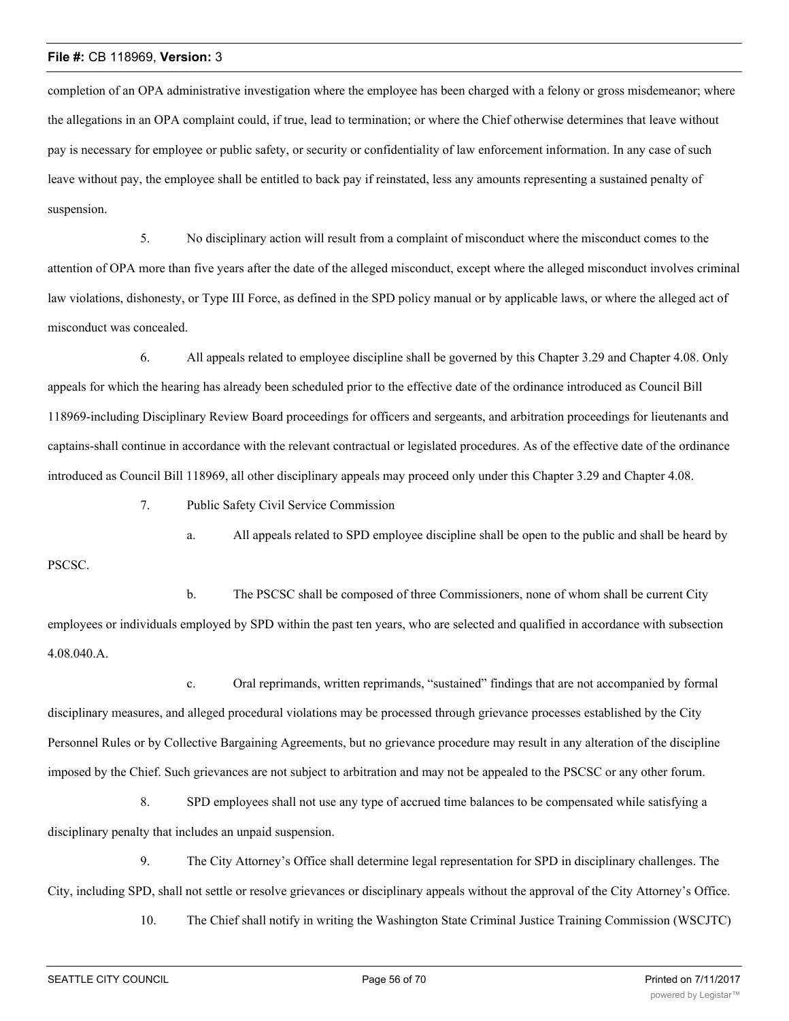completion of an OPA administrative investigation where the employee has been charged with a felony or gross misdemeanor; where the allegations in an OPA complaint could, if true, lead to termination; or where the Chief otherwise determines that leave without pay is necessary for employee or public safety, or security or confidentiality of law enforcement information. In any case of such leave without pay, the employee shall be entitled to back pay if reinstated, less any amounts representing a sustained penalty of suspension.

5. No disciplinary action will result from a complaint of misconduct where the misconduct comes to the attention of OPA more than five years after the date of the alleged misconduct, except where the alleged misconduct involves criminal law violations, dishonesty, or Type III Force, as defined in the SPD policy manual or by applicable laws, or where the alleged act of misconduct was concealed.

6. All appeals related to employee discipline shall be governed by this Chapter 3.29 and Chapter 4.08. Only appeals for which the hearing has already been scheduled prior to the effective date of the ordinance introduced as Council Bill 118969-including Disciplinary Review Board proceedings for officers and sergeants, and arbitration proceedings for lieutenants and captains-shall continue in accordance with the relevant contractual or legislated procedures. As of the effective date of the ordinance introduced as Council Bill 118969, all other disciplinary appeals may proceed only under this Chapter 3.29 and Chapter 4.08.

7. Public Safety Civil Service Commission

a. All appeals related to SPD employee discipline shall be open to the public and shall be heard by

b. The PSCSC shall be composed of three Commissioners, none of whom shall be current City employees or individuals employed by SPD within the past ten years, who are selected and qualified in accordance with subsection 4.08.040.A.

c. Oral reprimands, written reprimands, "sustained" findings that are not accompanied by formal disciplinary measures, and alleged procedural violations may be processed through grievance processes established by the City Personnel Rules or by Collective Bargaining Agreements, but no grievance procedure may result in any alteration of the discipline imposed by the Chief. Such grievances are not subject to arbitration and may not be appealed to the PSCSC or any other forum.

8. SPD employees shall not use any type of accrued time balances to be compensated while satisfying a disciplinary penalty that includes an unpaid suspension.

9. The City Attorney's Office shall determine legal representation for SPD in disciplinary challenges. The City, including SPD, shall not settle or resolve grievances or disciplinary appeals without the approval of the City Attorney's Office.

10. The Chief shall notify in writing the Washington State Criminal Justice Training Commission (WSCJTC)

PSCSC.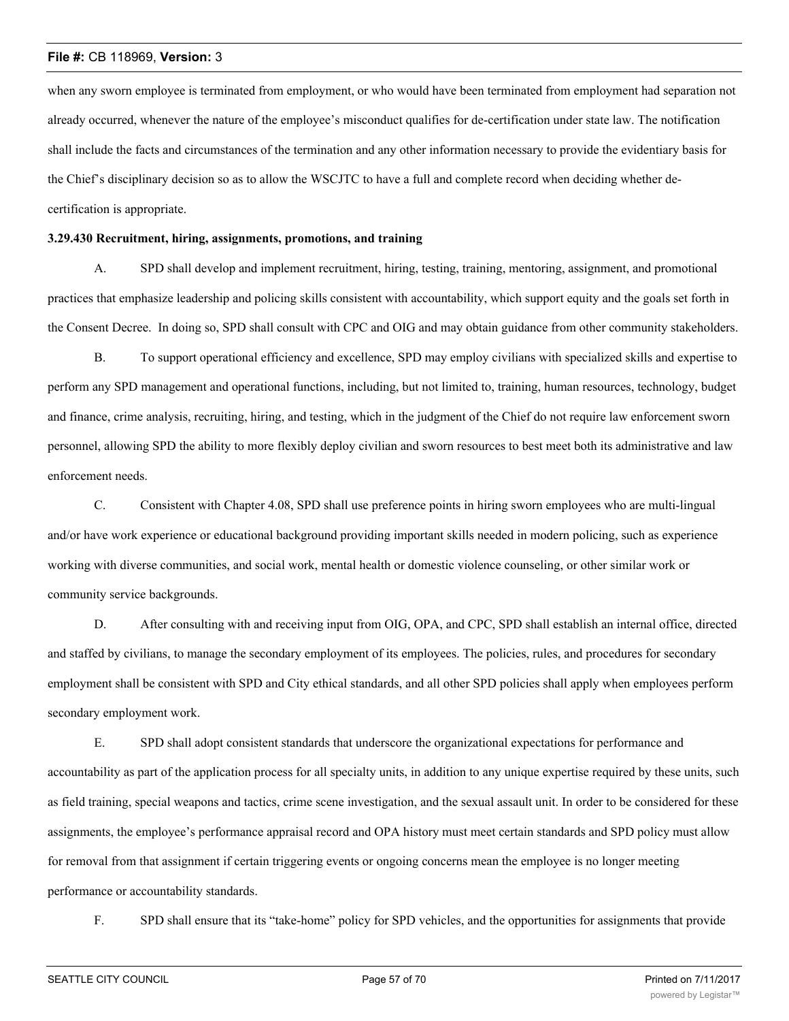when any sworn employee is terminated from employment, or who would have been terminated from employment had separation not already occurred, whenever the nature of the employee's misconduct qualifies for de-certification under state law. The notification shall include the facts and circumstances of the termination and any other information necessary to provide the evidentiary basis for the Chief's disciplinary decision so as to allow the WSCJTC to have a full and complete record when deciding whether decertification is appropriate.

#### **3.29.430 Recruitment, hiring, assignments, promotions, and training**

A. SPD shall develop and implement recruitment, hiring, testing, training, mentoring, assignment, and promotional practices that emphasize leadership and policing skills consistent with accountability, which support equity and the goals set forth in the Consent Decree. In doing so, SPD shall consult with CPC and OIG and may obtain guidance from other community stakeholders.

B. To support operational efficiency and excellence, SPD may employ civilians with specialized skills and expertise to perform any SPD management and operational functions, including, but not limited to, training, human resources, technology, budget and finance, crime analysis, recruiting, hiring, and testing, which in the judgment of the Chief do not require law enforcement sworn personnel, allowing SPD the ability to more flexibly deploy civilian and sworn resources to best meet both its administrative and law enforcement needs.

C. Consistent with Chapter 4.08, SPD shall use preference points in hiring sworn employees who are multi-lingual and/or have work experience or educational background providing important skills needed in modern policing, such as experience working with diverse communities, and social work, mental health or domestic violence counseling, or other similar work or community service backgrounds.

D. After consulting with and receiving input from OIG, OPA, and CPC, SPD shall establish an internal office, directed and staffed by civilians, to manage the secondary employment of its employees. The policies, rules, and procedures for secondary employment shall be consistent with SPD and City ethical standards, and all other SPD policies shall apply when employees perform secondary employment work.

E. SPD shall adopt consistent standards that underscore the organizational expectations for performance and accountability as part of the application process for all specialty units, in addition to any unique expertise required by these units, such as field training, special weapons and tactics, crime scene investigation, and the sexual assault unit. In order to be considered for these assignments, the employee's performance appraisal record and OPA history must meet certain standards and SPD policy must allow for removal from that assignment if certain triggering events or ongoing concerns mean the employee is no longer meeting performance or accountability standards.

F. SPD shall ensure that its "take-home" policy for SPD vehicles, and the opportunities for assignments that provide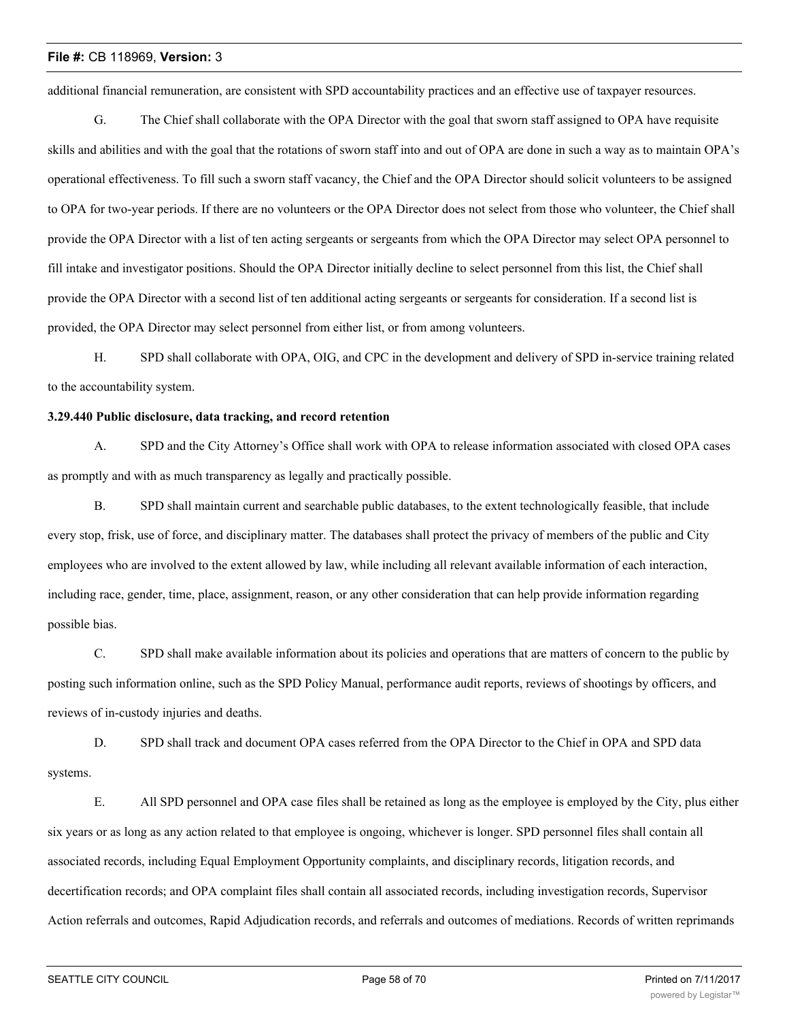additional financial remuneration, are consistent with SPD accountability practices and an effective use of taxpayer resources.

G. The Chief shall collaborate with the OPA Director with the goal that sworn staff assigned to OPA have requisite skills and abilities and with the goal that the rotations of sworn staff into and out of OPA are done in such a way as to maintain OPA's operational effectiveness. To fill such a sworn staff vacancy, the Chief and the OPA Director should solicit volunteers to be assigned to OPA for two-year periods. If there are no volunteers or the OPA Director does not select from those who volunteer, the Chief shall provide the OPA Director with a list of ten acting sergeants or sergeants from which the OPA Director may select OPA personnel to fill intake and investigator positions. Should the OPA Director initially decline to select personnel from this list, the Chief shall provide the OPA Director with a second list of ten additional acting sergeants or sergeants for consideration. If a second list is provided, the OPA Director may select personnel from either list, or from among volunteers.

H. SPD shall collaborate with OPA, OIG, and CPC in the development and delivery of SPD in-service training related to the accountability system.

#### **3.29.440 Public disclosure, data tracking, and record retention**

A. SPD and the City Attorney's Office shall work with OPA to release information associated with closed OPA cases as promptly and with as much transparency as legally and practically possible.

B. SPD shall maintain current and searchable public databases, to the extent technologically feasible, that include every stop, frisk, use of force, and disciplinary matter. The databases shall protect the privacy of members of the public and City employees who are involved to the extent allowed by law, while including all relevant available information of each interaction, including race, gender, time, place, assignment, reason, or any other consideration that can help provide information regarding possible bias.

C. SPD shall make available information about its policies and operations that are matters of concern to the public by posting such information online, such as the SPD Policy Manual, performance audit reports, reviews of shootings by officers, and reviews of in-custody injuries and deaths.

D. SPD shall track and document OPA cases referred from the OPA Director to the Chief in OPA and SPD data systems.

E. All SPD personnel and OPA case files shall be retained as long as the employee is employed by the City, plus either six years or as long as any action related to that employee is ongoing, whichever is longer. SPD personnel files shall contain all associated records, including Equal Employment Opportunity complaints, and disciplinary records, litigation records, and decertification records; and OPA complaint files shall contain all associated records, including investigation records, Supervisor Action referrals and outcomes, Rapid Adjudication records, and referrals and outcomes of mediations. Records of written reprimands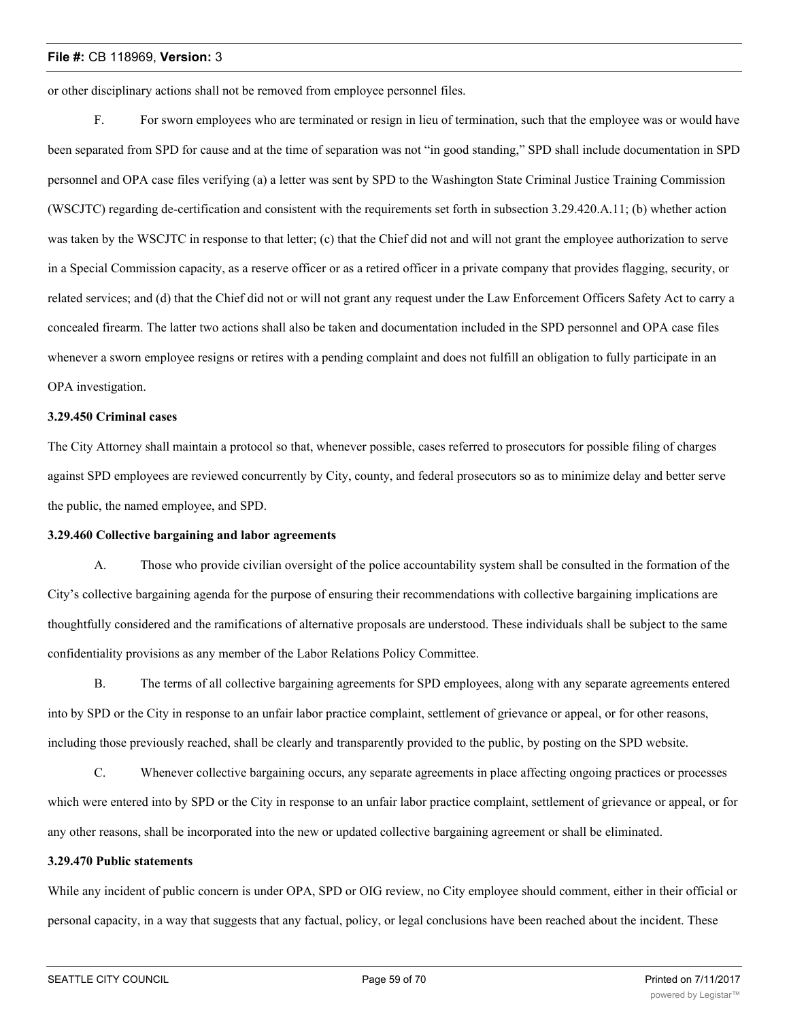or other disciplinary actions shall not be removed from employee personnel files.

F. For sworn employees who are terminated or resign in lieu of termination, such that the employee was or would have been separated from SPD for cause and at the time of separation was not "in good standing," SPD shall include documentation in SPD personnel and OPA case files verifying (a) a letter was sent by SPD to the Washington State Criminal Justice Training Commission (WSCJTC) regarding de-certification and consistent with the requirements set forth in subsection 3.29.420.A.11; (b) whether action was taken by the WSCJTC in response to that letter; (c) that the Chief did not and will not grant the employee authorization to serve in a Special Commission capacity, as a reserve officer or as a retired officer in a private company that provides flagging, security, or related services; and (d) that the Chief did not or will not grant any request under the Law Enforcement Officers Safety Act to carry a concealed firearm. The latter two actions shall also be taken and documentation included in the SPD personnel and OPA case files whenever a sworn employee resigns or retires with a pending complaint and does not fulfill an obligation to fully participate in an OPA investigation.

#### **3.29.450 Criminal cases**

The City Attorney shall maintain a protocol so that, whenever possible, cases referred to prosecutors for possible filing of charges against SPD employees are reviewed concurrently by City, county, and federal prosecutors so as to minimize delay and better serve the public, the named employee, and SPD.

#### **3.29.460 Collective bargaining and labor agreements**

A. Those who provide civilian oversight of the police accountability system shall be consulted in the formation of the City's collective bargaining agenda for the purpose of ensuring their recommendations with collective bargaining implications are thoughtfully considered and the ramifications of alternative proposals are understood. These individuals shall be subject to the same confidentiality provisions as any member of the Labor Relations Policy Committee.

B. The terms of all collective bargaining agreements for SPD employees, along with any separate agreements entered into by SPD or the City in response to an unfair labor practice complaint, settlement of grievance or appeal, or for other reasons, including those previously reached, shall be clearly and transparently provided to the public, by posting on the SPD website.

C. Whenever collective bargaining occurs, any separate agreements in place affecting ongoing practices or processes which were entered into by SPD or the City in response to an unfair labor practice complaint, settlement of grievance or appeal, or for any other reasons, shall be incorporated into the new or updated collective bargaining agreement or shall be eliminated.

#### **3.29.470 Public statements**

While any incident of public concern is under OPA, SPD or OIG review, no City employee should comment, either in their official or personal capacity, in a way that suggests that any factual, policy, or legal conclusions have been reached about the incident. These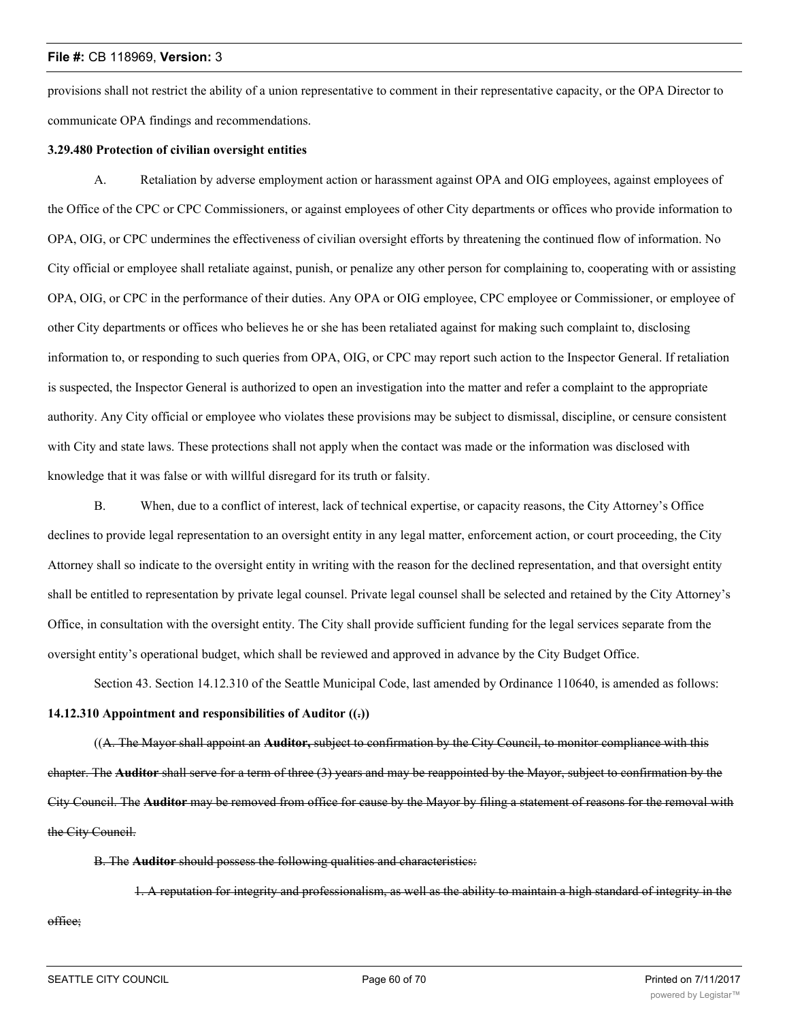provisions shall not restrict the ability of a union representative to comment in their representative capacity, or the OPA Director to communicate OPA findings and recommendations.

## **3.29.480 Protection of civilian oversight entities**

A. Retaliation by adverse employment action or harassment against OPA and OIG employees, against employees of the Office of the CPC or CPC Commissioners, or against employees of other City departments or offices who provide information to OPA, OIG, or CPC undermines the effectiveness of civilian oversight efforts by threatening the continued flow of information. No City official or employee shall retaliate against, punish, or penalize any other person for complaining to, cooperating with or assisting OPA, OIG, or CPC in the performance of their duties. Any OPA or OIG employee, CPC employee or Commissioner, or employee of other City departments or offices who believes he or she has been retaliated against for making such complaint to, disclosing information to, or responding to such queries from OPA, OIG, or CPC may report such action to the Inspector General. If retaliation is suspected, the Inspector General is authorized to open an investigation into the matter and refer a complaint to the appropriate authority. Any City official or employee who violates these provisions may be subject to dismissal, discipline, or censure consistent with City and state laws. These protections shall not apply when the contact was made or the information was disclosed with knowledge that it was false or with willful disregard for its truth or falsity.

B. When, due to a conflict of interest, lack of technical expertise, or capacity reasons, the City Attorney's Office declines to provide legal representation to an oversight entity in any legal matter, enforcement action, or court proceeding, the City Attorney shall so indicate to the oversight entity in writing with the reason for the declined representation, and that oversight entity shall be entitled to representation by private legal counsel. Private legal counsel shall be selected and retained by the City Attorney's Office, in consultation with the oversight entity. The City shall provide sufficient funding for the legal services separate from the oversight entity's operational budget, which shall be reviewed and approved in advance by the City Budget Office.

Section 43. Section 14.12.310 of the Seattle Municipal Code, last amended by Ordinance 110640, is amended as follows:

# **14.12.310 Appointment and responsibilities of Auditor ((.))**

((A. The Mayor shall appoint an **Auditor,** subject to confirmation by the City Council, to monitor compliance with this chapter. The **Auditor** shall serve for a term of three (3) years and may be reappointed by the Mayor, subject to confirmation by the City Council. The **Auditor** may be removed from office for cause by the Mayor by filing a statement of reasons for the removal with the City Council.

B. The **Auditor** should possess the following qualities and characteristics:

1. A reputation for integrity and professionalism, as well as the ability to maintain a high standard of integrity in the

office;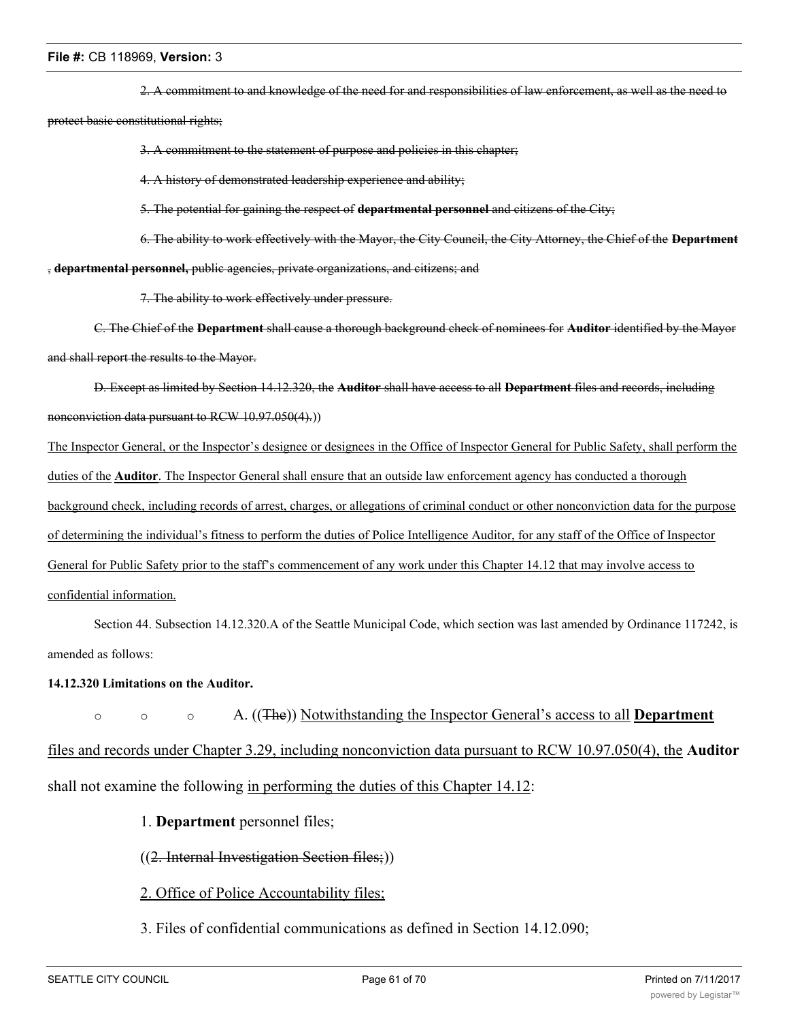2. A commitment to and knowledge of the need for and responsibilities of law enforcement, as well as the need to protect basic constitutional rights;

3. A commitment to the statement of purpose and policies in this chapter;

4. A history of demonstrated leadership experience and ability;

5. The potential for gaining the respect of **departmental personnel** and citizens of the City;

6. The ability to work effectively with the Mayor, the City Council, the City Attorney, the Chief of the **Department** , **departmental personnel,** public agencies, private organizations, and citizens; and

7. The ability to work effectively under pressure.

C. The Chief of the **Department** shall cause a thorough background check of nominees for **Auditor** identified by the Mayor and shall report the results to the Mayor.

D. Except as limited by Section 14.12.320, the **Auditor** shall have access to all **Department** files and records, including nonconviction data pursuant to RCW 10.97.050(4).))

The Inspector General, or the Inspector's designee or designees in the Office of Inspector General for Public Safety, shall perform the duties of the **Auditor**. The Inspector General shall ensure that an outside law enforcement agency has conducted a thorough background check, including records of arrest, charges, or allegations of criminal conduct or other nonconviction data for the purpose of determining the individual's fitness to perform the duties of Police Intelligence Auditor, for any staff of the Office of Inspector General for Public Safety prior to the staff's commencement of any work under this Chapter 14.12 that may involve access to confidential information.

Section 44. Subsection 14.12.320.A of the Seattle Municipal Code, which section was last amended by Ordinance 117242, is amended as follows:

# **14.12.320 Limitations on the Auditor.**

o o o A. ((The)) Notwithstanding the Inspector General's access to all **Department** files and records under Chapter 3.29, including nonconviction data pursuant to RCW 10.97.050(4), the **Auditor** shall not examine the following in performing the duties of this Chapter 14.12:

1. **Department** personnel files;

((2. Internal Investigation Section files;))

2. Office of Police Accountability files;

3. Files of confidential communications as defined in Section 14.12.090;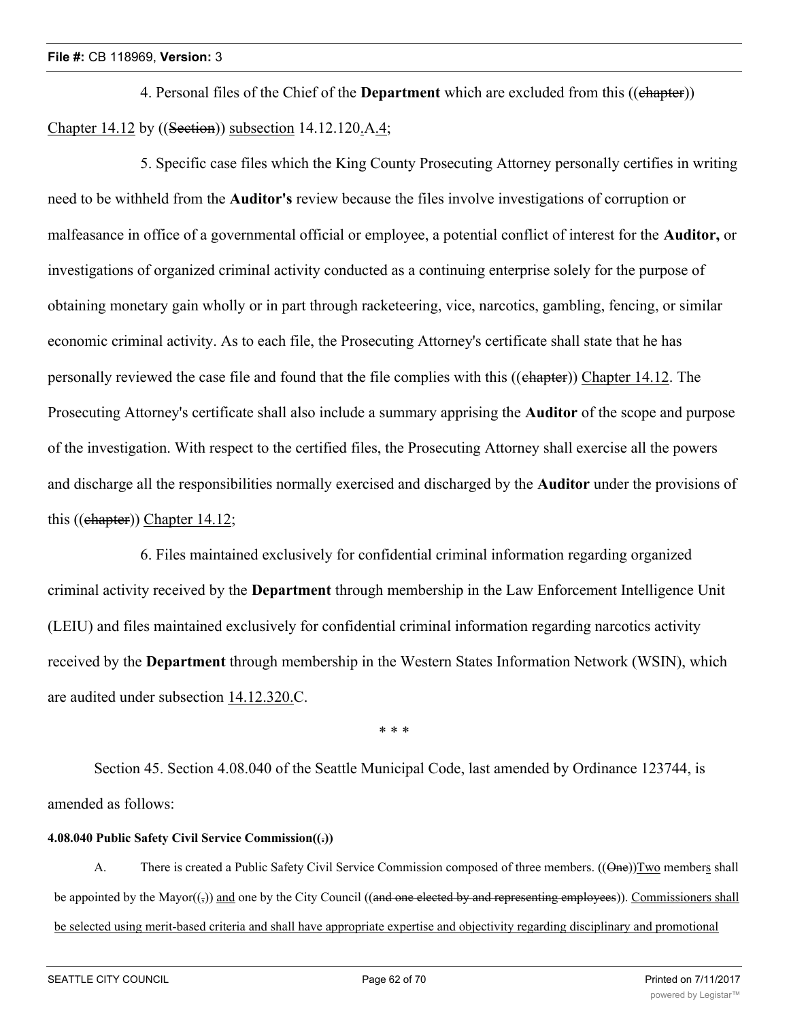4. Personal files of the Chief of the **Department** which are excluded from this ((chapter)) Chapter 14.12 by ((Section)) subsection 14.12.120.A.4;

5. Specific case files which the King County Prosecuting Attorney personally certifies in writing need to be withheld from the **Auditor's** review because the files involve investigations of corruption or malfeasance in office of a governmental official or employee, a potential conflict of interest for the **Auditor,** or investigations of organized criminal activity conducted as a continuing enterprise solely for the purpose of obtaining monetary gain wholly or in part through racketeering, vice, narcotics, gambling, fencing, or similar economic criminal activity. As to each file, the Prosecuting Attorney's certificate shall state that he has personally reviewed the case file and found that the file complies with this ((chapter)) Chapter 14.12. The Prosecuting Attorney's certificate shall also include a summary apprising the **Auditor** of the scope and purpose of the investigation. With respect to the certified files, the Prosecuting Attorney shall exercise all the powers and discharge all the responsibilities normally exercised and discharged by the **Auditor** under the provisions of this ((chapter)) Chapter 14.12;

6. Files maintained exclusively for confidential criminal information regarding organized criminal activity received by the **Department** through membership in the Law Enforcement Intelligence Unit (LEIU) and files maintained exclusively for confidential criminal information regarding narcotics activity received by the **Department** through membership in the Western States Information Network (WSIN), which are audited under subsection 14.12.320.C.

\* \* \*

Section 45. Section 4.08.040 of the Seattle Municipal Code, last amended by Ordinance 123744, is amended as follows:

# **4.08.040 Public Safety Civil Service Commission((.))**

A. There is created a Public Safety Civil Service Commission composed of three members. ((One))Two members shall be appointed by the Mayor( $(\tau)$ ) and one by the City Council ((and one elected by and representing employees)). Commissioners shall be selected using merit-based criteria and shall have appropriate expertise and objectivity regarding disciplinary and promotional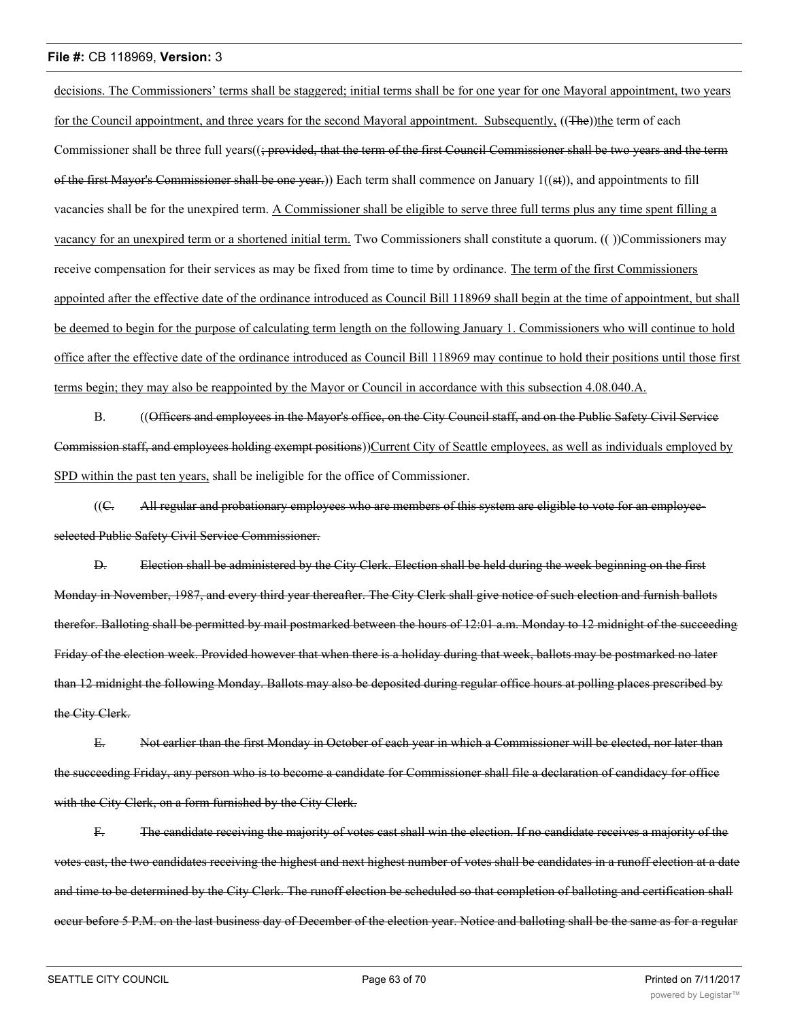decisions. The Commissioners' terms shall be staggered; initial terms shall be for one year for one Mayoral appointment, two years for the Council appointment, and three years for the second Mayoral appointment. Subsequently, ((The))the term of each Commissioner shall be three full years $((\frac{1}{2}pr_{\text{ov}})$  that the term of the first Council Commissioner shall be two years and the term of the first Mayor's Commissioner shall be one year.)) Each term shall commence on January  $1((st))$ , and appointments to fill vacancies shall be for the unexpired term. A Commissioner shall be eligible to serve three full terms plus any time spent filling a vacancy for an unexpired term or a shortened initial term. Two Commissioners shall constitute a quorum. (( ))Commissioners may receive compensation for their services as may be fixed from time to time by ordinance. The term of the first Commissioners appointed after the effective date of the ordinance introduced as Council Bill 118969 shall begin at the time of appointment, but shall be deemed to begin for the purpose of calculating term length on the following January 1. Commissioners who will continue to hold office after the effective date of the ordinance introduced as Council Bill 118969 may continue to hold their positions until those first terms begin; they may also be reappointed by the Mayor or Council in accordance with this subsection 4.08.040.A.

B. ((Officers and employees in the Mayor's office, on the City Council staff, and on the Public Safety Civil Service Commission staff, and employees holding exempt positions))Current City of Seattle employees, as well as individuals employed by SPD within the past ten years, shall be ineligible for the office of Commissioner.

((C. All regular and probationary employees who are members of this system are eligible to vote for an employeeselected Public Safety Civil Service Commissioner.

D. Election shall be administered by the City Clerk. Election shall be held during the week beginning on the first Monday in November, 1987, and every third year thereafter. The City Clerk shall give notice of such election and furnish ballots therefor. Balloting shall be permitted by mail postmarked between the hours of 12:01 a.m. Monday to 12 midnight of the succeeding Friday of the election week. Provided however that when there is a holiday during that week, ballots may be postmarked no later than 12 midnight the following Monday. Ballots may also be deposited during regular office hours at polling places prescribed by the City Clerk.

E. Not earlier than the first Monday in October of each year in which a Commissioner will be elected, nor later than the succeeding Friday, any person who is to become a candidate for Commissioner shall file a declaration of candidacy for office with the City Clerk, on a form furnished by the City Clerk.

F. The candidate receiving the majority of votes cast shall win the election. If no candidate receives a majority of the votes cast, the two candidates receiving the highest and next highest number of votes shall be candidates in a runoff election at a date and time to be determined by the City Clerk. The runoff election be scheduled so that completion of balloting and certification shall occur before 5 P.M. on the last business day of December of the election year. Notice and balloting shall be the same as for a regular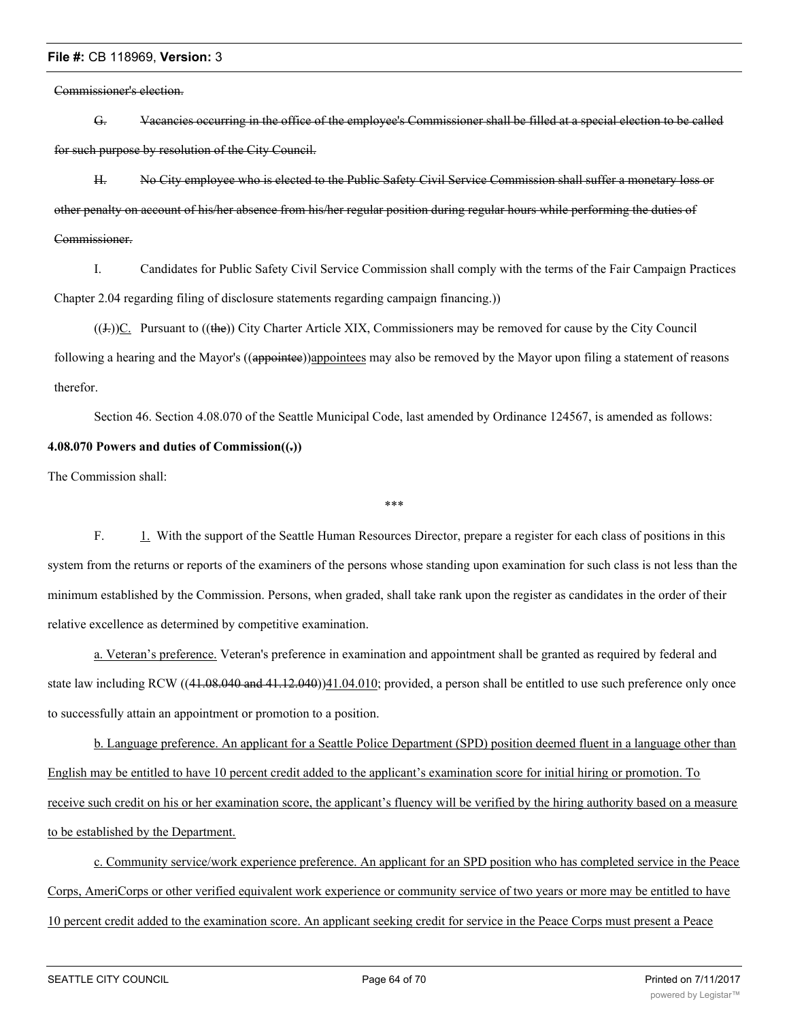Commissioner's election.

G. Vacancies occurring in the office of the employee's Commissioner shall be filled at a special election to be called for such purpose by resolution of the City Council.

H. No City employee who is elected to the Public Safety Civil Service Commission shall suffer a monetary loss or other penalty on account of his/her absence from his/her regular position during regular hours while performing the duties of Commissioner.

I. Candidates for Public Safety Civil Service Commission shall comply with the terms of the Fair Campaign Practices Chapter 2.04 regarding filing of disclosure statements regarding campaign financing.))

 $((J<sub>z</sub>))C$ . Pursuant to  $((the))$  City Charter Article XIX, Commissioners may be removed for cause by the City Council following a hearing and the Mayor's ((appointee))appointees may also be removed by the Mayor upon filing a statement of reasons therefor.

Section 46. Section 4.08.070 of the Seattle Municipal Code, last amended by Ordinance 124567, is amended as follows: **4.08.070 Powers and duties of Commission((.))**

The Commission shall:

F. 1. With the support of the Seattle Human Resources Director, prepare a register for each class of positions in this system from the returns or reports of the examiners of the persons whose standing upon examination for such class is not less than the minimum established by the Commission. Persons, when graded, shall take rank upon the register as candidates in the order of their relative excellence as determined by competitive examination.

\*\*\*

a. Veteran's preference. Veteran's preference in examination and appointment shall be granted as required by federal and state law including RCW ((41.08.040 and 41.12.040))41.04.010; provided, a person shall be entitled to use such preference only once to successfully attain an appointment or promotion to a position.

b. Language preference. An applicant for a Seattle Police Department (SPD) position deemed fluent in a language other than English may be entitled to have 10 percent credit added to the applicant's examination score for initial hiring or promotion. To receive such credit on his or her examination score, the applicant's fluency will be verified by the hiring authority based on a measure to be established by the Department.

c. Community service/work experience preference. An applicant for an SPD position who has completed service in the Peace Corps, AmeriCorps or other verified equivalent work experience or community service of two years or more may be entitled to have 10 percent credit added to the examination score. An applicant seeking credit for service in the Peace Corps must present a Peace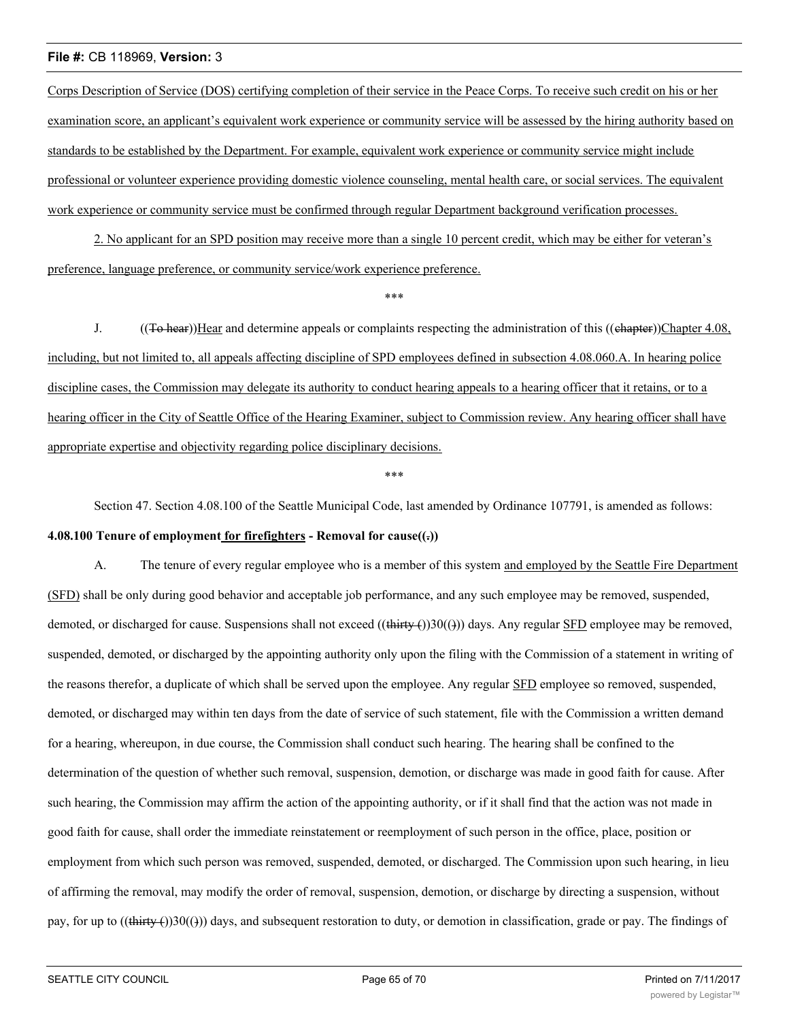Corps Description of Service (DOS) certifying completion of their service in the Peace Corps. To receive such credit on his or her examination score, an applicant's equivalent work experience or community service will be assessed by the hiring authority based on standards to be established by the Department. For example, equivalent work experience or community service might include professional or volunteer experience providing domestic violence counseling, mental health care, or social services. The equivalent work experience or community service must be confirmed through regular Department background verification processes.

2. No applicant for an SPD position may receive more than a single 10 percent credit, which may be either for veteran's preference, language preference, or community service/work experience preference.

\*\*\*

J.  $((\text{To hear}))$  Hear and determine appeals or complaints respecting the administration of this  $((\text{ehapter}))$ Chapter 4.08, including, but not limited to, all appeals affecting discipline of SPD employees defined in subsection 4.08.060.A. In hearing police discipline cases, the Commission may delegate its authority to conduct hearing appeals to a hearing officer that it retains, or to a hearing officer in the City of Seattle Office of the Hearing Examiner, subject to Commission review. Any hearing officer shall have appropriate expertise and objectivity regarding police disciplinary decisions.

\*\*\*

Section 47. Section 4.08.100 of the Seattle Municipal Code, last amended by Ordinance 107791, is amended as follows:

#### **4.08.100 Tenure of employment for firefighters - Removal for cause((.))**

A. The tenure of every regular employee who is a member of this system and employed by the Seattle Fire Department (SFD) shall be only during good behavior and acceptable job performance, and any such employee may be removed, suspended, demoted, or discharged for cause. Suspensions shall not exceed ((thirty ())30(())) days. Any regular SFD employee may be removed, suspended, demoted, or discharged by the appointing authority only upon the filing with the Commission of a statement in writing of the reasons therefor, a duplicate of which shall be served upon the employee. Any regular SFD employee so removed, suspended, demoted, or discharged may within ten days from the date of service of such statement, file with the Commission a written demand for a hearing, whereupon, in due course, the Commission shall conduct such hearing. The hearing shall be confined to the determination of the question of whether such removal, suspension, demotion, or discharge was made in good faith for cause. After such hearing, the Commission may affirm the action of the appointing authority, or if it shall find that the action was not made in good faith for cause, shall order the immediate reinstatement or reemployment of such person in the office, place, position or employment from which such person was removed, suspended, demoted, or discharged. The Commission upon such hearing, in lieu of affirming the removal, may modify the order of removal, suspension, demotion, or discharge by directing a suspension, without pay, for up to ((thirty ())30(())) days, and subsequent restoration to duty, or demotion in classification, grade or pay. The findings of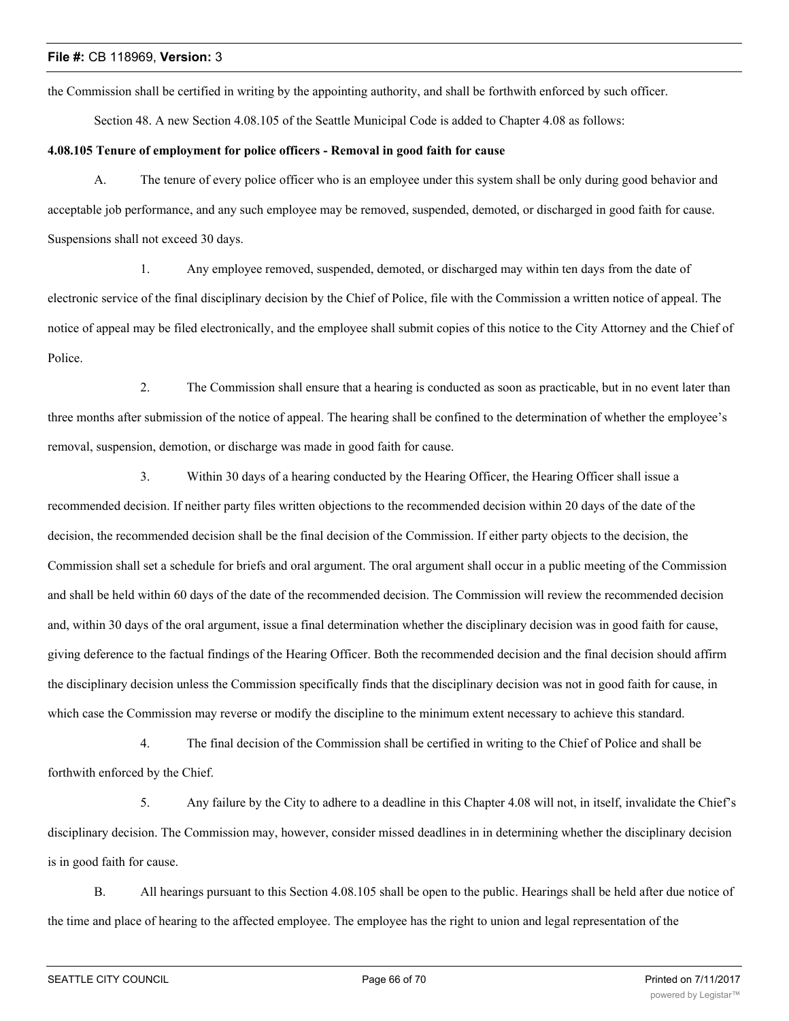the Commission shall be certified in writing by the appointing authority, and shall be forthwith enforced by such officer.

Section 48. A new Section 4.08.105 of the Seattle Municipal Code is added to Chapter 4.08 as follows:

# **4.08.105 Tenure of employment for police officers - Removal in good faith for cause**

A. The tenure of every police officer who is an employee under this system shall be only during good behavior and acceptable job performance, and any such employee may be removed, suspended, demoted, or discharged in good faith for cause. Suspensions shall not exceed 30 days.

1. Any employee removed, suspended, demoted, or discharged may within ten days from the date of electronic service of the final disciplinary decision by the Chief of Police, file with the Commission a written notice of appeal. The notice of appeal may be filed electronically, and the employee shall submit copies of this notice to the City Attorney and the Chief of Police.

2. The Commission shall ensure that a hearing is conducted as soon as practicable, but in no event later than three months after submission of the notice of appeal. The hearing shall be confined to the determination of whether the employee's removal, suspension, demotion, or discharge was made in good faith for cause.

3. Within 30 days of a hearing conducted by the Hearing Officer, the Hearing Officer shall issue a recommended decision. If neither party files written objections to the recommended decision within 20 days of the date of the decision, the recommended decision shall be the final decision of the Commission. If either party objects to the decision, the Commission shall set a schedule for briefs and oral argument. The oral argument shall occur in a public meeting of the Commission and shall be held within 60 days of the date of the recommended decision. The Commission will review the recommended decision and, within 30 days of the oral argument, issue a final determination whether the disciplinary decision was in good faith for cause, giving deference to the factual findings of the Hearing Officer. Both the recommended decision and the final decision should affirm the disciplinary decision unless the Commission specifically finds that the disciplinary decision was not in good faith for cause, in which case the Commission may reverse or modify the discipline to the minimum extent necessary to achieve this standard.

4. The final decision of the Commission shall be certified in writing to the Chief of Police and shall be forthwith enforced by the Chief.

5. Any failure by the City to adhere to a deadline in this Chapter 4.08 will not, in itself, invalidate the Chief's disciplinary decision. The Commission may, however, consider missed deadlines in in determining whether the disciplinary decision is in good faith for cause.

B. All hearings pursuant to this Section 4.08.105 shall be open to the public. Hearings shall be held after due notice of the time and place of hearing to the affected employee. The employee has the right to union and legal representation of the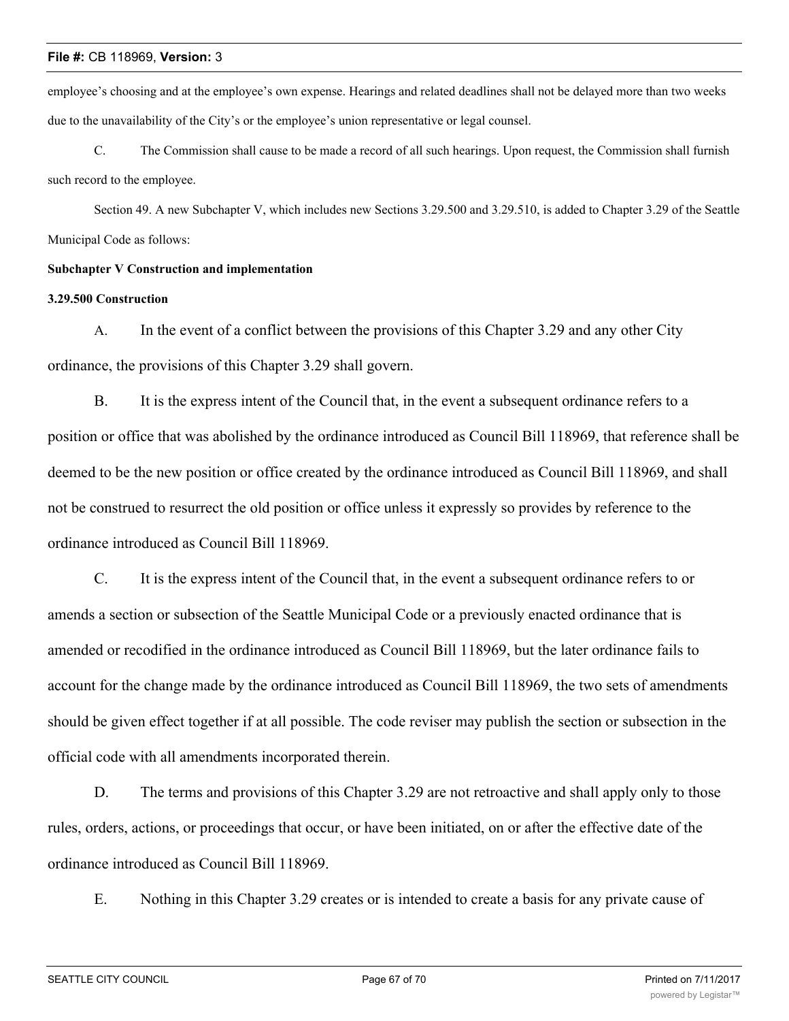employee's choosing and at the employee's own expense. Hearings and related deadlines shall not be delayed more than two weeks due to the unavailability of the City's or the employee's union representative or legal counsel.

C. The Commission shall cause to be made a record of all such hearings. Upon request, the Commission shall furnish such record to the employee.

Section 49. A new Subchapter V, which includes new Sections 3.29.500 and 3.29.510, is added to Chapter 3.29 of the Seattle Municipal Code as follows:

# **Subchapter V Construction and implementation**

# **3.29.500 Construction**

A. In the event of a conflict between the provisions of this Chapter 3.29 and any other City ordinance, the provisions of this Chapter 3.29 shall govern.

B. It is the express intent of the Council that, in the event a subsequent ordinance refers to a position or office that was abolished by the ordinance introduced as Council Bill 118969, that reference shall be deemed to be the new position or office created by the ordinance introduced as Council Bill 118969, and shall not be construed to resurrect the old position or office unless it expressly so provides by reference to the ordinance introduced as Council Bill 118969.

C. It is the express intent of the Council that, in the event a subsequent ordinance refers to or amends a section or subsection of the Seattle Municipal Code or a previously enacted ordinance that is amended or recodified in the ordinance introduced as Council Bill 118969, but the later ordinance fails to account for the change made by the ordinance introduced as Council Bill 118969, the two sets of amendments should be given effect together if at all possible. The code reviser may publish the section or subsection in the official code with all amendments incorporated therein.

D. The terms and provisions of this Chapter 3.29 are not retroactive and shall apply only to those rules, orders, actions, or proceedings that occur, or have been initiated, on or after the effective date of the ordinance introduced as Council Bill 118969.

E. Nothing in this Chapter 3.29 creates or is intended to create a basis for any private cause of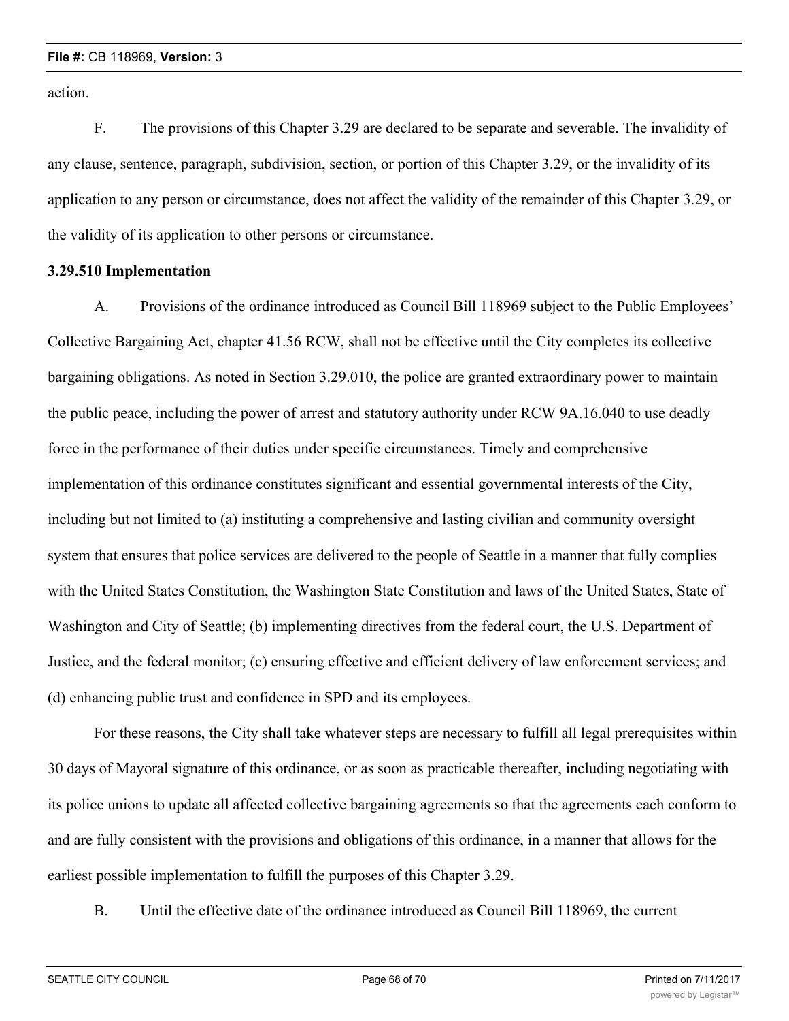action.

F. The provisions of this Chapter 3.29 are declared to be separate and severable. The invalidity of any clause, sentence, paragraph, subdivision, section, or portion of this Chapter 3.29, or the invalidity of its application to any person or circumstance, does not affect the validity of the remainder of this Chapter 3.29, or the validity of its application to other persons or circumstance.

# **3.29.510 Implementation**

A. Provisions of the ordinance introduced as Council Bill 118969 subject to the Public Employees' Collective Bargaining Act, chapter 41.56 RCW, shall not be effective until the City completes its collective bargaining obligations. As noted in Section 3.29.010, the police are granted extraordinary power to maintain the public peace, including the power of arrest and statutory authority under RCW 9A.16.040 to use deadly force in the performance of their duties under specific circumstances. Timely and comprehensive implementation of this ordinance constitutes significant and essential governmental interests of the City, including but not limited to (a) instituting a comprehensive and lasting civilian and community oversight system that ensures that police services are delivered to the people of Seattle in a manner that fully complies with the United States Constitution, the Washington State Constitution and laws of the United States, State of Washington and City of Seattle; (b) implementing directives from the federal court, the U.S. Department of Justice, and the federal monitor; (c) ensuring effective and efficient delivery of law enforcement services; and (d) enhancing public trust and confidence in SPD and its employees.

For these reasons, the City shall take whatever steps are necessary to fulfill all legal prerequisites within 30 days of Mayoral signature of this ordinance, or as soon as practicable thereafter, including negotiating with its police unions to update all affected collective bargaining agreements so that the agreements each conform to and are fully consistent with the provisions and obligations of this ordinance, in a manner that allows for the earliest possible implementation to fulfill the purposes of this Chapter 3.29.

B. Until the effective date of the ordinance introduced as Council Bill 118969, the current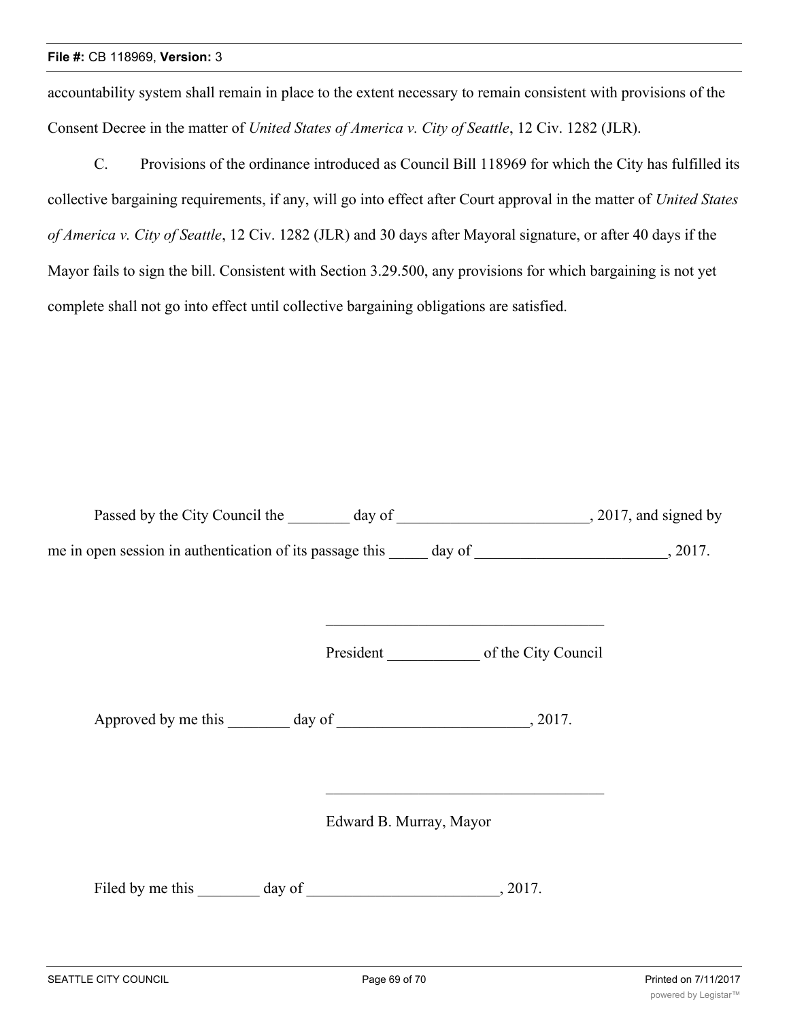accountability system shall remain in place to the extent necessary to remain consistent with provisions of the Consent Decree in the matter of *United States of America v. City of Seattle*, 12 Civ. 1282 (JLR).

C. Provisions of the ordinance introduced as Council Bill 118969 for which the City has fulfilled its collective bargaining requirements, if any, will go into effect after Court approval in the matter of *United States of America v. City of Seattle*, 12 Civ. 1282 (JLR) and 30 days after Mayoral signature, or after 40 days if the Mayor fails to sign the bill. Consistent with Section 3.29.500, any provisions for which bargaining is not yet complete shall not go into effect until collective bargaining obligations are satisfied.

| Passed by the City Council the 100 day of 100 day of 2017, and signed by |                         |                                                                                                                       |  |
|--------------------------------------------------------------------------|-------------------------|-----------------------------------------------------------------------------------------------------------------------|--|
|                                                                          |                         |                                                                                                                       |  |
|                                                                          |                         | <u> 1990 - Johann Johann Stoff, deutscher Stoff als der Stoff als der Stoff als der Stoff als der Stoff als der S</u> |  |
|                                                                          |                         |                                                                                                                       |  |
|                                                                          | Edward B. Murray, Mayor | <u> 1989 - Johann Johann Stoff, deutscher Stoff und der Stoff und der Stoff und der Stoff und der Stoff und der S</u> |  |
|                                                                          |                         |                                                                                                                       |  |
|                                                                          |                         |                                                                                                                       |  |